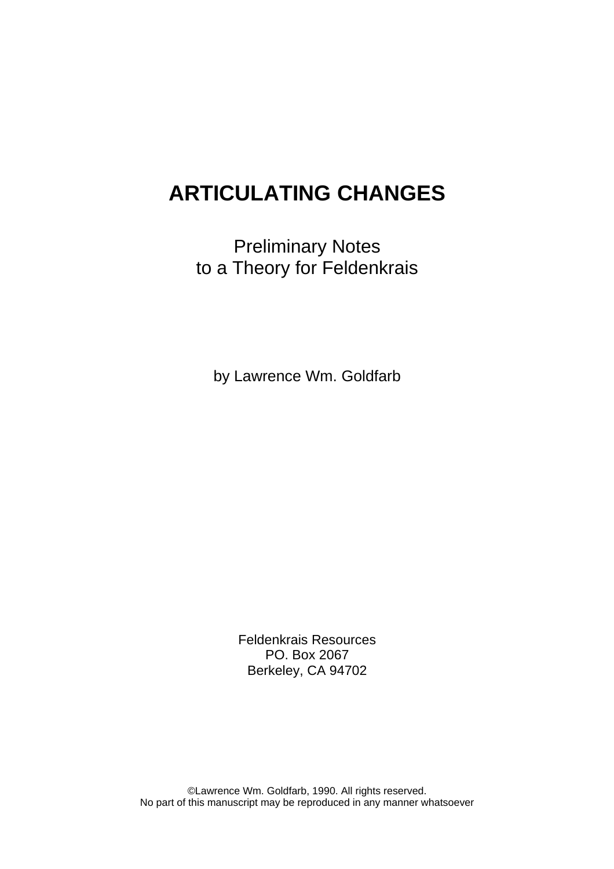# **ARTICULATING CHANGES**

Preliminary Notes to a Theory for Feldenkrais

by Lawrence Wm. Goldfarb

Feldenkrais Resources PO. Box 2067 Berkeley, CA 94702

©Lawrence Wm. Goldfarb, 1990. All rights reserved. No part of this manuscript may be reproduced in any manner whatsoever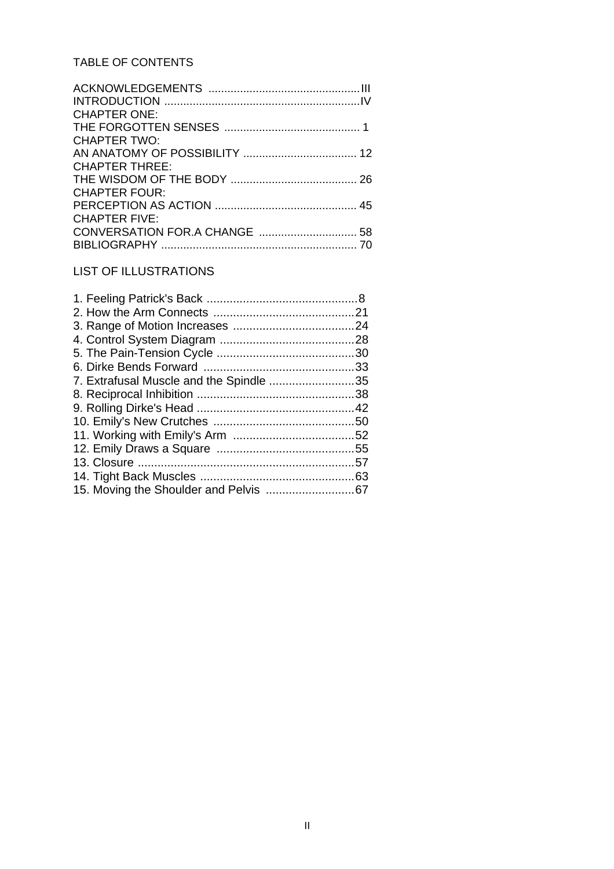## TABLE OF CONTENTS

| <b>CHAPTER ONE:</b> |  |
|---------------------|--|
|                     |  |
| CHAPTER TWO:        |  |
|                     |  |
| CHAPTER THREE       |  |
|                     |  |
| CHAPTER FOUR:       |  |
|                     |  |
| CHAPTER FIVE:       |  |
|                     |  |
|                     |  |

## LIST OF ILLUSTRATIONS

| 7. Extrafusal Muscle and the Spindle 35 |  |
|-----------------------------------------|--|
|                                         |  |
|                                         |  |
|                                         |  |
|                                         |  |
|                                         |  |
|                                         |  |
|                                         |  |
|                                         |  |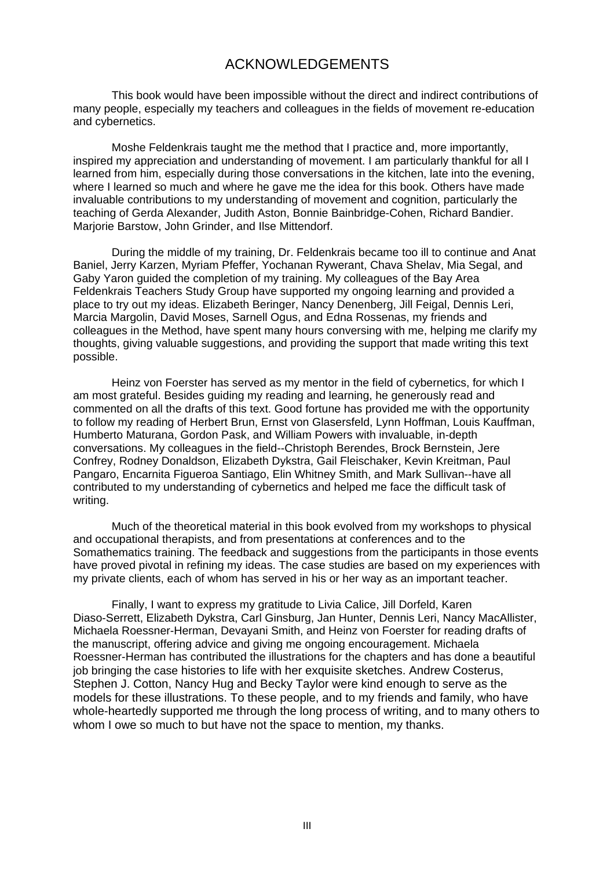# ACKNOWLEDGEMENTS

This book would have been impossible without the direct and indirect contributions of many people, especially my teachers and colleagues in the fields of movement re-education and cybernetics.

Moshe Feldenkrais taught me the method that I practice and, more importantly, inspired my appreciation and understanding of movement. I am particularly thankful for all I learned from him, especially during those conversations in the kitchen, late into the evening, where I learned so much and where he gave me the idea for this book. Others have made invaluable contributions to my understanding of movement and cognition, particularly the teaching of Gerda Alexander, Judith Aston, Bonnie Bainbridge-Cohen, Richard Bandier. Mariorie Barstow, John Grinder, and Ilse Mittendorf.

During the middle of my training, Dr. Feldenkrais became too ill to continue and Anat Baniel, Jerry Karzen, Myriam Pfeffer, Yochanan Rywerant, Chava Shelav, Mia Segal, and Gaby Yaron guided the completion of my training. My colleagues of the Bay Area Feldenkrais Teachers Study Group have supported my ongoing learning and provided a place to try out my ideas. Elizabeth Beringer, Nancy Denenberg, Jill Feigal, Dennis Leri, Marcia Margolin, David Moses, Sarnell Ogus, and Edna Rossenas, my friends and colleagues in the Method, have spent many hours conversing with me, helping me clarify my thoughts, giving valuable suggestions, and providing the support that made writing this text possible.

Heinz von Foerster has served as my mentor in the field of cybernetics, for which I am most grateful. Besides guiding my reading and learning, he generously read and commented on all the drafts of this text. Good fortune has provided me with the opportunity to follow my reading of Herbert Brun, Ernst von Glasersfeld, Lynn Hoffman, Louis Kauffman, Humberto Maturana, Gordon Pask, and William Powers with invaluable, in-depth conversations. My colleagues in the field--Christoph Berendes, Brock Bernstein, Jere Confrey, Rodney Donaldson, Elizabeth Dykstra, Gail Fleischaker, Kevin Kreitman, Paul Pangaro, Encarnita Figueroa Santiago, Elin Whitney Smith, and Mark Sullivan--have all contributed to my understanding of cybernetics and helped me face the difficult task of writing.

Much of the theoretical material in this book evolved from my workshops to physical and occupational therapists, and from presentations at conferences and to the Somathematics training. The feedback and suggestions from the participants in those events have proved pivotal in refining my ideas. The case studies are based on my experiences with my private clients, each of whom has served in his or her way as an important teacher.

Finally, I want to express my gratitude to Livia Calice, Jill Dorfeld, Karen Diaso-Serrett, Elizabeth Dykstra, Carl Ginsburg, Jan Hunter, Dennis Leri, Nancy MacAllister, Michaela Roessner-Herman, Devayani Smith, and Heinz von Foerster for reading drafts of the manuscript, offering advice and giving me ongoing encouragement. Michaela Roessner-Herman has contributed the illustrations for the chapters and has done a beautiful job bringing the case histories to life with her exquisite sketches. Andrew Costerus, Stephen J. Cotton, Nancy Hug and Becky Taylor were kind enough to serve as the models for these illustrations. To these people, and to my friends and family, who have whole-heartedly supported me through the long process of writing, and to many others to whom I owe so much to but have not the space to mention, my thanks.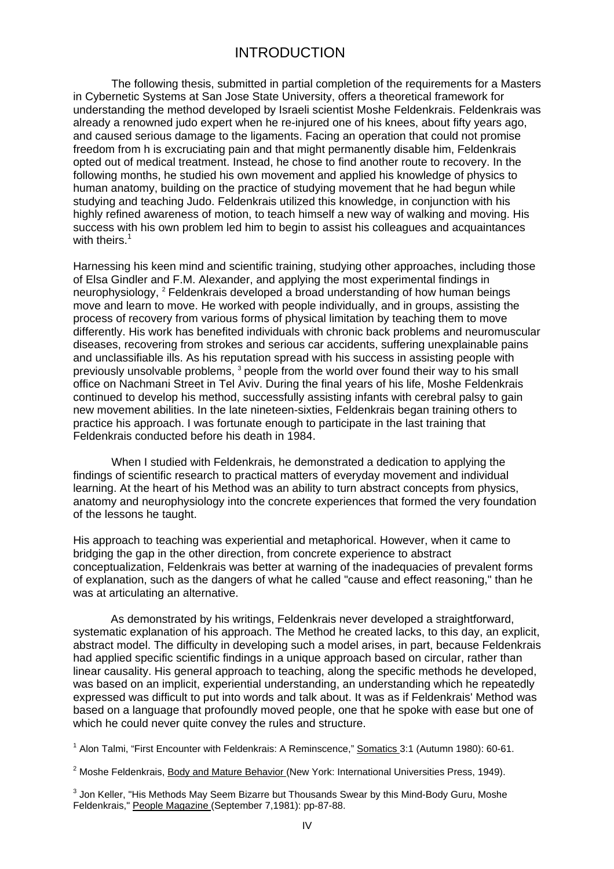# INTRODUCTION

The following thesis, submitted in partial completion of the requirements for a Masters in Cybernetic Systems at San Jose State University, offers a theoretical framework for understanding the method developed by Israeli scientist Moshe Feldenkrais. Feldenkrais was already a renowned judo expert when he re-injured one of his knees, about fifty years ago, and caused serious damage to the ligaments. Facing an operation that could not promise freedom from h is excruciating pain and that might permanently disable him, Feldenkrais opted out of medical treatment. Instead, he chose to find another route to recovery. In the following months, he studied his own movement and applied his knowledge of physics to human anatomy, building on the practice of studying movement that he had begun while studying and teaching Judo. Feldenkrais utilized this knowledge, in conjunction with his highly refined awareness of motion, to teach himself a new way of walking and moving. His success with his own problem led him to begin to assist his colleagues and acquaintances with theirs. $<sup>1</sup>$ </sup>

Harnessing his keen mind and scientific training, studying other approaches, including those of Elsa Gindler and F.M. Alexander, and applying the most experimental findings in neurophysiology, 2 Feldenkrais developed a broad understanding of how human beings move and learn to move. He worked with people individually, and in groups, assisting the process of recovery from various forms of physical limitation by teaching them to move differently. His work has benefited individuals with chronic back problems and neuromuscular diseases, recovering from strokes and serious car accidents, suffering unexplainable pains and unclassifiable ills. As his reputation spread with his success in assisting people with previously unsolvable problems, <sup>3</sup> people from the world over found their way to his small office on Nachmani Street in Tel Aviv. During the final years of his life, Moshe Feldenkrais continued to develop his method, successfully assisting infants with cerebral palsy to gain new movement abilities. In the late nineteen-sixties, Feldenkrais began training others to practice his approach. I was fortunate enough to participate in the last training that Feldenkrais conducted before his death in 1984.

When I studied with Feldenkrais, he demonstrated a dedication to applying the findings of scientific research to practical matters of everyday movement and individual learning. At the heart of his Method was an ability to turn abstract concepts from physics, anatomy and neurophysiology into the concrete experiences that formed the very foundation of the lessons he taught.

His approach to teaching was experiential and metaphorical. However, when it came to bridging the gap in the other direction, from concrete experience to abstract conceptualization, Feldenkrais was better at warning of the inadequacies of prevalent forms of explanation, such as the dangers of what he called "cause and effect reasoning," than he was at articulating an alternative.

As demonstrated by his writings, Feldenkrais never developed a straightforward, systematic explanation of his approach. The Method he created lacks, to this day, an explicit, abstract model. The difficulty in developing such a model arises, in part, because Feldenkrais had applied specific scientific findings in a unique approach based on circular, rather than linear causality. His general approach to teaching, along the specific methods he developed, was based on an implicit, experiential understanding, an understanding which he repeatedly expressed was difficult to put into words and talk about. It was as if Feldenkrais' Method was based on a language that profoundly moved people, one that he spoke with ease but one of which he could never quite convey the rules and structure.

<sup>1</sup> Alon Talmi, "First Encounter with Feldenkrais: A Reminscence," **Somatics 3:1** (Autumn 1980): 60-61.

<sup>2</sup> Moshe Feldenkrais, **Body and Mature Behavior (New York: International Universities Press, 1949).** 

 $3$  Jon Keller, "His Methods May Seem Bizarre but Thousands Swear by this Mind-Body Guru, Moshe Feldenkrais," People Magazine (September 7,1981): pp-87-88.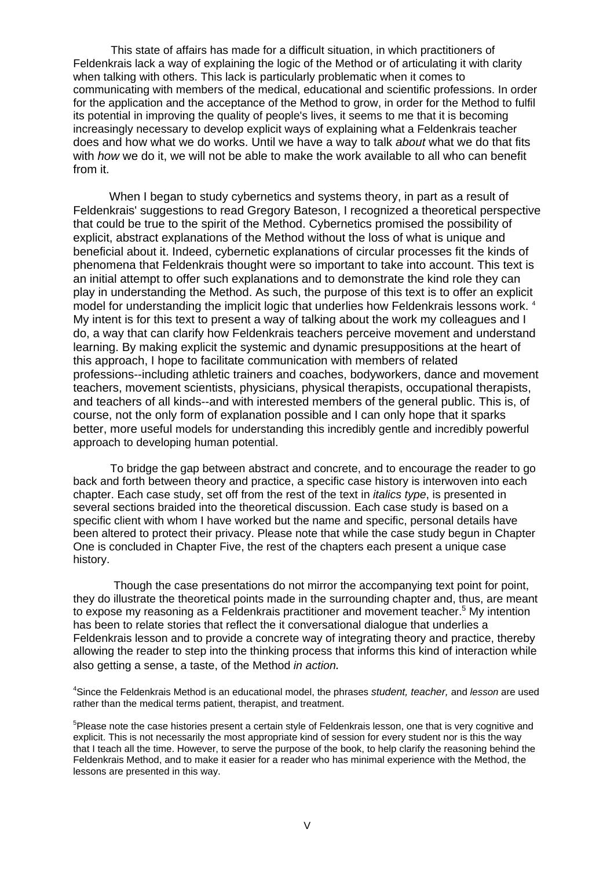This state of affairs has made for a difficult situation, in which practitioners of Feldenkrais lack a way of explaining the logic of the Method or of articulating it with clarity when talking with others. This lack is particularly problematic when it comes to communicating with members of the medical, educational and scientific professions. In order for the application and the acceptance of the Method to grow, in order for the Method to fulfil its potential in improving the quality of people's lives, it seems to me that it is becoming increasingly necessary to develop explicit ways of explaining what a Feldenkrais teacher does and how what we do works. Until we have a way to talk *about* what we do that fits with *how* we do it, we will not be able to make the work available to all who can benefit from it.

 When I began to study cybernetics and systems theory, in part as a result of Feldenkrais' suggestions to read Gregory Bateson, I recognized a theoretical perspective that could be true to the spirit of the Method. Cybernetics promised the possibility of explicit, abstract explanations of the Method without the loss of what is unique and beneficial about it. Indeed, cybernetic explanations of circular processes fit the kinds of phenomena that Feldenkrais thought were so important to take into account. This text is an initial attempt to offer such explanations and to demonstrate the kind role they can play in understanding the Method. As such, the purpose of this text is to offer an explicit model for understanding the implicit logic that underlies how Feldenkrais lessons work.<sup>4</sup> My intent is for this text to present a way of talking about the work my colleagues and I do, a way that can clarify how Feldenkrais teachers perceive movement and understand learning. By making explicit the systemic and dynamic presuppositions at the heart of this approach, I hope to facilitate communication with members of related professions--including athletic trainers and coaches, bodyworkers, dance and movement teachers, movement scientists, physicians, physical therapists, occupational therapists, and teachers of all kinds--and with interested members of the general public. This is, of course, not the only form of explanation possible and I can only hope that it sparks better, more useful models for understanding this incredibly gentle and incredibly powerful approach to developing human potential.

To bridge the gap between abstract and concrete, and to encourage the reader to go back and forth between theory and practice, a specific case history is interwoven into each chapter. Each case study, set off from the rest of the text in *italics type*, is presented in several sections braided into the theoretical discussion. Each case study is based on a specific client with whom I have worked but the name and specific, personal details have been altered to protect their privacy. Please note that while the case study begun in Chapter One is concluded in Chapter Five, the rest of the chapters each present a unique case history.

 Though the case presentations do not mirror the accompanying text point for point, they do illustrate the theoretical points made in the surrounding chapter and, thus, are meant to expose my reasoning as a Feldenkrais practitioner and movement teacher.<sup>5</sup> My intention has been to relate stories that reflect the it conversational dialogue that underlies a Feldenkrais lesson and to provide a concrete way of integrating theory and practice, thereby allowing the reader to step into the thinking process that informs this kind of interaction while also getting a sense, a taste, of the Method *in action.*

4 Since the Feldenkrais Method is an educational model, the phrases *student, teacher,* and *lesson* are used rather than the medical terms patient, therapist, and treatment.

<sup>5</sup>Please note the case histories present a certain style of Feldenkrais lesson, one that is very cognitive and explicit. This is not necessarily the most appropriate kind of session for every student nor is this the way that I teach all the time. However, to serve the purpose of the book, to help clarify the reasoning behind the Feldenkrais Method, and to make it easier for a reader who has minimal experience with the Method, the lessons are presented in this way.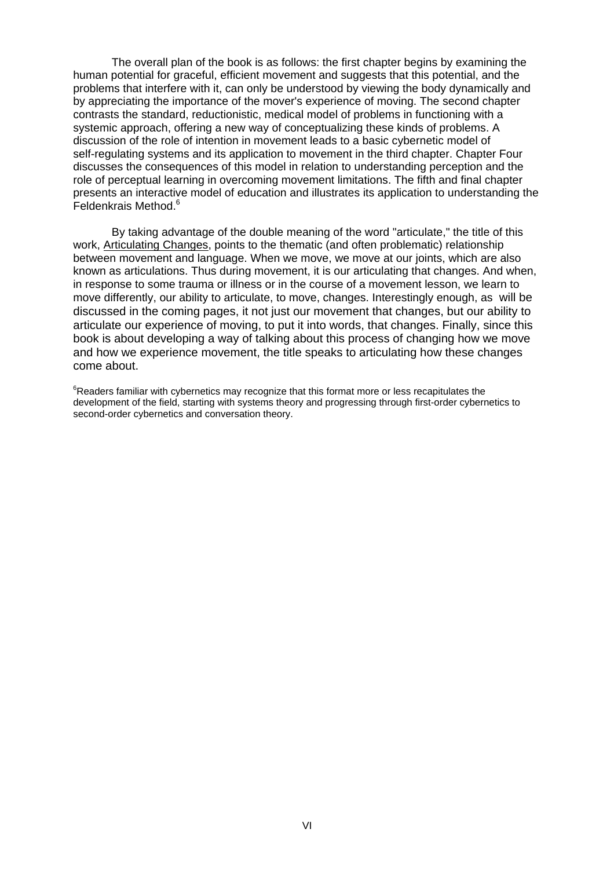The overall plan of the book is as follows: the first chapter begins by examining the human potential for graceful, efficient movement and suggests that this potential, and the problems that interfere with it, can only be understood by viewing the body dynamically and by appreciating the importance of the mover's experience of moving. The second chapter contrasts the standard, reductionistic, medical model of problems in functioning with a systemic approach, offering a new way of conceptualizing these kinds of problems. A discussion of the role of intention in movement leads to a basic cybernetic model of self-regulating systems and its application to movement in the third chapter. Chapter Four discusses the consequences of this model in relation to understanding perception and the role of perceptual learning in overcoming movement limitations. The fifth and final chapter presents an interactive model of education and illustrates its application to understanding the Feldenkrais Method.<sup>6</sup>

By taking advantage of the double meaning of the word "articulate," the title of this work, Articulating Changes, points to the thematic (and often problematic) relationship between movement and language. When we move, we move at our joints, which are also known as articulations. Thus during movement, it is our articulating that changes. And when, in response to some trauma or illness or in the course of a movement lesson, we learn to move differently, our ability to articulate, to move, changes. Interestingly enough, as will be discussed in the coming pages, it not just our movement that changes, but our ability to articulate our experience of moving, to put it into words, that changes. Finally, since this book is about developing a way of talking about this process of changing how we move and how we experience movement, the title speaks to articulating how these changes come about.

 ${}^{6}$ Readers familiar with cybernetics may recognize that this format more or less recapitulates the development of the field, starting with systems theory and progressing through first-order cybernetics to second-order cybernetics and conversation theory.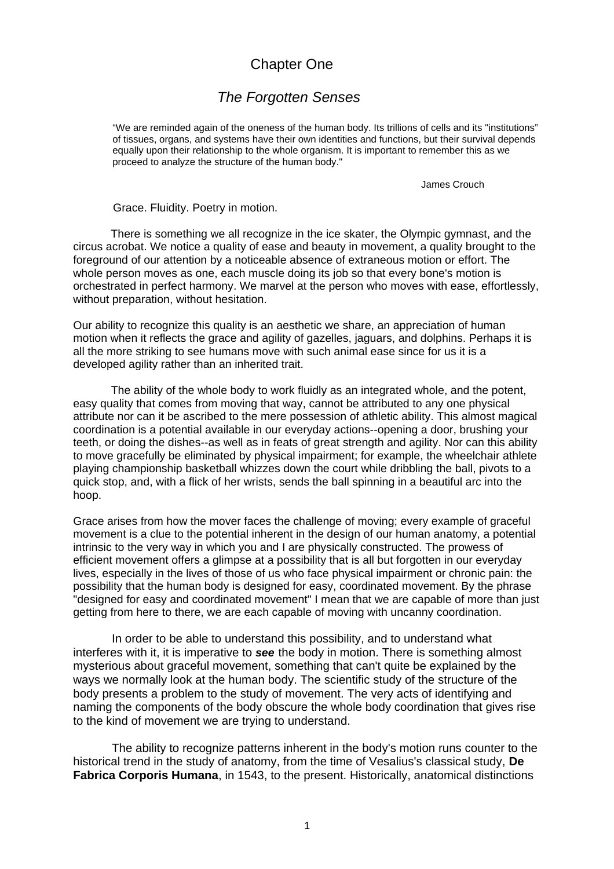# Chapter One

# *The Forgotten Senses*

"We are reminded again of the oneness of the human body. Its trillions of cells and its "institutions" of tissues, organs, and systems have their own identities and functions, but their survival depends equally upon their relationship to the whole organism. It is important to remember this as we proceed to analyze the structure of the human body."

James Crouch

Grace. Fluidity. Poetry in motion.

There is something we all recognize in the ice skater, the Olympic gymnast, and the circus acrobat. We notice a quality of ease and beauty in movement, a quality brought to the foreground of our attention by a noticeable absence of extraneous motion or effort. The whole person moves as one, each muscle doing its job so that every bone's motion is orchestrated in perfect harmony. We marvel at the person who moves with ease, effortlessly, without preparation, without hesitation.

Our ability to recognize this quality is an aesthetic we share, an appreciation of human motion when it reflects the grace and agility of gazelles, jaguars, and dolphins. Perhaps it is all the more striking to see humans move with such animal ease since for us it is a developed agility rather than an inherited trait.

The ability of the whole body to work fluidly as an integrated whole, and the potent, easy quality that comes from moving that way, cannot be attributed to any one physical attribute nor can it be ascribed to the mere possession of athletic ability. This almost magical coordination is a potential available in our everyday actions--opening a door, brushing your teeth, or doing the dishes--as well as in feats of great strength and agility. Nor can this ability to move gracefully be eliminated by physical impairment; for example, the wheelchair athlete playing championship basketball whizzes down the court while dribbling the ball, pivots to a quick stop, and, with a flick of her wrists, sends the ball spinning in a beautiful arc into the hoop.

Grace arises from how the mover faces the challenge of moving; every example of graceful movement is a clue to the potential inherent in the design of our human anatomy, a potential intrinsic to the very way in which you and I are physically constructed. The prowess of efficient movement offers a glimpse at a possibility that is all but forgotten in our everyday lives, especially in the lives of those of us who face physical impairment or chronic pain: the possibility that the human body is designed for easy, coordinated movement. By the phrase "designed for easy and coordinated movement" I mean that we are capable of more than just getting from here to there, we are each capable of moving with uncanny coordination.

In order to be able to understand this possibility, and to understand what interferes with it, it is imperative to *see* the body in motion. There is something almost mysterious about graceful movement, something that can't quite be explained by the ways we normally look at the human body. The scientific study of the structure of the body presents a problem to the study of movement. The very acts of identifying and naming the components of the body obscure the whole body coordination that gives rise to the kind of movement we are trying to understand.

The ability to recognize patterns inherent in the body's motion runs counter to the historical trend in the study of anatomy, from the time of Vesalius's classical study, **De Fabrica Corporis Humana**, in 1543, to the present. Historically, anatomical distinctions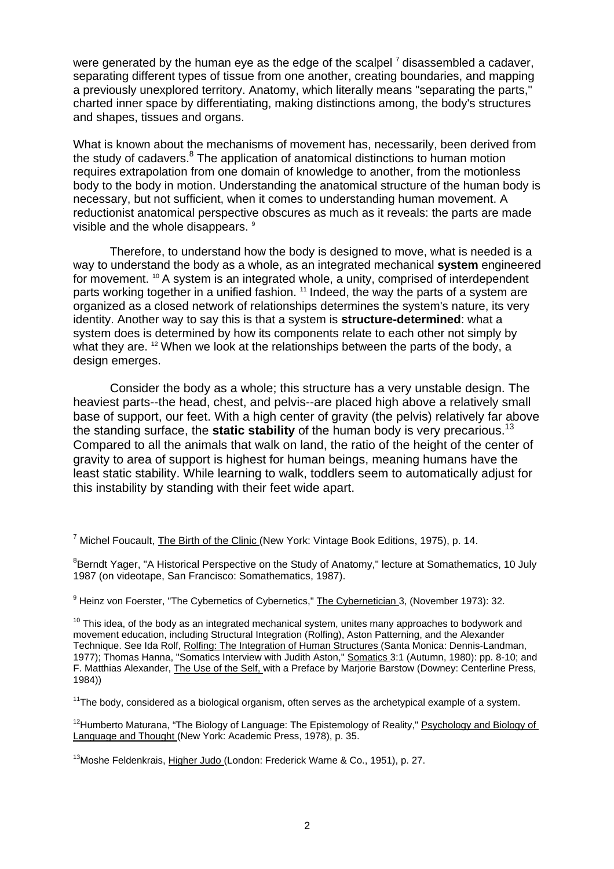were generated by the human eye as the edge of the scalpel  $<sup>7</sup>$  disassembled a cadaver,</sup> separating different types of tissue from one another, creating boundaries, and mapping a previously unexplored territory. Anatomy, which literally means "separating the parts," charted inner space by differentiating, making distinctions among, the body's structures and shapes, tissues and organs.

What is known about the mechanisms of movement has, necessarily, been derived from the study of cadavers.<sup>8</sup> The application of anatomical distinctions to human motion requires extrapolation from one domain of knowledge to another, from the motionless body to the body in motion. Understanding the anatomical structure of the human body is necessary, but not sufficient, when it comes to understanding human movement. A reductionist anatomical perspective obscures as much as it reveals: the parts are made visible and the whole disappears. <sup>9</sup>

Therefore, to understand how the body is designed to move, what is needed is a way to understand the body as a whole, as an integrated mechanical **system** engineered for movement. 10 A system is an integrated whole, a unity, comprised of interdependent parts working together in a unified fashion. <sup>11</sup> Indeed, the way the parts of a system are organized as a closed network of relationships determines the system's nature, its very identity. Another way to say this is that a system is **structure-determined**: what a system does is determined by how its components relate to each other not simply by what they are. <sup>12</sup> When we look at the relationships between the parts of the body, a design emerges.

Consider the body as a whole; this structure has a very unstable design. The heaviest parts--the head, chest, and pelvis--are placed high above a relatively small base of support, our feet. With a high center of gravity (the pelvis) relatively far above the standing surface, the **static stability** of the human body is very precarious.13 Compared to all the animals that walk on land, the ratio of the height of the center of gravity to area of support is highest for human beings, meaning humans have the least static stability. While learning to walk, toddlers seem to automatically adjust for this instability by standing with their feet wide apart.

<sup>8</sup>Berndt Yager, "A Historical Perspective on the Study of Anatomy," lecture at Somathematics, 10 July 1987 (on videotape, San Francisco: Somathematics, 1987).

<sup>9</sup> Heinz von Foerster, "The Cybernetics of Cybernetics," The Cybernetician 3, (November 1973): 32.

 $10$  This idea, of the body as an integrated mechanical system, unites many approaches to bodywork and movement education, including Structural Integration (Rolfing), Aston Patterning, and the Alexander Technique. See Ida Rolf, Rolfing: The Integration of Human Structures (Santa Monica: Dennis-Landman, 1977); Thomas Hanna, "Somatics Interview with Judith Aston," Somatics 3:1 (Autumn, 1980): pp. 8-10; and F. Matthias Alexander, The Use of the Self, with a Preface by Marjorie Barstow (Downey: Centerline Press, 1984))

 $11$ The body, considered as a biological organism, often serves as the archetypical example of a system.

 $12$ Humberto Maturana, "The Biology of Language: The Epistemology of Reality," Psychology and Biology of Language and Thought (New York: Academic Press, 1978), p. 35.

<sup>13</sup>Moshe Feldenkrais, Higher Judo (London: Frederick Warne & Co., 1951), p. 27.

<sup>&</sup>lt;sup>7</sup> Michel Foucault, The Birth of the Clinic (New York: Vintage Book Editions, 1975), p. 14.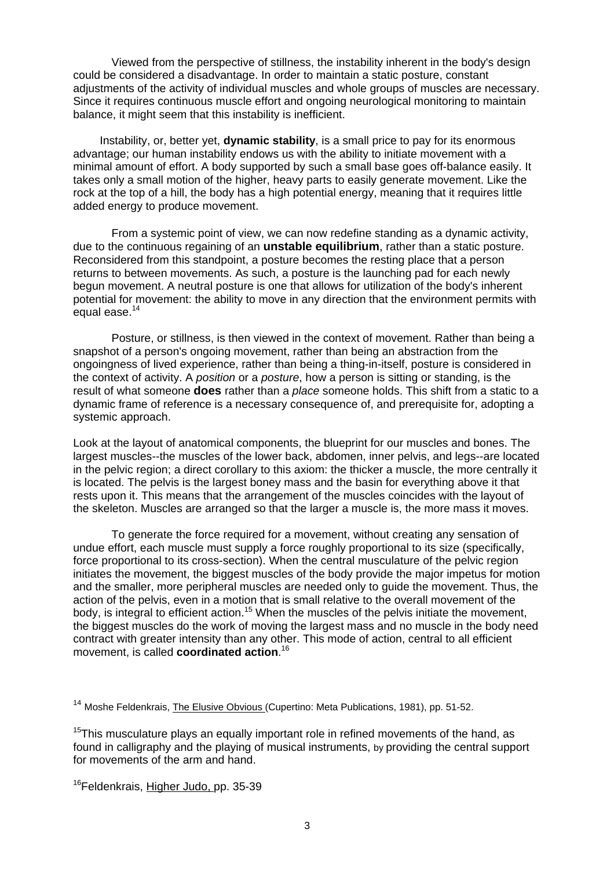Viewed from the perspective of stillness, the instability inherent in the body's design could be considered a disadvantage. In order to maintain a static posture, constant adjustments of the activity of individual muscles and whole groups of muscles are necessary. Since it requires continuous muscle effort and ongoing neurological monitoring to maintain balance, it might seem that this instability is inefficient.

 Instability, or, better yet, **dynamic stability**, is a small price to pay for its enormous advantage; our human instability endows us with the ability to initiate movement with a minimal amount of effort. A body supported by such a small base goes off-balance easily. It takes only a small motion of the higher, heavy parts to easily generate movement. Like the rock at the top of a hill, the body has a high potential energy, meaning that it requires little added energy to produce movement.

From a systemic point of view, we can now redefine standing as a dynamic activity, due to the continuous regaining of an **unstable equilibrium**, rather than a static posture. Reconsidered from this standpoint, a posture becomes the resting place that a person returns to between movements. As such, a posture is the launching pad for each newly begun movement. A neutral posture is one that allows for utilization of the body's inherent potential for movement: the ability to move in any direction that the environment permits with equal ease.<sup>14</sup>

Posture, or stillness, is then viewed in the context of movement. Rather than being a snapshot of a person's ongoing movement, rather than being an abstraction from the ongoingness of lived experience, rather than being a thing-in-itself, posture is considered in the context of activity. A *position* or a *posture*, how a person is sitting or standing, is the result of what someone **does** rather than a *place* someone holds. This shift from a static to a dynamic frame of reference is a necessary consequence of, and prerequisite for, adopting a systemic approach.

Look at the layout of anatomical components, the blueprint for our muscles and bones. The largest muscles--the muscles of the lower back, abdomen, inner pelvis, and legs--are located in the pelvic region; a direct corollary to this axiom: the thicker a muscle, the more centrally it is located. The pelvis is the largest boney mass and the basin for everything above it that rests upon it. This means that the arrangement of the muscles coincides with the layout of the skeleton. Muscles are arranged so that the larger a muscle is, the more mass it moves.

To generate the force required for a movement, without creating any sensation of undue effort, each muscle must supply a force roughly proportional to its size (specifically, force proportional to its cross-section). When the central musculature of the pelvic region initiates the movement, the biggest muscles of the body provide the major impetus for motion and the smaller, more peripheral muscles are needed only to guide the movement. Thus, the action of the pelvis, even in a motion that is small relative to the overall movement of the body, is integral to efficient action.<sup>15</sup> When the muscles of the pelvis initiate the movement, the biggest muscles do the work of moving the largest mass and no muscle in the body need contract with greater intensity than any other. This mode of action, central to all efficient movement, is called **coordinated action**. 16

<sup>14</sup> Moshe Feldenkrais, The Elusive Obvious (Cupertino: Meta Publications, 1981), pp. 51-52.

 $15$ This musculature plays an equally important role in refined movements of the hand, as found in calligraphy and the playing of musical instruments, by providing the central support for movements of the arm and hand.

<sup>&</sup>lt;sup>16</sup>Feldenkrais, Higher Judo, pp. 35-39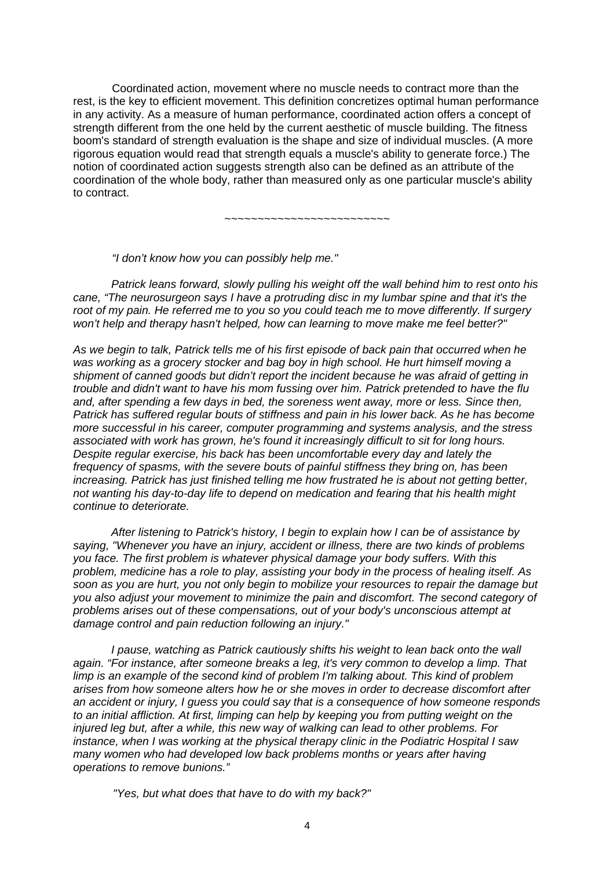Coordinated action, movement where no muscle needs to contract more than the rest, is the key to efficient movement. This definition concretizes optimal human performance in any activity. As a measure of human performance, coordinated action offers a concept of strength different from the one held by the current aesthetic of muscle building. The fitness boom's standard of strength evaluation is the shape and size of individual muscles. (A more rigorous equation would read that strength equals a muscle's ability to generate force.) The notion of coordinated action suggests strength also can be defined as an attribute of the coordination of the whole body, rather than measured only as one particular muscle's ability to contract.

~~~~~~~~~~~~~~~~~~~~~~~~~

*"I don't know how you can possibly help me."* 

*Patrick leans forward, slowly pulling his weight off the wall behind him to rest onto his cane, "The neurosurgeon says I have a protruding disc in my lumbar spine and that it's the root of my pain. He referred me to you so you could teach me to move differently. If surgery won't help and therapy hasn't helped, how can learning to move make me feel better?"* 

*As we begin to talk, Patrick tells me of his first episode of back pain that occurred when he was working as a grocery stocker and bag boy in high school. He hurt himself moving a shipment of canned goods but didn't report the incident because he was afraid of getting in trouble and didn't want to have his mom fussing over him. Patrick pretended to have the flu and, after spending a few days in bed, the soreness went away, more or less. Since then, Patrick has suffered regular bouts of stiffness and pain in his lower back. As he has become more successful in his career, computer programming and systems analysis, and the stress associated with work has grown, he's found it increasingly difficult to sit for long hours. Despite regular exercise, his back has been uncomfortable every day and lately the frequency of spasms, with the severe bouts of painful stiffness they bring on, has been increasing. Patrick has just finished telling me how frustrated he is about not getting better, not wanting his day-to-day life to depend on medication and fearing that his health might continue to deteriorate.* 

*After listening to Patrick's history, I begin to explain how I can be of assistance by saying, "Whenever you have an injury, accident or illness, there are two kinds of problems you face. The first problem is whatever physical damage your body suffers. With this problem, medicine has a role to play, assisting your body in the process of healing itself. As soon as you are hurt, you not only begin to mobilize your resources to repair the damage but you also adjust your movement to minimize the pain and discomfort. The second category of problems arises out of these compensations, out of your body's unconscious attempt at damage control and pain reduction following an injury."* 

*I pause, watching as Patrick cautiously shifts his weight to lean back onto the wall again. "For instance, after someone breaks a leg, it's very common to develop a limp. That limp is an example of the second kind of problem I'm talking about. This kind of problem arises from how someone alters how he or she moves in order to decrease discomfort after an accident or injury, I guess you could say that is a consequence of how someone responds to an initial affliction. At first, limping can help by keeping you from putting weight on the injured leg but, after a while, this new way of walking can lead to other problems. For instance, when I was working at the physical therapy clinic in the Podiatric Hospital I saw many women who had developed low back problems months or years after having operations to remove bunions."*

*"Yes, but what does that have to do with my back?"*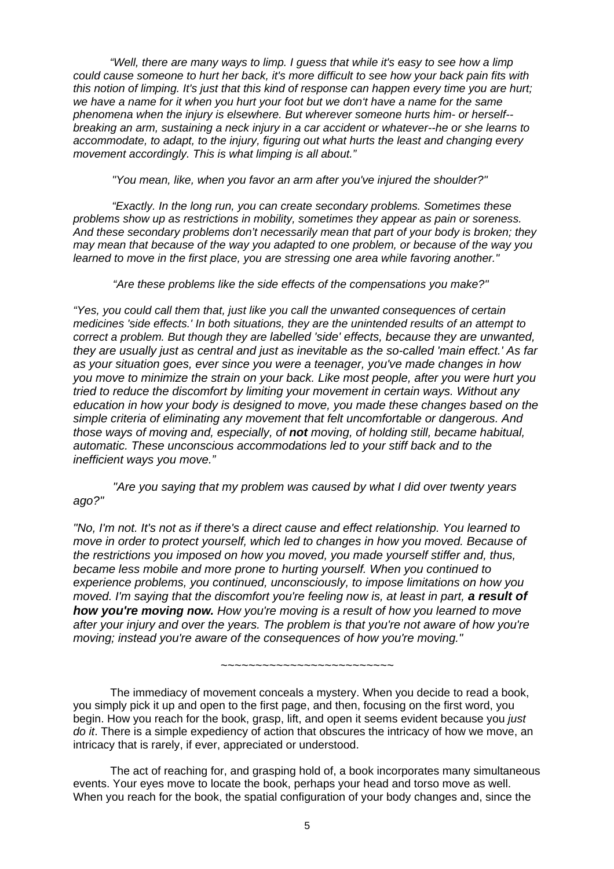*"Well, there are many ways to limp. I guess that while it's easy to see how a limp could cause someone to hurt her back, it's more difficult to see how your back pain fits with this notion of limping. It's just that this kind of response can happen every time you are hurt; we have a name for it when you hurt your foot but we don't have a name for the same phenomena when the injury is elsewhere. But wherever someone hurts him- or herself- breaking an arm, sustaining a neck injury in a car accident or whatever--he or she learns to accommodate, to adapt, to the injury, figuring out what hurts the least and changing every movement accordingly. This is what limping is all about."*

*"You mean, like, when you favor an arm after you've injured the shoulder?"* 

*"Exactly. In the long run, you can create secondary problems. Sometimes these problems show up as restrictions in mobility, sometimes they appear as pain or soreness. And these secondary problems don't necessarily mean that part of your body is broken; they may mean that because of the way you adapted to one problem, or because of the way you learned to move in the first place, you are stressing one area while favoring another."* 

*"Are these problems like the side effects of the compensations you make?"* 

*"Yes, you could call them that, just like you call the unwanted consequences of certain medicines 'side effects.' In both situations, they are the unintended results of an attempt to correct a problem. But though they are labelled 'side' effects, because they are unwanted, they are usually just as central and just as inevitable as the so-called 'main effect.' As far as your situation goes, ever since you were a teenager, you've made changes in how you move to minimize the strain on your back. Like most people, after you were hurt you tried to reduce the discomfort by limiting your movement in certain ways. Without any education in how your body is designed to move, you made these changes based on the simple criteria of eliminating any movement that felt uncomfortable or dangerous. And those ways of moving and, especially, of not moving, of holding still, became habitual, automatic. These unconscious accommodations led to your stiff back and to the inefficient ways you move."* 

*"Are you saying that my problem was caused by what I did over twenty years ago?"* 

*"No, I'm not. It's not as if there's a direct cause and effect relationship. You learned to move in order to protect yourself, which led to changes in how you moved. Because of the restrictions you imposed on how you moved, you made yourself stiffer and, thus, became less mobile and more prone to hurting yourself. When you continued to experience problems, you continued, unconsciously, to impose limitations on how you moved. I'm saving that the discomfort you're feeling now is, at least in part, a result of how you're moving now. How you're moving is a result of how you learned to move after your injury and over the years. The problem is that you're not aware of how you're moving; instead you're aware of the consequences of how you're moving."* 

*~~~~~~~~~~~~~~~~~~~~~~~~~* 

The immediacy of movement conceals a mystery. When you decide to read a book, you simply pick it up and open to the first page, and then, focusing on the first word, you begin. How you reach for the book, grasp, lift, and open it seems evident because you *just do it*. There is a simple expediency of action that obscures the intricacy of how we move, an intricacy that is rarely, if ever, appreciated or understood.

The act of reaching for, and grasping hold of, a book incorporates many simultaneous events. Your eyes move to locate the book, perhaps your head and torso move as well. When you reach for the book, the spatial configuration of your body changes and, since the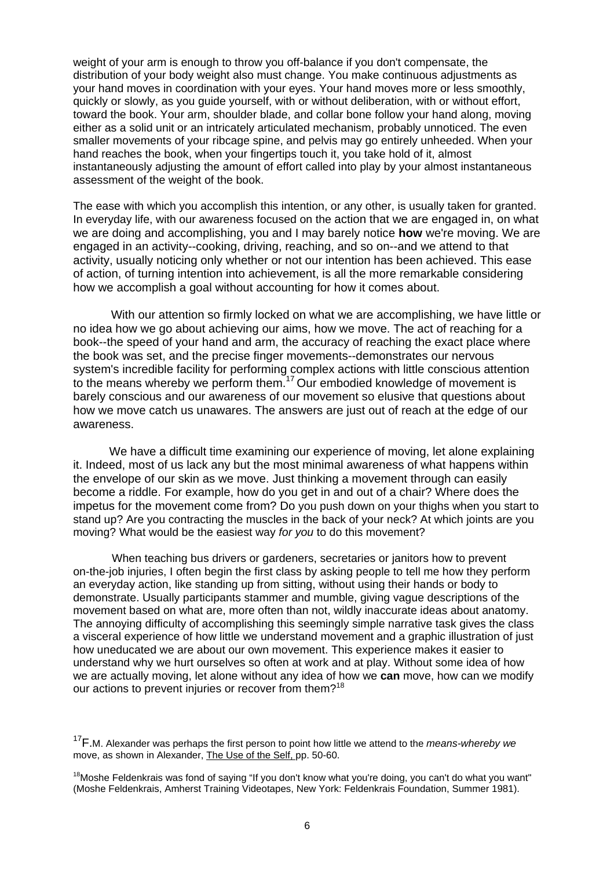weight of your arm is enough to throw you off-balance if you don't compensate, the distribution of your body weight also must change. You make continuous adjustments as your hand moves in coordination with your eyes. Your hand moves more or less smoothly, quickly or slowly, as you guide yourself, with or without deliberation, with or without effort, toward the book. Your arm, shoulder blade, and collar bone follow your hand along, moving either as a solid unit or an intricately articulated mechanism, probably unnoticed. The even smaller movements of your ribcage spine, and pelvis may go entirely unheeded. When your hand reaches the book, when your fingertips touch it, you take hold of it, almost instantaneously adjusting the amount of effort called into play by your almost instantaneous assessment of the weight of the book.

The ease with which you accomplish this intention, or any other, is usually taken for granted. In everyday life, with our awareness focused on the action that we are engaged in, on what we are doing and accomplishing, you and I may barely notice **how** we're moving. We are engaged in an activity--cooking, driving, reaching, and so on--and we attend to that activity, usually noticing only whether or not our intention has been achieved. This ease of action, of turning intention into achievement, is all the more remarkable considering how we accomplish a goal without accounting for how it comes about.

With our attention so firmly locked on what we are accomplishing, we have little or no idea how we go about achieving our aims, how we move. The act of reaching for a book--the speed of your hand and arm, the accuracy of reaching the exact place where the book was set, and the precise finger movements--demonstrates our nervous system's incredible facility for performing complex actions with little conscious attention to the means whereby we perform them.<sup>17</sup> Our embodied knowledge of movement is barely conscious and our awareness of our movement so elusive that questions about how we move catch us unawares. The answers are just out of reach at the edge of our awareness.

 We have a difficult time examining our experience of moving, let alone explaining it. Indeed, most of us lack any but the most minimal awareness of what happens within the envelope of our skin as we move. Just thinking a movement through can easily become a riddle. For example, how do you get in and out of a chair? Where does the impetus for the movement come from? Do you push down on your thighs when you start to stand up? Are you contracting the muscles in the back of your neck? At which joints are you moving? What would be the easiest way *for you* to do this movement?

When teaching bus drivers or gardeners, secretaries or janitors how to prevent on-the-job injuries, I often begin the first class by asking people to tell me how they perform an everyday action, like standing up from sitting, without using their hands or body to demonstrate. Usually participants stammer and mumble, giving vague descriptions of the movement based on what are, more often than not, wildly inaccurate ideas about anatomy. The annoying difficulty of accomplishing this seemingly simple narrative task gives the class a visceral experience of how little we understand movement and a graphic illustration of just how uneducated we are about our own movement. This experience makes it easier to understand why we hurt ourselves so often at work and at play. Without some idea of how we are actually moving, let alone without any idea of how we **can** move, how can we modify our actions to prevent injuries or recover from them?<sup>18</sup>

<sup>17</sup>F.M. Alexander was perhaps the first person to point how little we attend to the *means-whereby we*  move, as shown in Alexander, The Use of the Self, pp. 50-60.

 $18$ Moshe Feldenkrais was fond of saving "If you don't know what you're doing, you can't do what you want" (Moshe Feldenkrais, Amherst Training Videotapes, New York: Feldenkrais Foundation, Summer 1981).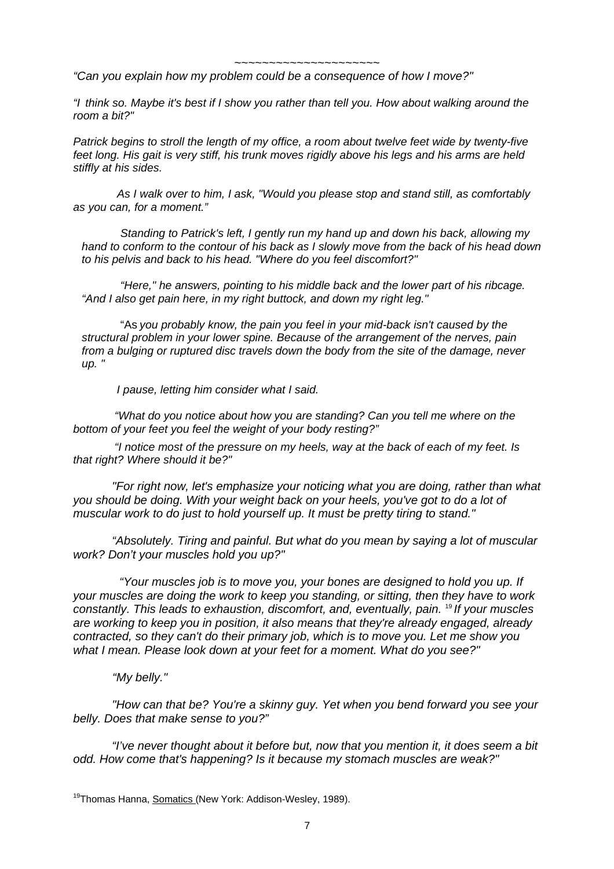~~~~~~~~~~~~~~~~~~~~~

*"Can you explain how my problem could be a consequence of how I move?"*

*"I think so. Maybe it's best if I show you rather than tell you. How about walking around the room a bit?"* 

*Patrick begins to stroll the length of my office, a room about twelve feet wide by twenty-five feet long. His gait is very stiff, his trunk moves rigidly above his legs and his arms are held stiffly at his sides.* 

*As I walk over to him, I ask, "Would you please stop and stand still, as comfortably as you can, for a moment."*

*Standing to Patrick's left, I gently run my hand up and down his back, allowing my hand to conform to the contour of his back as I slowly move from the back of his head down to his pelvis and back to his head. "Where do you feel discomfort?"* 

*"Here," he answers, pointing to his middle back and the lower part of his ribcage. "And I also get pain here, in my right buttock, and down my right leg."* 

"As *you probably know, the pain you feel in your mid-back isn't caused by the structural problem in your lower spine. Because of the arrangement of the nerves, pain from a bulging or ruptured disc travels down the body from the site of the damage, never up. "* 

*I pause, letting him consider what I said.* 

*"What do you notice about how you are standing? Can you tell me where on the bottom of your feet you feel the weight of your body resting?"*

*"I notice most of the pressure on my heels, way at the back of each of my feet. Is that right? Where should it be?"* 

*"For right now, let's emphasize your noticing what you are doing, rather than what you should be doing. With your weight back on your heels, you've got to do a lot of muscular work to do just to hold yourself up. It must be pretty tiring to stand."* 

*"Absolutely. Tiring and painful. But what do you mean by saying a lot of muscular work? Don't your muscles hold you up?"* 

*"Your muscles job is to move you, your bones are designed to hold you up. If your muscles are doing the work to keep you standing, or sitting, then they have to work constantly. This leads to exhaustion, discomfort, and, eventually, pain.* <sup>19</sup>*If your muscles are working to keep you in position, it also means that they're already engaged, already contracted, so they can't do their primary job, which is to move you. Let me show you what I mean. Please look down at your feet for a moment. What do you see?"* 

*"My belly."* 

*"How can that be? You're a skinny guy. Yet when you bend forward you see your belly. Does that make sense to you?"*

*"I've never thought about it before but, now that you mention it, it does seem a bit odd. How come that's happening? Is it because my stomach muscles are weak?"* 

<sup>&</sup>lt;sup>19</sup>Thomas Hanna, Somatics (New York: Addison-Wesley, 1989).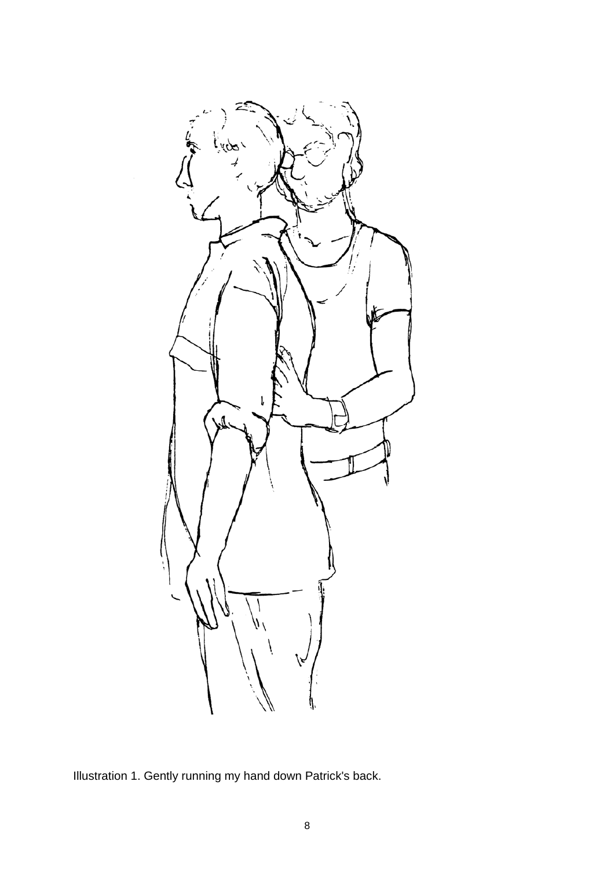

Illustration 1. Gently running my hand down Patrick's back.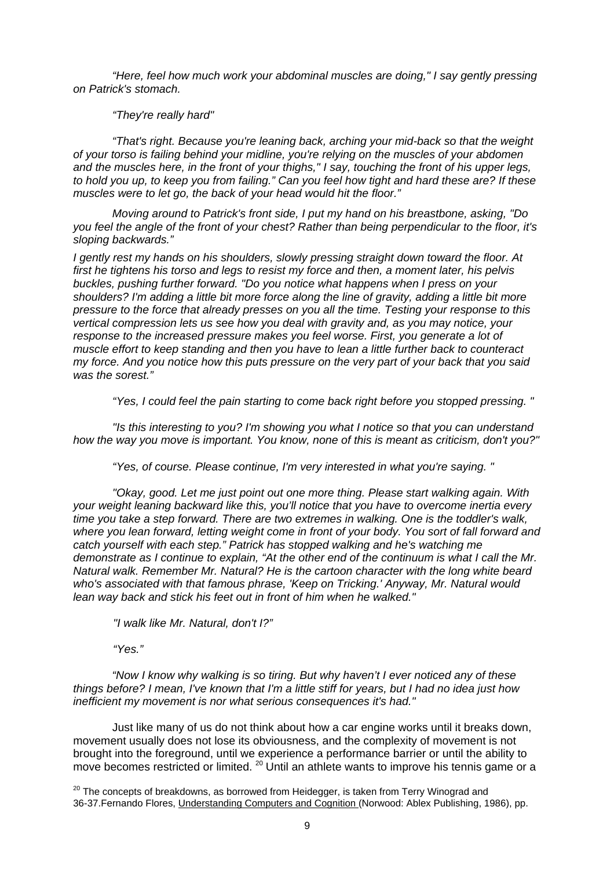*"Here, feel how much work your abdominal muscles are doing," I say gently pressing on Patrick's stomach.* 

*"They're really hard"* 

*"That's right. Because you're leaning back, arching your mid-back so that the weight of your torso is failing behind your midline, you're relying on the muscles of your abdomen and the muscles here, in the front of your thighs," I say, touching the front of his upper legs, to hold you up, to keep you from failing." Can you feel how tight and hard these are? If these muscles were to let go, the back of your head would hit the floor."*

*Moving around to Patrick's front side, I put my hand on his breastbone, asking, "Do you feel the angle of the front of your chest? Rather than being perpendicular to the floor, it's sloping backwards."*

*I gently rest my hands on his shoulders, slowly pressing straight down toward the floor. At first he tightens his torso and legs to resist my force and then, a moment later, his pelvis buckles, pushing further forward. "Do you notice what happens when I press on your shoulders? I'm adding a little bit more force along the line of gravity, adding a little bit more pressure to the force that already presses on you all the time. Testing your response to this vertical compression lets us see how you deal with gravity and, as you may notice, your response to the increased pressure makes you feel worse. First, you generate a lot of muscle effort to keep standing and then you have to lean a little further back to counteract my force. And you notice how this puts pressure on the very part of your back that you said was the sorest."*

*"Yes, I could feel the pain starting to come back right before you stopped pressing. "* 

*"Is this interesting to you? I'm showing you what I notice so that you can understand how the way you move is important. You know, none of this is meant as criticism, don't you?"* 

*"Yes, of course. Please continue, I'm very interested in what you're saying. "* 

*"Okay, good. Let me just point out one more thing. Please start walking again. With your weight leaning backward like this, you'll notice that you have to overcome inertia every time you take a step forward. There are two extremes in walking. One is the toddler's walk, where you lean forward, letting weight come in front of your body. You sort of fall forward and catch yourself with each step." Patrick has stopped walking and he's watching me demonstrate as I continue to explain, "At the other end of the continuum is what I call the Mr. Natural walk. Remember Mr. Natural? He is the cartoon character with the long white beard who's associated with that famous phrase, 'Keep on Tricking.' Anyway, Mr. Natural would lean way back and stick his feet out in front of him when he walked."* 

*"I walk like Mr. Natural, don't I?"*

*"Yes."*

*"Now I know why walking is so tiring. But why haven't I ever noticed any of these things before? I mean, I've known that I'm a little stiff for years, but I had no idea just how inefficient my movement is nor what serious consequences it's had."* 

Just like many of us do not think about how a car engine works until it breaks down, movement usually does not lose its obviousness, and the complexity of movement is not brought into the foreground, until we experience a performance barrier or until the ability to move becomes restricted or limited.<sup>20</sup> Until an athlete wants to improve his tennis game or a

 $20$  The concepts of breakdowns, as borrowed from Heidegger, is taken from Terry Winograd and 36-37.Fernando Flores, Understanding Computers and Cognition (Norwood: Ablex Publishing, 1986), pp.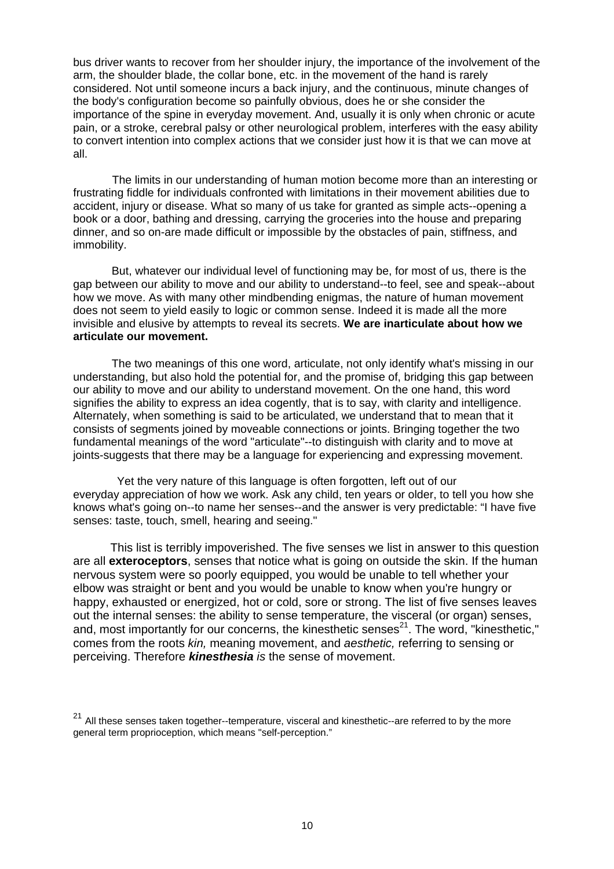bus driver wants to recover from her shoulder injury, the importance of the involvement of the arm, the shoulder blade, the collar bone, etc. in the movement of the hand is rarely considered. Not until someone incurs a back injury, and the continuous, minute changes of the body's configuration become so painfully obvious, does he or she consider the importance of the spine in everyday movement. And, usually it is only when chronic or acute pain, or a stroke, cerebral palsy or other neurological problem, interferes with the easy ability to convert intention into complex actions that we consider just how it is that we can move at all.

The limits in our understanding of human motion become more than an interesting or frustrating fiddle for individuals confronted with limitations in their movement abilities due to accident, injury or disease. What so many of us take for granted as simple acts--opening a book or a door, bathing and dressing, carrying the groceries into the house and preparing dinner, and so on-are made difficult or impossible by the obstacles of pain, stiffness, and immobility.

But, whatever our individual level of functioning may be, for most of us, there is the gap between our ability to move and our ability to understand--to feel, see and speak--about how we move. As with many other mindbending enigmas, the nature of human movement does not seem to yield easily to logic or common sense. Indeed it is made all the more invisible and elusive by attempts to reveal its secrets. **We are inarticulate about how we articulate our movement.**

The two meanings of this one word, articulate, not only identify what's missing in our understanding, but also hold the potential for, and the promise of, bridging this gap between our ability to move and our ability to understand movement. On the one hand, this word signifies the ability to express an idea cogently, that is to say, with clarity and intelligence. Alternately, when something is said to be articulated, we understand that to mean that it consists of segments joined by moveable connections or joints. Bringing together the two fundamental meanings of the word "articulate"--to distinguish with clarity and to move at joints-suggests that there may be a language for experiencing and expressing movement.

Yet the very nature of this language is often forgotten, left out of our everyday appreciation of how we work. Ask any child, ten years or older, to tell you how she knows what's going on--to name her senses--and the answer is very predictable: "I have five senses: taste, touch, smell, hearing and seeing."

This list is terribly impoverished. The five senses we list in answer to this question are all **exteroceptors**, senses that notice what is going on outside the skin. If the human nervous system were so poorly equipped, you would be unable to tell whether your elbow was straight or bent and you would be unable to know when you're hungry or happy, exhausted or energized, hot or cold, sore or strong. The list of five senses leaves out the internal senses: the ability to sense temperature, the visceral (or organ) senses, and, most importantly for our concerns, the kinesthetic senses $^{21}$ . The word, "kinesthetic," comes from the roots *kin,* meaning movement, and *aesthetic,* referring to sensing or perceiving. Therefore *kinesthesia is* the sense of movement.

 $21$  All these senses taken together--temperature, visceral and kinesthetic--are referred to by the more general term proprioception, which means "self-perception."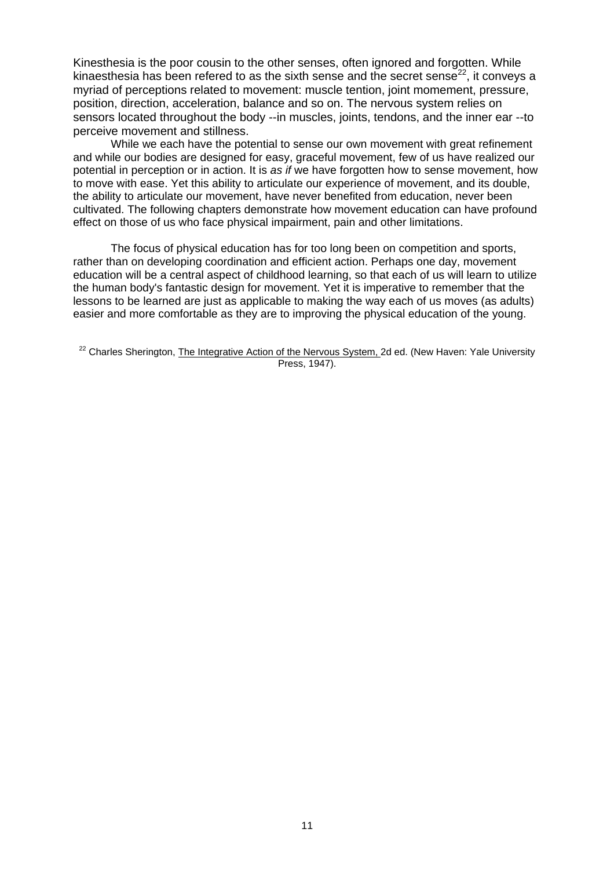Kinesthesia is the poor cousin to the other senses, often ignored and forgotten. While kinaesthesia has been refered to as the sixth sense and the secret sense<sup>22</sup>, it conveys a myriad of perceptions related to movement: muscle tention, joint momement, pressure, position, direction, acceleration, balance and so on. The nervous system relies on sensors located throughout the body --in muscles, joints, tendons, and the inner ear --to perceive movement and stillness.

While we each have the potential to sense our own movement with great refinement and while our bodies are designed for easy, graceful movement, few of us have realized our potential in perception or in action. It is *as if* we have forgotten how to sense movement, how to move with ease. Yet this ability to articulate our experience of movement, and its double, the ability to articulate our movement, have never benefited from education, never been cultivated. The following chapters demonstrate how movement education can have profound effect on those of us who face physical impairment, pain and other limitations.

The focus of physical education has for too long been on competition and sports, rather than on developing coordination and efficient action. Perhaps one day, movement education will be a central aspect of childhood learning, so that each of us will learn to utilize the human body's fantastic design for movement. Yet it is imperative to remember that the lessons to be learned are just as applicable to making the way each of us moves (as adults) easier and more comfortable as they are to improving the physical education of the young.

<sup>22</sup> Charles Sherington, The Integrative Action of the Nervous System, 2d ed. (New Haven: Yale University Press, 1947).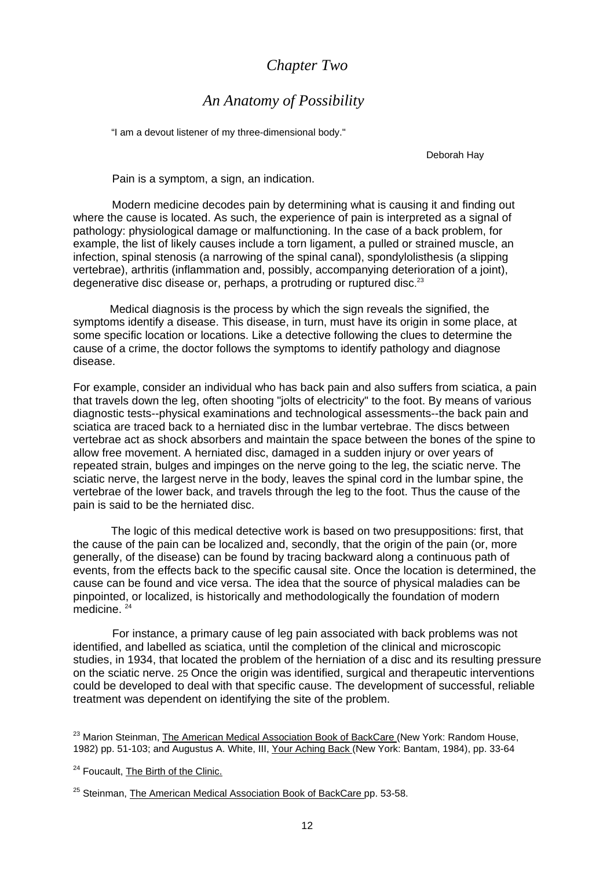### *Chapter Two*

# *An Anatomy of Possibility*

"I am a devout listener of my three-dimensional body."

Deborah Hay

Pain is a symptom, a sign, an indication.

Modern medicine decodes pain by determining what is causing it and finding out where the cause is located. As such, the experience of pain is interpreted as a signal of pathology: physiological damage or malfunctioning. In the case of a back problem, for example, the list of likely causes include a torn ligament, a pulled or strained muscle, an infection, spinal stenosis (a narrowing of the spinal canal), spondylolisthesis (a slipping vertebrae), arthritis (inflammation and, possibly, accompanying deterioration of a joint), degenerative disc disease or, perhaps, a protruding or ruptured disc.<sup>23</sup>

Medical diagnosis is the process by which the sign reveals the signified, the symptoms identify a disease. This disease, in turn, must have its origin in some place, at some specific location or locations. Like a detective following the clues to determine the cause of a crime, the doctor follows the symptoms to identify pathology and diagnose disease.

For example, consider an individual who has back pain and also suffers from sciatica, a pain that travels down the leg, often shooting "jolts of electricity" to the foot. By means of various diagnostic tests--physical examinations and technological assessments--the back pain and sciatica are traced back to a herniated disc in the lumbar vertebrae. The discs between vertebrae act as shock absorbers and maintain the space between the bones of the spine to allow free movement. A herniated disc, damaged in a sudden injury or over years of repeated strain, bulges and impinges on the nerve going to the leg, the sciatic nerve. The sciatic nerve, the largest nerve in the body, leaves the spinal cord in the lumbar spine, the vertebrae of the lower back, and travels through the leg to the foot. Thus the cause of the pain is said to be the herniated disc.

 The logic of this medical detective work is based on two presuppositions: first, that the cause of the pain can be localized and, secondly, that the origin of the pain (or, more generally, of the disease) can be found by tracing backward along a continuous path of events, from the effects back to the specific causal site. Once the location is determined, the cause can be found and vice versa. The idea that the source of physical maladies can be pinpointed, or localized, is historically and methodologically the foundation of modern medicine.<sup>24</sup>

For instance, a primary cause of leg pain associated with back problems was not identified, and labelled as sciatica, until the completion of the clinical and microscopic studies, in 1934, that located the problem of the herniation of a disc and its resulting pressure on the sciatic nerve. 25 Once the origin was identified, surgical and therapeutic interventions could be developed to deal with that specific cause. The development of successful, reliable treatment was dependent on identifying the site of the problem.

<sup>23</sup> Marion Steinman, The American Medical Association Book of BackCare (New York: Random House, 1982) pp. 51-103; and Augustus A. White, III, Your Aching Back (New York: Bantam, 1984), pp. 33-64

<sup>24</sup> Foucault, The Birth of the Clinic.

<sup>25</sup> Steinman, The American Medical Association Book of BackCare pp. 53-58.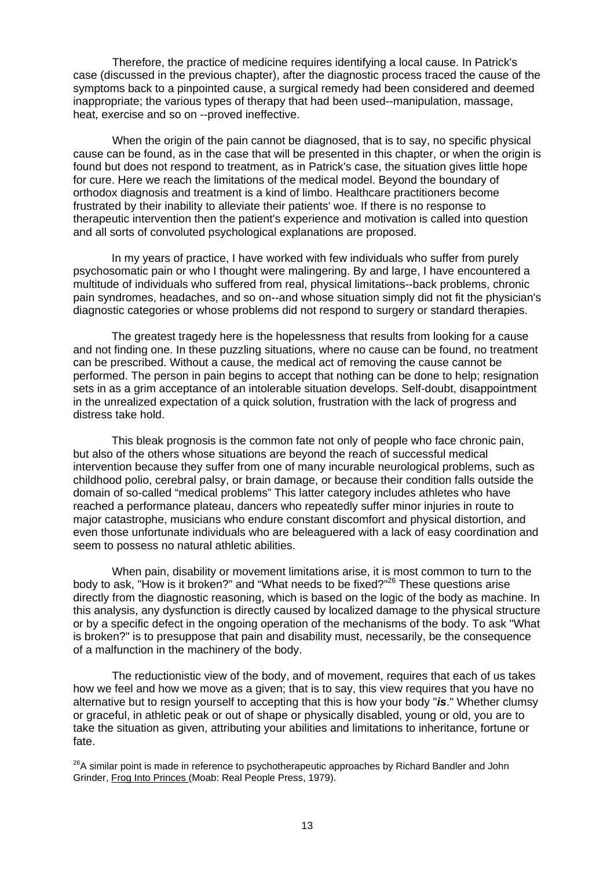Therefore, the practice of medicine requires identifying a local cause. In Patrick's case (discussed in the previous chapter), after the diagnostic process traced the cause of the symptoms back to a pinpointed cause, a surgical remedy had been considered and deemed inappropriate; the various types of therapy that had been used--manipulation, massage, heat, exercise and so on --proved ineffective.

When the origin of the pain cannot be diagnosed, that is to say, no specific physical cause can be found, as in the case that will be presented in this chapter, or when the origin is found but does not respond to treatment, as in Patrick's case, the situation gives little hope for cure. Here we reach the limitations of the medical model. Beyond the boundary of orthodox diagnosis and treatment is a kind of limbo. Healthcare practitioners become frustrated by their inability to alleviate their patients' woe. If there is no response to therapeutic intervention then the patient's experience and motivation is called into question and all sorts of convoluted psychological explanations are proposed.

In my years of practice, I have worked with few individuals who suffer from purely psychosomatic pain or who I thought were malingering. By and large, I have encountered a multitude of individuals who suffered from real, physical limitations--back problems, chronic pain syndromes, headaches, and so on--and whose situation simply did not fit the physician's diagnostic categories or whose problems did not respond to surgery or standard therapies.

The greatest tragedy here is the hopelessness that results from looking for a cause and not finding one. In these puzzling situations, where no cause can be found, no treatment can be prescribed. Without a cause, the medical act of removing the cause cannot be performed. The person in pain begins to accept that nothing can be done to help; resignation sets in as a grim acceptance of an intolerable situation develops. Self-doubt, disappointment in the unrealized expectation of a quick solution, frustration with the lack of progress and distress take hold.

This bleak prognosis is the common fate not only of people who face chronic pain, but also of the others whose situations are beyond the reach of successful medical intervention because they suffer from one of many incurable neurological problems, such as childhood polio, cerebral palsy, or brain damage, or because their condition falls outside the domain of so-called "medical problems" This latter category includes athletes who have reached a performance plateau, dancers who repeatedly suffer minor injuries in route to major catastrophe, musicians who endure constant discomfort and physical distortion, and even those unfortunate individuals who are beleaguered with a lack of easy coordination and seem to possess no natural athletic abilities.

When pain, disability or movement limitations arise, it is most common to turn to the body to ask, "How is it broken?" and "What needs to be fixed?"26 These questions arise directly from the diagnostic reasoning, which is based on the logic of the body as machine. In this analysis, any dysfunction is directly caused by localized damage to the physical structure or by a specific defect in the ongoing operation of the mechanisms of the body. To ask "What is broken?" is to presuppose that pain and disability must, necessarily, be the consequence of a malfunction in the machinery of the body.

The reductionistic view of the body, and of movement, requires that each of us takes how we feel and how we move as a given; that is to say, this view requires that you have no alternative but to resign yourself to accepting that this is how your body "*is*." Whether clumsy or graceful, in athletic peak or out of shape or physically disabled, young or old, you are to take the situation as given, attributing your abilities and limitations to inheritance, fortune or fate.

 $^{26}$ A similar point is made in reference to psychotherapeutic approaches by Richard Bandler and John Grinder, Frog Into Princes (Moab: Real People Press, 1979).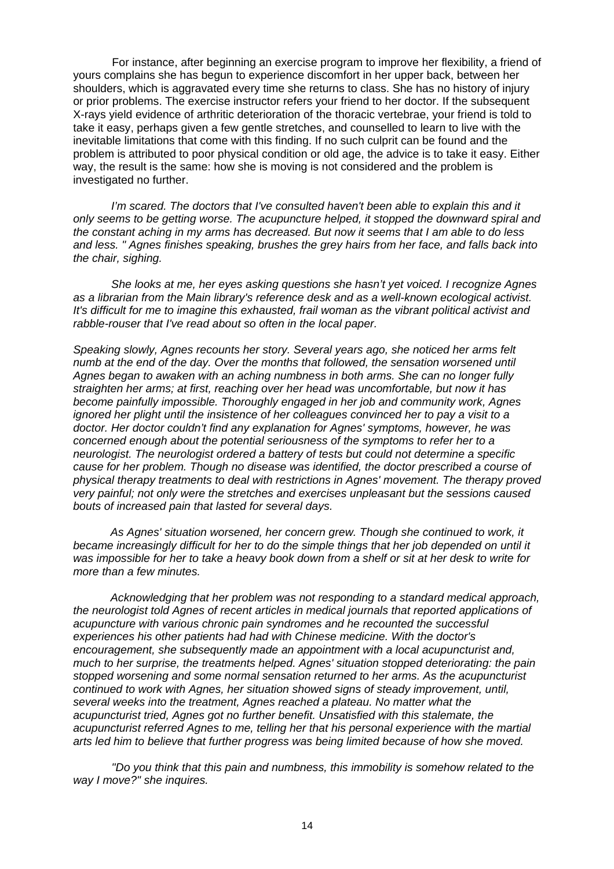For instance, after beginning an exercise program to improve her flexibility, a friend of yours complains she has begun to experience discomfort in her upper back, between her shoulders, which is aggravated every time she returns to class. She has no history of injury or prior problems. The exercise instructor refers your friend to her doctor. If the subsequent X-rays yield evidence of arthritic deterioration of the thoracic vertebrae, your friend is told to take it easy, perhaps given a few gentle stretches, and counselled to learn to live with the inevitable limitations that come with this finding. If no such culprit can be found and the problem is attributed to poor physical condition or old age, the advice is to take it easy. Either way, the result is the same: how she is moving is not considered and the problem is investigated no further.

*I'm scared. The doctors that I've consulted haven't been able to explain this and it only seems to be getting worse. The acupuncture helped, it stopped the downward spiral and the constant aching in my arms has decreased. But now it seems that I am able to do less and less. " Agnes finishes speaking, brushes the grey hairs from her face, and falls back into the chair, sighing.* 

*She looks at me, her eyes asking questions she hasn't yet voiced. I recognize Agnes as a librarian from the Main library's reference desk and as a well-known ecological activist. It's difficult for me to imagine this exhausted, frail woman as the vibrant political activist and rabble-rouser that I've read about so often in the local paper.* 

*Speaking slowly, Agnes recounts her story. Several years ago, she noticed her arms felt numb at the end of the day. Over the months that followed, the sensation worsened until Agnes began to awaken with an aching numbness in both arms. She can no longer fully straighten her arms; at first, reaching over her head was uncomfortable, but now it has become painfully impossible. Thoroughly engaged in her job and community work, Agnes ignored her plight until the insistence of her colleagues convinced her to pay a visit to a doctor. Her doctor couldn't find any explanation for Agnes' symptoms, however, he was concerned enough about the potential seriousness of the symptoms to refer her to a neurologist. The neurologist ordered a battery of tests but could not determine a specific cause for her problem. Though no disease was identified, the doctor prescribed a course of physical therapy treatments to deal with restrictions in Agnes' movement. The therapy proved very painful; not only were the stretches and exercises unpleasant but the sessions caused bouts of increased pain that lasted for several days.* 

*As Agnes' situation worsened, her concern grew. Though she continued to work, it became increasingly difficult for her to do the simple things that her job depended on until it was impossible for her to take a heavy book down from a shelf or sit at her desk to write for more than a few minutes.* 

*Acknowledging that her problem was not responding to a standard medical approach, the neurologist told Agnes of recent articles in medical journals that reported applications of acupuncture with various chronic pain syndromes and he recounted the successful experiences his other patients had had with Chinese medicine. With the doctor's encouragement, she subsequently made an appointment with a local acupuncturist and, much to her surprise, the treatments helped. Agnes' situation stopped deteriorating: the pain stopped worsening and some normal sensation returned to her arms. As the acupuncturist continued to work with Agnes, her situation showed signs of steady improvement, until, several weeks into the treatment, Agnes reached a plateau. No matter what the acupuncturist tried, Agnes got no further benefit. Unsatisfied with this stalemate, the acupuncturist referred Agnes to me, telling her that his personal experience with the martial arts led him to believe that further progress was being limited because of how she moved.* 

*"Do you think that this pain and numbness, this immobility is somehow related to the way I move?" she inquires.*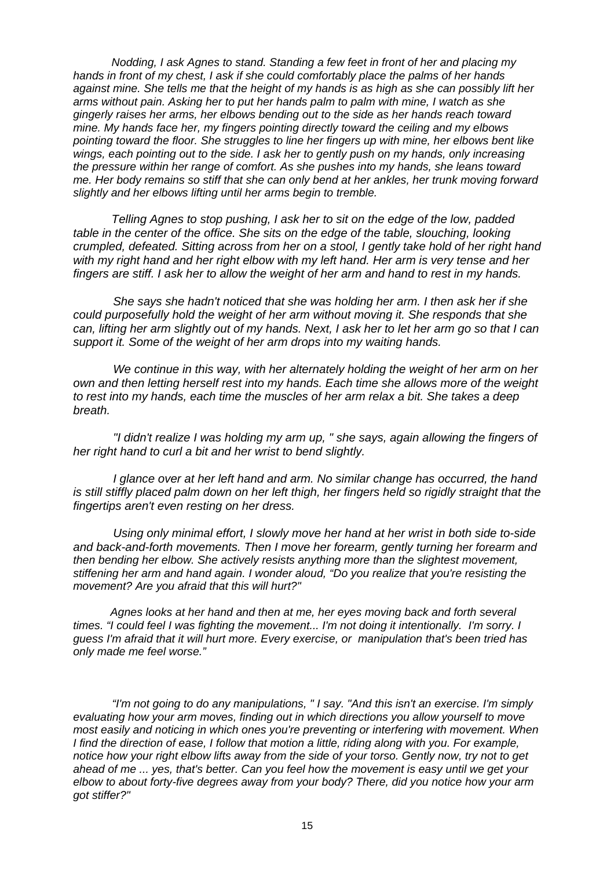*Nodding, I ask Agnes to stand. Standing a few feet in front of her and placing my hands in front of my chest, I ask if she could comfortably place the palms of her hands against mine. She tells me that the height of my hands is as high as she can possibly lift her arms without pain. Asking her to put her hands palm to palm with mine, I watch as she gingerly raises her arms, her elbows bending out to the side as her hands reach toward mine. My hands face her, my fingers pointing directly toward the ceiling and my elbows pointing toward the floor. She struggles to line her fingers up with mine, her elbows bent like wings, each pointing out to the side. I ask her to gently push on my hands, only increasing the pressure within her range of comfort. As she pushes into my hands, she leans toward me. Her body remains so stiff that she can only bend at her ankles, her trunk moving forward slightly and her elbows lifting until her arms begin to tremble.* 

*Telling Agnes to stop pushing, I ask her to sit on the edge of the low, padded table in the center of the office. She sits on the edge of the table, slouching, looking crumpled, defeated. Sitting across from her on a stool, I gently take hold of her right hand with my right hand and her right elbow with my left hand. Her arm is very tense and her fingers are stiff. I ask her to allow the weight of her arm and hand to rest in my hands.* 

*She says she hadn't noticed that she was holding her arm. I then ask her if she could purposefully hold the weight of her arm without moving it. She responds that she can, lifting her arm slightly out of my hands. Next, I ask her to let her arm go so that I can support it. Some of the weight of her arm drops into my waiting hands.* 

*We continue in this way, with her alternately holding the weight of her arm on her own and then letting herself rest into my hands. Each time she allows more of the weight to rest into my hands, each time the muscles of her arm relax a bit. She takes a deep breath.* 

*"I didn't realize I was holding my arm up, " she says, again allowing the fingers of her right hand to curl a bit and her wrist to bend slightly.* 

*I glance over at her left hand and arm. No similar change has occurred, the hand is still stiffly placed palm down on her left thigh, her fingers held so rigidly straight that the fingertips aren't even resting on her dress.* 

*Using only minimal effort, I slowly move her hand at her wrist in both side to-side and back-and-forth movements. Then I move her forearm, gently turning her forearm and then bending her elbow. She actively resists anything more than the slightest movement, stiffening her arm and hand again. I wonder aloud, "Do you realize that you're resisting the movement? Are you afraid that this will hurt?"* 

*Agnes looks at her hand and then at me, her eyes moving back and forth several times. "I could feel I was fighting the movement... I'm not doing it intentionally. I'm sorry. I guess I'm afraid that it will hurt more. Every exercise, or manipulation that's been tried has only made me feel worse."*

*"I'm not going to do any manipulations, " I say. "And this isn't an exercise. I'm simply evaluating how your arm moves, finding out in which directions you allow yourself to move most easily and noticing in which ones you're preventing or interfering with movement. When I find the direction of ease, I follow that motion a little, riding along with you. For example, notice how your right elbow lifts away from the side of your torso. Gently now, try not to get ahead of me ... yes, that's better. Can you feel how the movement is easy until we get your elbow to about forty-five degrees away from your body? There, did you notice how your arm got stiffer?"*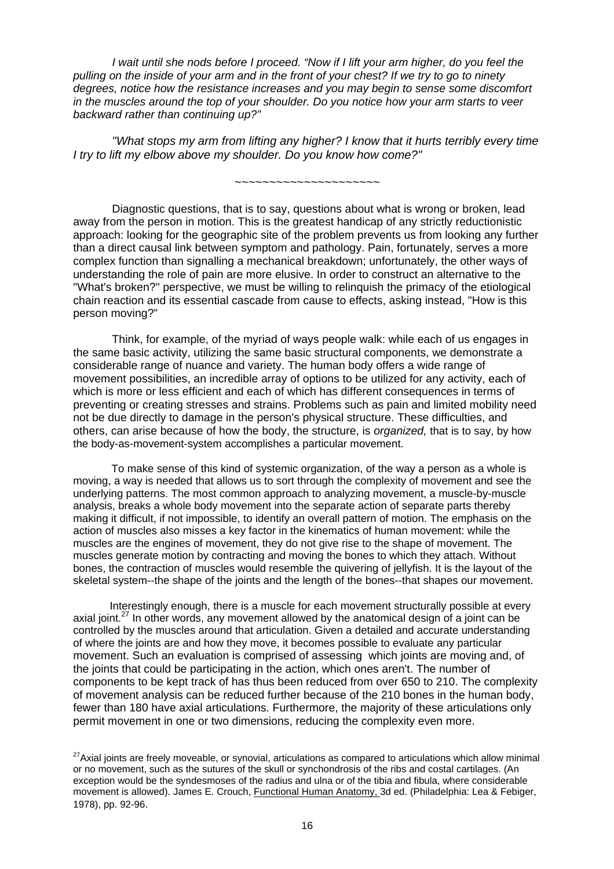*I wait until she nods before I proceed. "Now if I lift your arm higher, do you feel the pulling on the inside of your arm and in the front of your chest? If we try to go to ninety degrees, notice how the resistance increases and you may begin to sense some discomfort in the muscles around the top of your shoulder. Do you notice how your arm starts to veer backward rather than continuing up?"*

*"What stops my arm from lifting any higher? I know that it hurts terribly every time I try to lift my elbow above my shoulder. Do you know how come?"* 

*~~~~~~~~~~~~~~~~~~~~~* 

Diagnostic questions, that is to say, questions about what is wrong or broken, lead away from the person in motion. This is the greatest handicap of any strictly reductionistic approach: looking for the geographic site of the problem prevents us from looking any further than a direct causal link between symptom and pathology. Pain, fortunately, serves a more complex function than signalling a mechanical breakdown; unfortunately, the other ways of understanding the role of pain are more elusive. In order to construct an alternative to the "What's broken?" perspective, we must be willing to relinquish the primacy of the etiological chain reaction and its essential cascade from cause to effects, asking instead, "How is this person moving?"

Think, for example, of the myriad of ways people walk: while each of us engages in the same basic activity, utilizing the same basic structural components, we demonstrate a considerable range of nuance and variety. The human body offers a wide range of movement possibilities, an incredible array of options to be utilized for any activity, each of which is more or less efficient and each of which has different consequences in terms of preventing or creating stresses and strains. Problems such as pain and limited mobility need not be due directly to damage in the person's physical structure. These difficulties, and others, can arise because of how the body, the structure, is *organized,* that is to say, by how the body-as-movement-system accomplishes a particular movement.

To make sense of this kind of systemic organization, of the way a person as a whole is moving, a way is needed that allows us to sort through the complexity of movement and see the underlying patterns. The most common approach to analyzing movement, a muscle-by-muscle analysis, breaks a whole body movement into the separate action of separate parts thereby making it difficult, if not impossible, to identify an overall pattern of motion. The emphasis on the action of muscles also misses a key factor in the kinematics of human movement: while the muscles are the engines of movement, they do not give rise to the shape of movement. The muscles generate motion by contracting and moving the bones to which they attach. Without bones, the contraction of muscles would resemble the quivering of jellyfish. It is the layout of the skeletal system--the shape of the joints and the length of the bones--that shapes our movement.

Interestingly enough, there is a muscle for each movement structurally possible at every axial joint.<sup>27</sup> In other words, any movement allowed by the anatomical design of a joint can be controlled by the muscles around that articulation. Given a detailed and accurate understanding of where the joints are and how they move, it becomes possible to evaluate any particular movement. Such an evaluation is comprised of assessing which joints are moving and, of the joints that could be participating in the action, which ones aren't. The number of components to be kept track of has thus been reduced from over 650 to 210. The complexity of movement analysis can be reduced further because of the 210 bones in the human body, fewer than 180 have axial articulations. Furthermore, the majority of these articulations only permit movement in one or two dimensions, reducing the complexity even more.

 $27$ Axial joints are freely moveable, or synovial, articulations as compared to articulations which allow minimal or no movement, such as the sutures of the skull or synchondrosis of the ribs and costal cartilages. (An exception would be the syndesmoses of the radius and ulna or of the tibia and fibula, where considerable movement is allowed). James E. Crouch, Functional Human Anatomy, 3d ed. (Philadelphia: Lea & Febiger, 1978), pp. 92-96.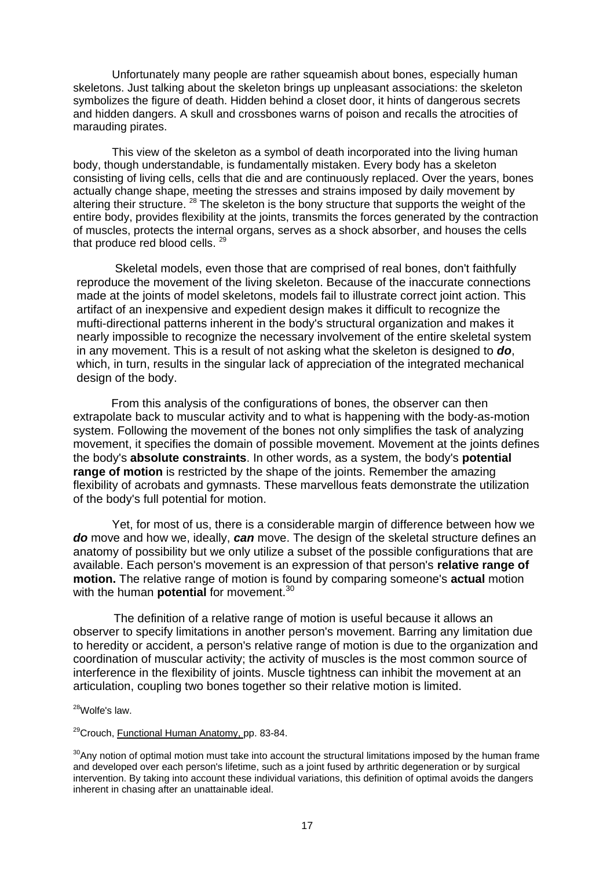Unfortunately many people are rather squeamish about bones, especially human skeletons. Just talking about the skeleton brings up unpleasant associations: the skeleton symbolizes the figure of death. Hidden behind a closet door, it hints of dangerous secrets and hidden dangers. A skull and crossbones warns of poison and recalls the atrocities of marauding pirates.

This view of the skeleton as a symbol of death incorporated into the living human body, though understandable, is fundamentally mistaken. Every body has a skeleton consisting of living cells, cells that die and are continuously replaced. Over the years, bones actually change shape, meeting the stresses and strains imposed by daily movement by altering their structure.  $28$  The skeleton is the bony structure that supports the weight of the entire body, provides flexibility at the joints, transmits the forces generated by the contraction of muscles, protects the internal organs, serves as a shock absorber, and houses the cells that produce red blood cells.  $29$ 

Skeletal models, even those that are comprised of real bones, don't faithfully reproduce the movement of the living skeleton. Because of the inaccurate connections made at the joints of model skeletons, models fail to illustrate correct joint action. This artifact of an inexpensive and expedient design makes it difficult to recognize the mufti-directional patterns inherent in the body's structural organization and makes it nearly impossible to recognize the necessary involvement of the entire skeletal system in any movement. This is a result of not asking what the skeleton is designed to *do*, which, in turn, results in the singular lack of appreciation of the integrated mechanical design of the body.

From this analysis of the configurations of bones, the observer can then extrapolate back to muscular activity and to what is happening with the body-as-motion system. Following the movement of the bones not only simplifies the task of analyzing movement, it specifies the domain of possible movement. Movement at the joints defines the body's **absolute constraints**. In other words, as a system, the body's **potential range of motion** is restricted by the shape of the joints. Remember the amazing flexibility of acrobats and gymnasts. These marvellous feats demonstrate the utilization of the body's full potential for motion.

Yet, for most of us, there is a considerable margin of difference between how we *do* move and how we, ideally, *can* move. The design of the skeletal structure defines an anatomy of possibility but we only utilize a subset of the possible configurations that are available. Each person's movement is an expression of that person's **relative range of motion.** The relative range of motion is found by comparing someone's **actual** motion with the human **potential** for movement.<sup>30</sup>

The definition of a relative range of motion is useful because it allows an observer to specify limitations in another person's movement. Barring any limitation due to heredity or accident, a person's relative range of motion is due to the organization and coordination of muscular activity; the activity of muscles is the most common source of interference in the flexibility of joints. Muscle tightness can inhibit the movement at an articulation, coupling two bones together so their relative motion is limited.

#### 28Wolfe's law.

#### <sup>29</sup>Crouch, Functional Human Anatomy, pp. 83-84.

 $30$ Any notion of optimal motion must take into account the structural limitations imposed by the human frame and developed over each person's lifetime, such as a joint fused by arthritic degeneration or by surgical intervention. By taking into account these individual variations, this definition of optimal avoids the dangers inherent in chasing after an unattainable ideal.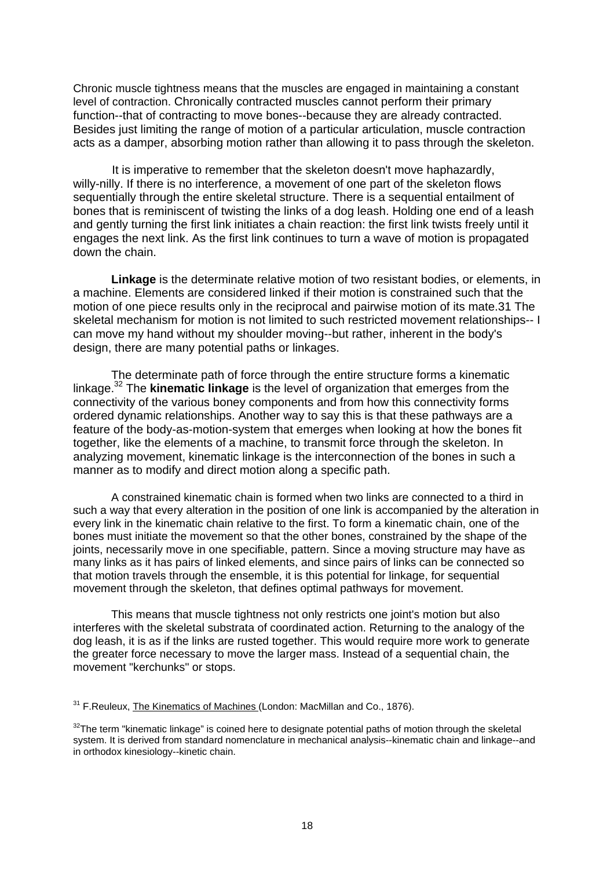Chronic muscle tightness means that the muscles are engaged in maintaining a constant level of contraction. Chronically contracted muscles cannot perform their primary function--that of contracting to move bones--because they are already contracted. Besides just limiting the range of motion of a particular articulation, muscle contraction acts as a damper, absorbing motion rather than allowing it to pass through the skeleton.

It is imperative to remember that the skeleton doesn't move haphazardly, willy-nilly. If there is no interference, a movement of one part of the skeleton flows sequentially through the entire skeletal structure. There is a sequential entailment of bones that is reminiscent of twisting the links of a dog leash. Holding one end of a leash and gently turning the first link initiates a chain reaction: the first link twists freely until it engages the next link. As the first link continues to turn a wave of motion is propagated down the chain.

**Linkage** is the determinate relative motion of two resistant bodies, or elements, in a machine. Elements are considered linked if their motion is constrained such that the motion of one piece results only in the reciprocal and pairwise motion of its mate.31 The skeletal mechanism for motion is not limited to such restricted movement relationships-- I can move my hand without my shoulder moving--but rather, inherent in the body's design, there are many potential paths or linkages.

The determinate path of force through the entire structure forms a kinematic linkage.32 The **kinematic linkage** is the level of organization that emerges from the connectivity of the various boney components and from how this connectivity forms ordered dynamic relationships. Another way to say this is that these pathways are a feature of the body-as-motion-system that emerges when looking at how the bones fit together, like the elements of a machine, to transmit force through the skeleton. In analyzing movement, kinematic linkage is the interconnection of the bones in such a manner as to modify and direct motion along a specific path.

A constrained kinematic chain is formed when two links are connected to a third in such a way that every alteration in the position of one link is accompanied by the alteration in every link in the kinematic chain relative to the first. To form a kinematic chain, one of the bones must initiate the movement so that the other bones, constrained by the shape of the joints, necessarily move in one specifiable, pattern. Since a moving structure may have as many links as it has pairs of linked elements, and since pairs of links can be connected so that motion travels through the ensemble, it is this potential for linkage, for sequential movement through the skeleton, that defines optimal pathways for movement.

This means that muscle tightness not only restricts one joint's motion but also interferes with the skeletal substrata of coordinated action. Returning to the analogy of the dog leash, it is as if the links are rusted together. This would require more work to generate the greater force necessary to move the larger mass. Instead of a sequential chain, the movement "kerchunks" or stops.

<sup>&</sup>lt;sup>31</sup> F.Reuleux, The Kinematics of Machines (London: MacMillan and Co., 1876).

 $32$ The term "kinematic linkage" is coined here to designate potential paths of motion through the skeletal system. It is derived from standard nomenclature in mechanical analysis--kinematic chain and linkage--and in orthodox kinesiology--kinetic chain.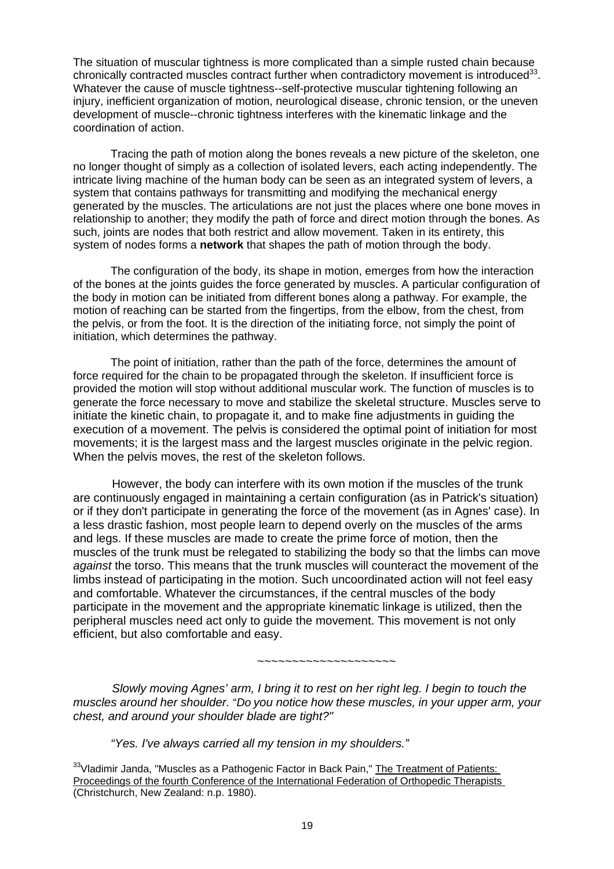The situation of muscular tightness is more complicated than a simple rusted chain because chronically contracted muscles contract further when contradictory movement is introduced<sup>33</sup>. Whatever the cause of muscle tightness--self-protective muscular tightening following an injury, inefficient organization of motion, neurological disease, chronic tension, or the uneven development of muscle--chronic tightness interferes with the kinematic linkage and the coordination of action.

Tracing the path of motion along the bones reveals a new picture of the skeleton, one no longer thought of simply as a collection of isolated levers, each acting independently. The intricate living machine of the human body can be seen as an integrated system of levers, a system that contains pathways for transmitting and modifying the mechanical energy generated by the muscles. The articulations are not just the places where one bone moves in relationship to another; they modify the path of force and direct motion through the bones. As such, joints are nodes that both restrict and allow movement. Taken in its entirety, this system of nodes forms a **network** that shapes the path of motion through the body.

The configuration of the body, its shape in motion, emerges from how the interaction of the bones at the joints guides the force generated by muscles. A particular configuration of the body in motion can be initiated from different bones along a pathway. For example, the motion of reaching can be started from the fingertips, from the elbow, from the chest, from the pelvis, or from the foot. It is the direction of the initiating force, not simply the point of initiation, which determines the pathway.

The point of initiation, rather than the path of the force, determines the amount of force required for the chain to be propagated through the skeleton. If insufficient force is provided the motion will stop without additional muscular work. The function of muscles is to generate the force necessary to move and stabilize the skeletal structure. Muscles serve to initiate the kinetic chain, to propagate it, and to make fine adjustments in guiding the execution of a movement. The pelvis is considered the optimal point of initiation for most movements; it is the largest mass and the largest muscles originate in the pelvic region. When the pelvis moves, the rest of the skeleton follows.

However, the body can interfere with its own motion if the muscles of the trunk are continuously engaged in maintaining a certain configuration (as in Patrick's situation) or if they don't participate in generating the force of the movement (as in Agnes' case). In a less drastic fashion, most people learn to depend overly on the muscles of the arms and legs. If these muscles are made to create the prime force of motion, then the muscles of the trunk must be relegated to stabilizing the body so that the limbs can move *against* the torso. This means that the trunk muscles will counteract the movement of the limbs instead of participating in the motion. Such uncoordinated action will not feel easy and comfortable. Whatever the circumstances, if the central muscles of the body participate in the movement and the appropriate kinematic linkage is utilized, then the peripheral muscles need act only to guide the movement. This movement is not only efficient, but also comfortable and easy.

~~~~~~~~~~~~~~~~~~~~

*Slowly moving Agnes' arm, I bring it to rest on her right leg. I begin to touch the muscles around her shoulder.* "*Do you notice how these muscles, in your upper arm, your chest, and around your shoulder blade are tight?"* 

*"Yes. I've always carried all my tension in my shoulders."*

<sup>33</sup>Vladimir Janda, "Muscles as a Pathogenic Factor in Back Pain," The Treatment of Patients: Proceedings of the fourth Conference of the International Federation of Orthopedic Therapists (Christchurch, New Zealand: n.p. 1980).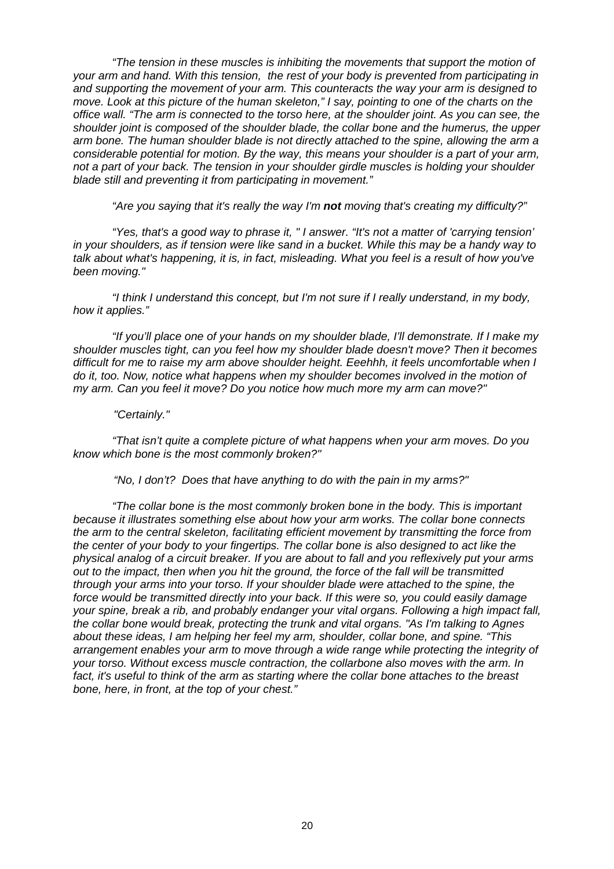*"The tension in these muscles is inhibiting the movements that support the motion of your arm and hand. With this tension, the rest of your body is prevented from participating in and supporting the movement of your arm. This counteracts the way your arm is designed to move. Look at this picture of the human skeleton," I say, pointing to one of the charts on the office wall. "The arm is connected to the torso here, at the shoulder joint. As you can see, the shoulder joint is composed of the shoulder blade, the collar bone and the humerus, the upper arm bone. The human shoulder blade is not directly attached to the spine, allowing the arm a considerable potential for motion. By the way, this means your shoulder is a part of your arm, not a part of your back. The tension in your shoulder girdle muscles is holding your shoulder blade still and preventing it from participating in movement."*

*"Are you saying that it's really the way I'm not moving that's creating my difficulty?"*

*"Yes, that's a good way to phrase it, " I answer. "It's not a matter of 'carrying tension' in your shoulders, as if tension were like sand in a bucket. While this may be a handy way to talk about what's happening, it is, in fact, misleading. What you feel is a result of how you've been moving."* 

*"I think I understand this concept, but I'm not sure if I really understand, in my body, how it applies."*

*"If you'll place one of your hands on my shoulder blade, I'll demonstrate. If I make my shoulder muscles tight, can you feel how my shoulder blade doesn't move? Then it becomes difficult for me to raise my arm above shoulder height. Eeehhh, it feels uncomfortable when I*  do it, too. Now, notice what happens when my shoulder becomes involved in the motion of *my arm. Can you feel it move? Do you notice how much more my arm can move?"* 

*"Certainly."* 

*"That isn't quite a complete picture of what happens when your arm moves. Do you know which bone is the most commonly broken?"* 

*"No, I don't? Does that have anything to do with the pain in my arms?"* 

*"The collar bone is the most commonly broken bone in the body. This is important because it illustrates something else about how your arm works. The collar bone connects the arm to the central skeleton, facilitating efficient movement by transmitting the force from the center of your body to your fingertips. The collar bone is also designed to act like the physical analog of a circuit breaker. If you are about to fall and you reflexively put your arms out to the impact, then when you hit the ground, the force of the fall will be transmitted through your arms into your torso. If your shoulder blade were attached to the spine, the force would be transmitted directly into your back. If this were so, you could easily damage your spine, break a rib, and probably endanger your vital organs. Following a high impact fall, the collar bone would break, protecting the trunk and vital organs. "As I'm talking to Agnes about these ideas, I am helping her feel my arm, shoulder, collar bone, and spine. "This arrangement enables your arm to move through a wide range while protecting the integrity of your torso. Without excess muscle contraction, the collarbone also moves with the arm. In fact, it's useful to think of the arm as starting where the collar bone attaches to the breast bone, here, in front, at the top of your chest."*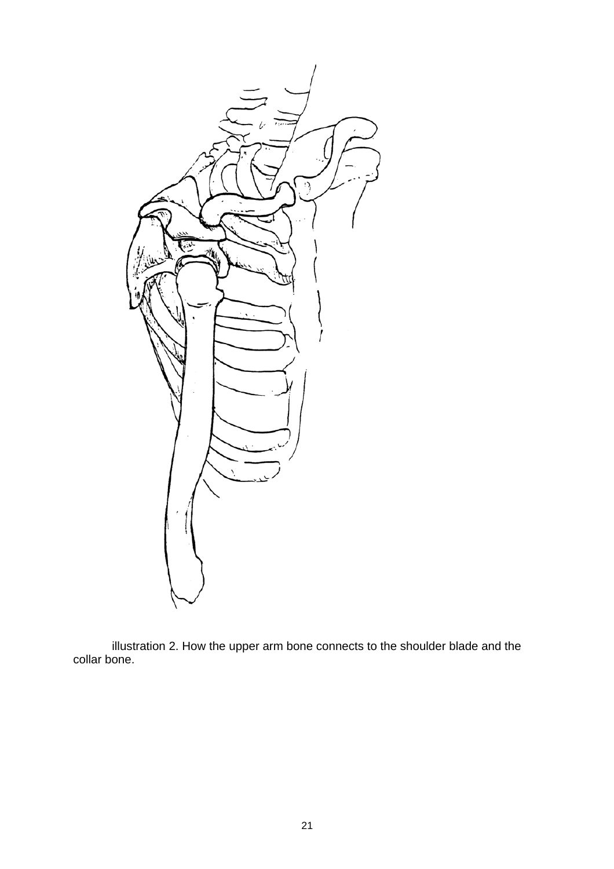

illustration 2. How the upper arm bone connects to the shoulder blade and the collar bone.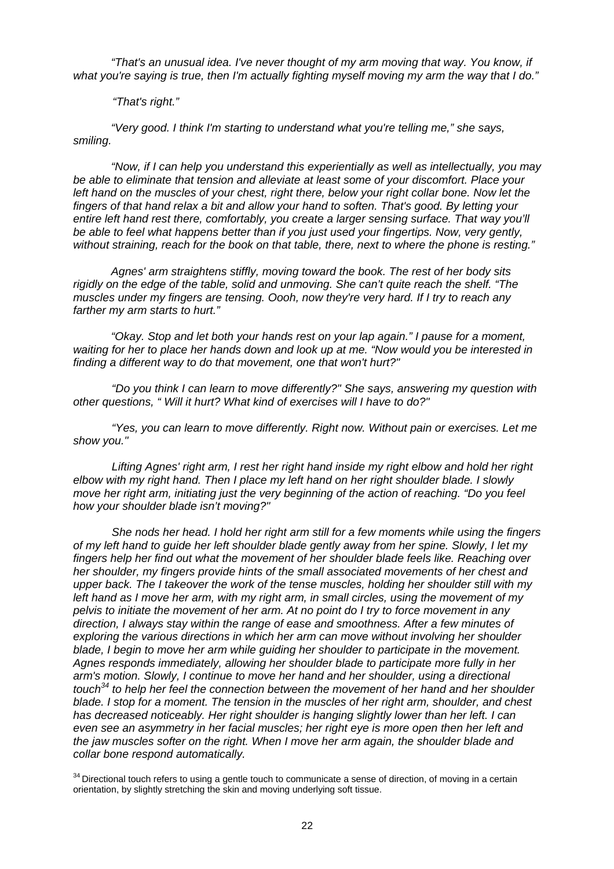*"That's an unusual idea. I've never thought of my arm moving that way. You know, if what you're saying is true, then I'm actually fighting myself moving my arm the way that I do."*

*"That's right."*

*"Very good. I think I'm starting to understand what you're telling me," she says, smiling.* 

*"Now, if I can help you understand this experientially as well as intellectually, you may be able to eliminate that tension and alleviate at least some of your discomfort. Place your*  left hand on the muscles of your chest, right there, below your right collar bone. Now let the *fingers of that hand relax a bit and allow your hand to soften. That's good. By letting your entire left hand rest there, comfortably, you create a larger sensing surface. That way you'll be able to feel what happens better than if you just used your fingertips. Now, very gently, without straining, reach for the book on that table, there, next to where the phone is resting."*

*Agnes' arm straightens stiffly, moving toward the book. The rest of her body sits rigidly on the edge of the table, solid and unmoving. She can't quite reach the shelf. "The muscles under my fingers are tensing. Oooh, now they're very hard. If I try to reach any farther my arm starts to hurt."*

*"Okay. Stop and let both your hands rest on your lap again." I pause for a moment, waiting for her to place her hands down and look up at me. "Now would you be interested in finding a different way to do that movement, one that won't hurt?"* 

*"Do you think I can learn to move differently?" She says, answering my question with other questions, " Will it hurt? What kind of exercises will I have to do?"* 

*"Yes, you can learn to move differently. Right now. Without pain or exercises. Let me show you."* 

*Lifting Agnes' right arm, I rest her right hand inside my right elbow and hold her right elbow with my right hand. Then I place my left hand on her right shoulder blade. I slowly move her right arm, initiating just the very beginning of the action of reaching. "Do you feel how your shoulder blade isn't moving?"* 

*She nods her head. I hold her right arm still for a few moments while using the fingers of my left hand to guide her left shoulder blade gently away from her spine. Slowly, I let my fingers help her find out what the movement of her shoulder blade feels like. Reaching over her shoulder, my fingers provide hints of the small associated movements of her chest and upper back. The I takeover the work of the tense muscles, holding her shoulder still with my left hand as I move her arm, with my right arm, in small circles, using the movement of my pelvis to initiate the movement of her arm. At no point do I try to force movement in any direction, I always stay within the range of ease and smoothness. After a few minutes of exploring the various directions in which her arm can move without involving her shoulder blade, I begin to move her arm while guiding her shoulder to participate in the movement. Agnes responds immediately, allowing her shoulder blade to participate more fully in her arm's motion. Slowly, I continue to move her hand and her shoulder, using a directional touch34 to help her feel the connection between the movement of her hand and her shoulder blade. I stop for a moment. The tension in the muscles of her right arm, shoulder, and chest has decreased noticeably. Her right shoulder is hanging slightly lower than her left. I can even see an asymmetry in her facial muscles; her right eye is more open then her left and the jaw muscles softer on the right. When I move her arm again, the shoulder blade and collar bone respond automatically.* 

<sup>34</sup> Directional touch refers to using a gentle touch to communicate a sense of direction, of moving in a certain orientation, by slightly stretching the skin and moving underlying soft tissue.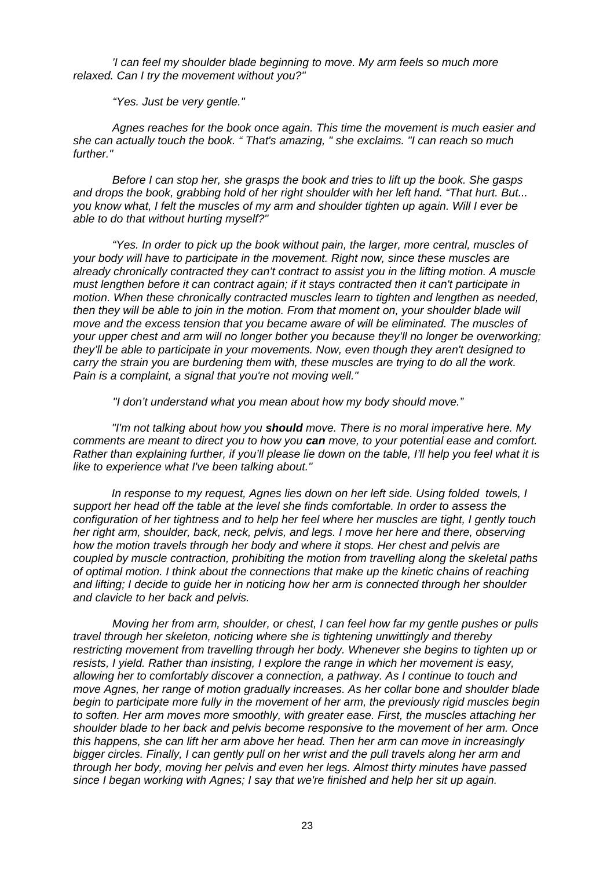*'I can feel my shoulder blade beginning to move. My arm feels so much more relaxed. Can I try the movement without you?"* 

*"Yes. Just be very gentle."* 

*Agnes reaches for the book once again. This time the movement is much easier and she can actually touch the book. " That's amazing, " she exclaims. "I can reach so much further."* 

*Before I can stop her, she grasps the book and tries to lift up the book. She gasps and drops the book, grabbing hold of her right shoulder with her left hand. "That hurt. But... you know what, I felt the muscles of my arm and shoulder tighten up again. Will I ever be able to do that without hurting myself?"* 

*"Yes. In order to pick up the book without pain, the larger, more central, muscles of your body will have to participate in the movement. Right now, since these muscles are already chronically contracted they can't contract to assist you in the lifting motion. A muscle must lengthen before it can contract again; if it stays contracted then it can't participate in motion. When these chronically contracted muscles learn to tighten and lengthen as needed, then they will be able to join in the motion. From that moment on, your shoulder blade will move and the excess tension that you became aware of will be eliminated. The muscles of your upper chest and arm will no longer bother you because they'll no longer be overworking; they'll be able to participate in your movements. Now, even though they aren't designed to carry the strain you are burdening them with, these muscles are trying to do all the work. Pain is a complaint, a signal that you're not moving well."* 

*"I don't understand what you mean about how my body should move."*

*"I'm not talking about how you should move. There is no moral imperative here. My comments are meant to direct you to how you can move, to your potential ease and comfort. Rather than explaining further, if you'll please lie down on the table, I'll help you feel what it is like to experience what I've been talking about."* 

*In response to my request, Agnes lies down on her left side. Using folded towels, I support her head off the table at the level she finds comfortable. In order to assess the configuration of her tightness and to help her feel where her muscles are tight, I gently touch her right arm, shoulder, back, neck, pelvis, and legs. I move her here and there, observing how the motion travels through her body and where it stops. Her chest and pelvis are coupled by muscle contraction, prohibiting the motion from travelling along the skeletal paths of optimal motion. I think about the connections that make up the kinetic chains of reaching and lifting; I decide to guide her in noticing how her arm is connected through her shoulder and clavicle to her back and pelvis.* 

*Moving her from arm, shoulder, or chest, I can feel how far my gentle pushes or pulls travel through her skeleton, noticing where she is tightening unwittingly and thereby restricting movement from travelling through her body. Whenever she begins to tighten up or resists, I yield. Rather than insisting, I explore the range in which her movement is easy, allowing her to comfortably discover a connection, a pathway. As I continue to touch and move Agnes, her range of motion gradually increases. As her collar bone and shoulder blade begin to participate more fully in the movement of her arm, the previously rigid muscles begin to soften. Her arm moves more smoothly, with greater ease. First, the muscles attaching her shoulder blade to her back and pelvis become responsive to the movement of her arm. Once this happens, she can lift her arm above her head. Then her arm can move in increasingly bigger circles. Finally, I can gently pull on her wrist and the pull travels along her arm and through her body, moving her pelvis and even her legs. Almost thirty minutes have passed since I began working with Agnes; I say that we're finished and help her sit up again.*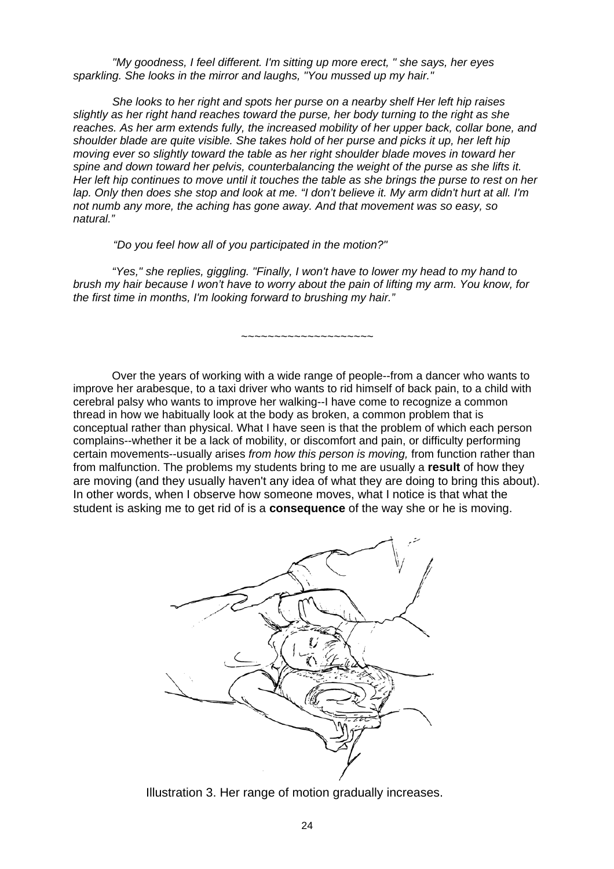*"My goodness, I feel different. I'm sitting up more erect, " she says, her eyes sparkling. She looks in the mirror and laughs, "You mussed up my hair."* 

*She looks to her right and spots her purse on a nearby shelf Her left hip raises slightly as her right hand reaches toward the purse, her body turning to the right as she reaches. As her arm extends fully, the increased mobility of her upper back, collar bone, and shoulder blade are quite visible. She takes hold of her purse and picks it up, her left hip moving ever so slightly toward the table as her right shoulder blade moves in toward her spine and down toward her pelvis, counterbalancing the weight of the purse as she lifts it. Her left hip continues to move until it touches the table as she brings the purse to rest on her lap. Only then does she stop and look at me. "I don't believe it. My arm didn't hurt at all. I'm not numb any more, the aching has gone away. And that movement was so easy, so natural."* 

*"Do you feel how all of you participated in the motion?"* 

*"Yes," she replies, giggling. "Finally, I won't have to lower my head to my hand to brush my hair because I won't have to worry about the pain of lifting my arm. You know, for the first time in months, I'm looking forward to brushing my hair."*

*~~~~~~~~~~~~~~~~~~~~* 

Over the years of working with a wide range of people--from a dancer who wants to improve her arabesque, to a taxi driver who wants to rid himself of back pain, to a child with cerebral palsy who wants to improve her walking--I have come to recognize a common thread in how we habitually look at the body as broken, a common problem that is conceptual rather than physical. What I have seen is that the problem of which each person complains--whether it be a lack of mobility, or discomfort and pain, or difficulty performing certain movements--usually arises *from how this person is moving,* from function rather than from malfunction. The problems my students bring to me are usually a **result** of how they are moving (and they usually haven't any idea of what they are doing to bring this about). In other words, when I observe how someone moves, what I notice is that what the student is asking me to get rid of is a **consequence** of the way she or he is moving.



Illustration 3. Her range of motion gradually increases.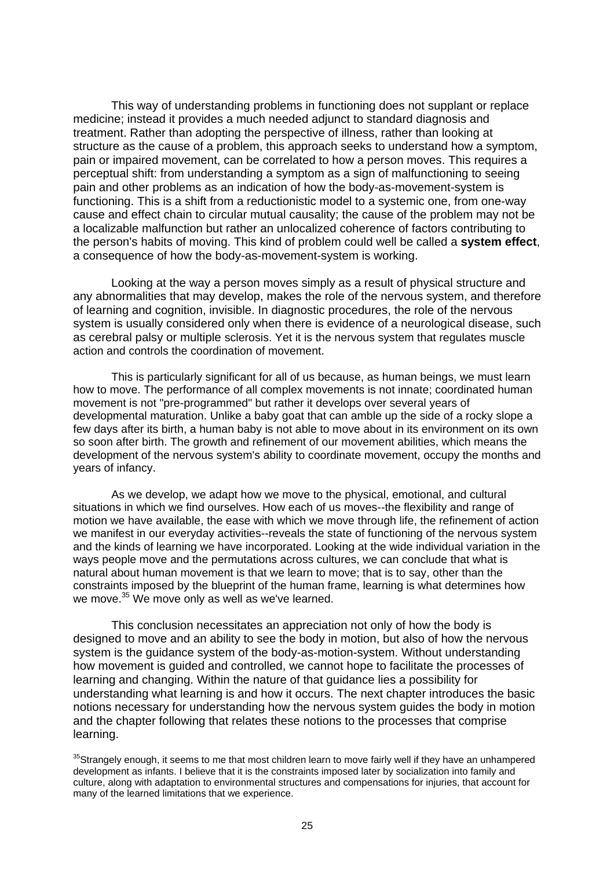This way of understanding problems in functioning does not supplant or replace medicine; instead it provides a much needed adjunct to standard diagnosis and treatment. Rather than adopting the perspective of illness, rather than looking at structure as the cause of a problem, this approach seeks to understand how a symptom, pain or impaired movement, can be correlated to how a person moves. This requires a perceptual shift: from understanding a symptom as a sign of malfunctioning to seeing pain and other problems as an indication of how the body-as-movement-system is functioning. This is a shift from a reductionistic model to a systemic one, from one-way cause and effect chain to circular mutual causality; the cause of the problem may not be a localizable malfunction but rather an unlocalized coherence of factors contributing to the person's habits of moving. This kind of problem could well be called a **system effect**, a consequence of how the body-as-movement-system is working.

Looking at the way a person moves simply as a result of physical structure and any abnormalities that may develop, makes the role of the nervous system, and therefore of learning and cognition, invisible. In diagnostic procedures, the role of the nervous system is usually considered only when there is evidence of a neurological disease, such as cerebral palsy or multiple sclerosis. Yet it is the nervous system that regulates muscle action and controls the coordination of movement.

This is particularly significant for all of us because, as human beings, we must learn how to move. The performance of all complex movements is not innate; coordinated human movement is not "pre-programmed" but rather it develops over several years of developmental maturation. Unlike a baby goat that can amble up the side of a rocky slope a few days after its birth, a human baby is not able to move about in its environment on its own so soon after birth. The growth and refinement of our movement abilities, which means the development of the nervous system's ability to coordinate movement, occupy the months and years of infancy.

As we develop, we adapt how we move to the physical, emotional, and cultural situations in which we find ourselves. How each of us moves--the flexibility and range of motion we have available, the ease with which we move through life, the refinement of action we manifest in our everyday activities--reveals the state of functioning of the nervous system and the kinds of learning we have incorporated. Looking at the wide individual variation in the ways people move and the permutations across cultures, we can conclude that what is natural about human movement is that we learn to move; that is to say, other than the constraints imposed by the blueprint of the human frame, learning is what determines how we move.<sup>35</sup> We move only as well as we've learned.

This conclusion necessitates an appreciation not only of how the body is designed to move and an ability to see the body in motion, but also of how the nervous system is the guidance system of the body-as-motion-system. Without understanding how movement is guided and controlled, we cannot hope to facilitate the processes of learning and changing. Within the nature of that guidance lies a possibility for understanding what learning is and how it occurs. The next chapter introduces the basic notions necessary for understanding how the nervous system guides the body in motion and the chapter following that relates these notions to the processes that comprise learning.

<sup>35</sup>Strangely enough, it seems to me that most children learn to move fairly well if they have an unhampered development as infants. I believe that it is the constraints imposed later by socialization into family and culture, along with adaptation to environmental structures and compensations for injuries, that account for many of the learned limitations that we experience.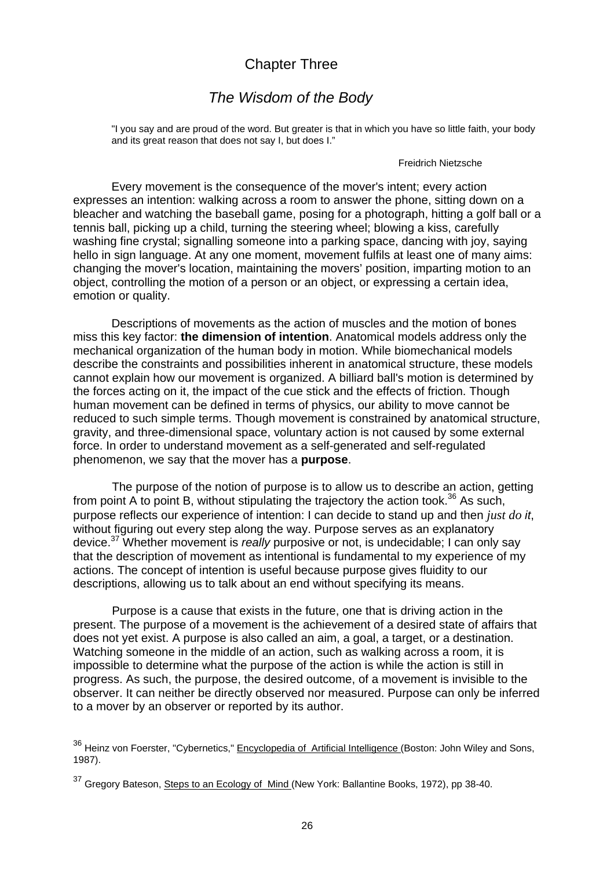# Chapter Three

# *The Wisdom of the Body*

"I you say and are proud of the word. But greater is that in which you have so little faith, your body and its great reason that does not say I, but does I."

#### Freidrich Nietzsche

Every movement is the consequence of the mover's intent; every action expresses an intention: walking across a room to answer the phone, sitting down on a bleacher and watching the baseball game, posing for a photograph, hitting a golf ball or a tennis ball, picking up a child, turning the steering wheel; blowing a kiss, carefully washing fine crystal; signalling someone into a parking space, dancing with joy, saying hello in sign language. At any one moment, movement fulfils at least one of many aims: changing the mover's location, maintaining the movers' position, imparting motion to an object, controlling the motion of a person or an object, or expressing a certain idea, emotion or quality.

Descriptions of movements as the action of muscles and the motion of bones miss this key factor: **the dimension of intention**. Anatomical models address only the mechanical organization of the human body in motion. While biomechanical models describe the constraints and possibilities inherent in anatomical structure, these models cannot explain how our movement is organized. A billiard ball's motion is determined by the forces acting on it, the impact of the cue stick and the effects of friction. Though human movement can be defined in terms of physics, our ability to move cannot be reduced to such simple terms. Though movement is constrained by anatomical structure, gravity, and three-dimensional space, voluntary action is not caused by some external force. In order to understand movement as a self-generated and self-regulated phenomenon, we say that the mover has a **purpose**.

The purpose of the notion of purpose is to allow us to describe an action, getting from point A to point B, without stipulating the trajectory the action took.<sup>36</sup> As such, purpose reflects our experience of intention: I can decide to stand up and then *just do it*, without figuring out every step along the way. Purpose serves as an explanatory device.37 Whether movement is *really* purposive or not, is undecidable; I can only say that the description of movement as intentional is fundamental to my experience of my actions. The concept of intention is useful because purpose gives fluidity to our descriptions, allowing us to talk about an end without specifying its means.

Purpose is a cause that exists in the future, one that is driving action in the present. The purpose of a movement is the achievement of a desired state of affairs that does not yet exist. A purpose is also called an aim, a goal, a target, or a destination. Watching someone in the middle of an action, such as walking across a room, it is impossible to determine what the purpose of the action is while the action is still in progress. As such, the purpose, the desired outcome, of a movement is invisible to the observer. It can neither be directly observed nor measured. Purpose can only be inferred to a mover by an observer or reported by its author.

<sup>&</sup>lt;sup>36</sup> Heinz von Foerster. "Cvbernetics," Encyclopedia of Artificial Intelligence (Boston: John Wiley and Sons, 1987).

<sup>&</sup>lt;sup>37</sup> Gregory Bateson, Steps to an Ecology of Mind (New York: Ballantine Books, 1972), pp 38-40.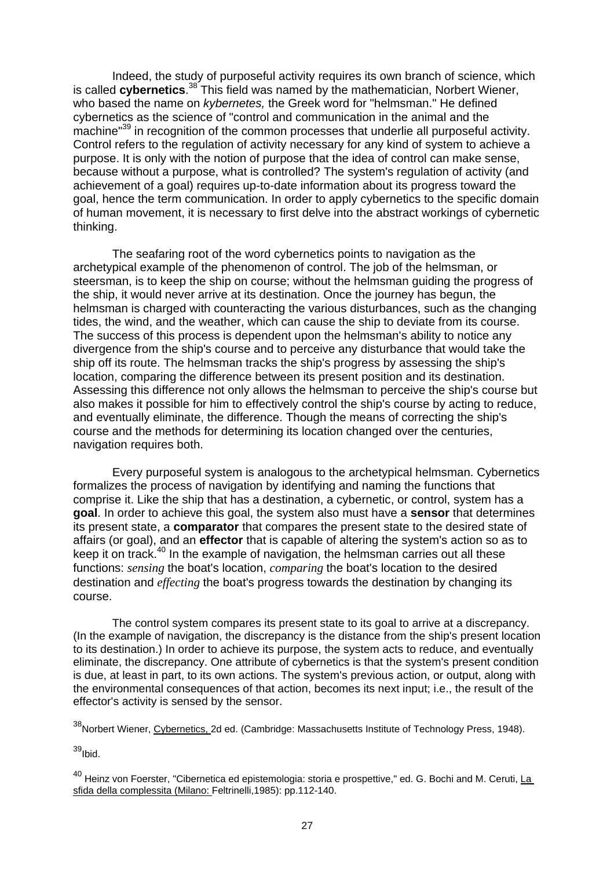Indeed, the study of purposeful activity requires its own branch of science, which is called **cybernetics**. 38 This field was named by the mathematician, Norbert Wiener, who based the name on *kybernetes,* the Greek word for "helmsman." He defined cybernetics as the science of "control and communication in the animal and the machine<sup>"39</sup> in recognition of the common processes that underlie all purposeful activity. Control refers to the regulation of activity necessary for any kind of system to achieve a purpose. It is only with the notion of purpose that the idea of control can make sense, because without a purpose, what is controlled? The system's regulation of activity (and achievement of a goal) requires up-to-date information about its progress toward the goal, hence the term communication. In order to apply cybernetics to the specific domain of human movement, it is necessary to first delve into the abstract workings of cybernetic thinking.

The seafaring root of the word cybernetics points to navigation as the archetypical example of the phenomenon of control. The job of the helmsman, or steersman, is to keep the ship on course; without the helmsman guiding the progress of the ship, it would never arrive at its destination. Once the journey has begun, the helmsman is charged with counteracting the various disturbances, such as the changing tides, the wind, and the weather, which can cause the ship to deviate from its course. The success of this process is dependent upon the helmsman's ability to notice any divergence from the ship's course and to perceive any disturbance that would take the ship off its route. The helmsman tracks the ship's progress by assessing the ship's location, comparing the difference between its present position and its destination. Assessing this difference not only allows the helmsman to perceive the ship's course but also makes it possible for him to effectively control the ship's course by acting to reduce, and eventually eliminate, the difference. Though the means of correcting the ship's course and the methods for determining its location changed over the centuries, navigation requires both.

Every purposeful system is analogous to the archetypical helmsman. Cybernetics formalizes the process of navigation by identifying and naming the functions that comprise it. Like the ship that has a destination, a cybernetic, or control, system has a **goal**. In order to achieve this goal, the system also must have a **sensor** that determines its present state, a **comparator** that compares the present state to the desired state of affairs (or goal), and an **effector** that is capable of altering the system's action so as to keep it on track.<sup>40</sup> In the example of navigation, the helmsman carries out all these functions: *sensing* the boat's location, *comparing* the boat's location to the desired destination and *effecting* the boat's progress towards the destination by changing its course.

The control system compares its present state to its goal to arrive at a discrepancy. (In the example of navigation, the discrepancy is the distance from the ship's present location to its destination.) In order to achieve its purpose, the system acts to reduce, and eventually eliminate, the discrepancy. One attribute of cybernetics is that the system's present condition is due, at least in part, to its own actions. The system's previous action, or output, along with the environmental consequences of that action, becomes its next input; i.e., the result of the effector's activity is sensed by the sensor.

<sup>38</sup>Norbert Wiener, Cybernetics, 2d ed. (Cambridge: Massachusetts Institute of Technology Press, 1948).

 $39$ Ibid.

<sup>&</sup>lt;sup>40</sup> Heinz von Foerster, "Cibernetica ed epistemologia: storia e prospettive," ed. G. Bochi and M. Ceruti, La sfida della complessita (Milano: Feltrinelli,1985): pp.112-140.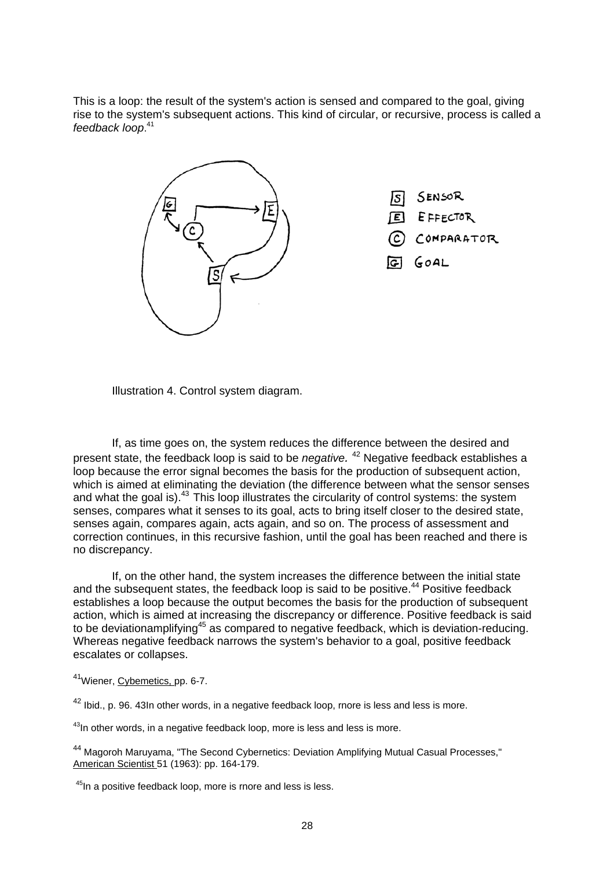This is a loop: the result of the system's action is sensed and compared to the goal, giving rise to the system's subsequent actions. This kind of circular, or recursive, process is called a *feedback loop*. 41





Illustration 4. Control system diagram.

If, as time goes on, the system reduces the difference between the desired and present state, the feedback loop is said to be *negative.* 42 Negative feedback establishes a loop because the error signal becomes the basis for the production of subsequent action. which is aimed at eliminating the deviation (the difference between what the sensor senses and what the goal is).<sup>43</sup> This loop illustrates the circularity of control systems: the system senses, compares what it senses to its goal, acts to bring itself closer to the desired state, senses again, compares again, acts again, and so on. The process of assessment and correction continues, in this recursive fashion, until the goal has been reached and there is no discrepancy.

If, on the other hand, the system increases the difference between the initial state and the subsequent states, the feedback loop is said to be positive.<sup>44</sup> Positive feedback establishes a loop because the output becomes the basis for the production of subsequent action, which is aimed at increasing the discrepancy or difference. Positive feedback is said to be deviationamplifying<sup>45</sup> as compared to negative feedback, which is deviation-reducing. Whereas negative feedback narrows the system's behavior to a goal, positive feedback escalates or collapses.

<sup>41</sup>Wiener, Cybemetics, pp. 6-7.

 $42$  Ibid., p. 96. 43In other words, in a negative feedback loop, rnore is less and less is more.

 $43$ In other words, in a negative feedback loop, more is less and less is more.

44 Magoroh Maruyama, "The Second Cybernetics: Deviation Amplifying Mutual Casual Processes," American Scientist 51 (1963): pp. 164-179.

<sup>&</sup>lt;sup>45</sup>In a positive feedback loop, more is rnore and less is less.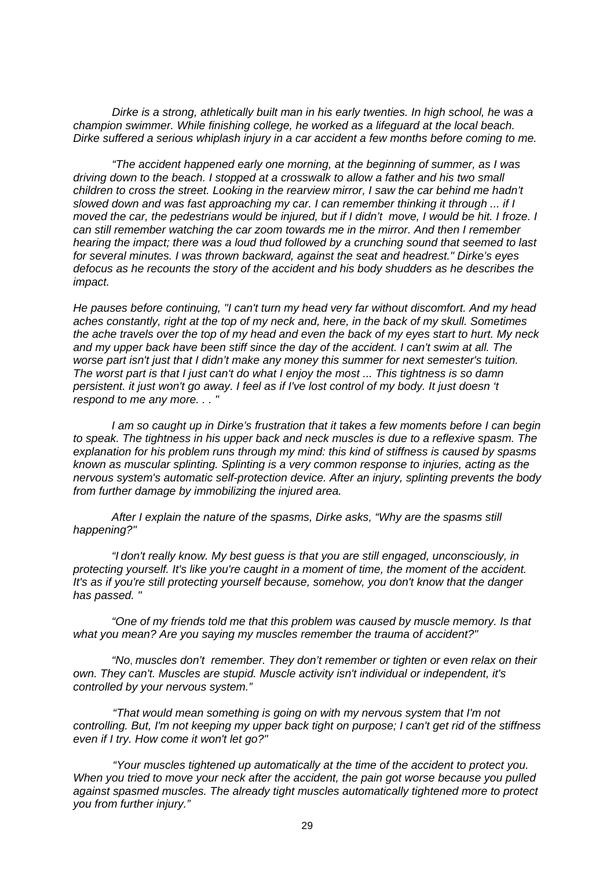*Dirke is a strong, athletically built man in his early twenties. In high school, he was a champion swimmer. While finishing college, he worked as a lifeguard at the local beach. Dirke suffered a serious whiplash injury in a car accident a few months before coming to me.* 

*"The accident happened early one morning, at the beginning of summer, as I was driving down to the beach. I stopped at a crosswalk to allow a father and his two small children to cross the street. Looking in the rearview mirror, I saw the car behind me hadn't slowed down and was fast approaching my car. I can remember thinking it through ... if I moved the car, the pedestrians would be injured, but if I didn't move, I would be hit. I froze. I can still remember watching the car zoom towards me in the mirror. And then I remember hearing the impact; there was a loud thud followed by a crunching sound that seemed to last for several minutes. I was thrown backward, against the seat and headrest." Dirke's eyes defocus as he recounts the story of the accident and his body shudders as he describes the impact.* 

*He pauses before continuing, "I can't turn my head very far without discomfort. And my head aches constantly, right at the top of my neck and, here, in the back of my skull. Sometimes the ache travels over the top of my head and even the back of my eyes start to hurt. My neck and my upper back have been stiff since the day of the accident. I can't swim at all. The worse part isn't just that I didn't make any money this summer for next semester's tuition. The worst part is that I just can't do what I enjoy the most ... This tightness is so damn persistent. it just won't go away. I feel as if I've lost control of my body. It just doesn 't respond to me any more. . . "* 

*I am so caught up in Dirke's frustration that it takes a few moments before I can begin to speak. The tightness in his upper back and neck muscles is due to a reflexive spasm. The explanation for his problem runs through my mind: this kind of stiffness is caused by spasms known as muscular splinting. Splinting is a very common response to injuries, acting as the nervous system's automatic self-protection device. After an injury, splinting prevents the body from further damage by immobilizing the injured area.* 

*After I explain the nature of the spasms, Dirke asks, "Why are the spasms still happening?"* 

*"I don't really know. My best guess is that you are still engaged, unconsciously, in protecting yourself. It's like you're caught in a moment of time, the moment of the accident. It's as if you're still protecting yourself because, somehow, you don't know that the danger has passed. "* 

*"One of my friends told me that this problem was caused by muscle memory. Is that what you mean? Are you saying my muscles remember the trauma of accident?"* 

*"No*, *muscles don't remember. They don't remember or tighten or even relax on their own. They can't. Muscles are stupid. Muscle activity isn't individual or independent, it's controlled by your nervous system."*

*"That would mean something is going on with my nervous system that I'm not controlling. But, I'm not keeping my upper back tight on purpose; I can't get rid of the stiffness even if I try. How come it won't let go?"* 

*"Your muscles tightened up automatically at the time of the accident to protect you. When you tried to move your neck after the accident, the pain got worse because you pulled against spasmed muscles. The already tight muscles automatically tightened more to protect you from further injury."*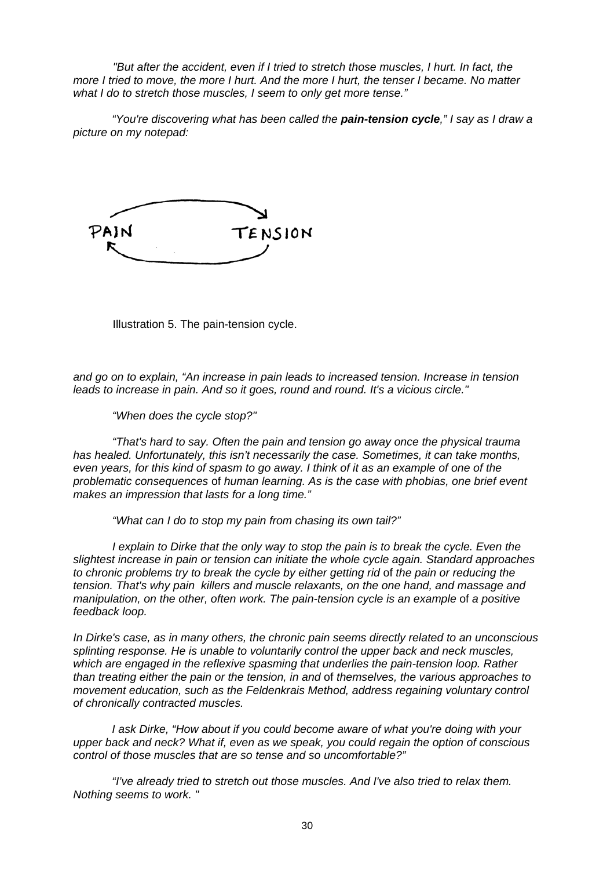*"But after the accident, even if I tried to stretch those muscles, I hurt. In fact, the more I tried to move, the more I hurt. And the more I hurt, the tenser I became. No matter what I do to stretch those muscles, I seem to only get more tense."*

*"You're discovering what has been called the pain-tension cycle," I say as I draw a picture on my notepad:* 



Illustration 5. The pain-tension cycle.

*and go on to explain, "An increase in pain leads to increased tension. Increase in tension leads to increase in pain. And so it goes, round and round. It's a vicious circle."* 

*"When does the cycle stop?"* 

*"That's hard to say. Often the pain and tension go away once the physical trauma has healed. Unfortunately, this isn't necessarily the case. Sometimes, it can take months, even years, for this kind of spasm to go away. I think of it as an example of one of the problematic consequences* of *human learning. As is the case with phobias, one brief event makes an impression that lasts for a long time."*

*"What can I do to stop my pain from chasing its own tail?"*

*I* explain to Dirke that the only way to stop the pain is to break the cycle. Even the *slightest increase in pain or tension can initiate the whole cycle again. Standard approaches*  to chronic problems try to break the cycle by either getting rid of the pain or reducing the *tension. That's why pain killers and muscle relaxants, on the one hand, and massage and manipulation, on the other, often work. The pain-tension cycle is an example of a positive feedback loop.* 

*In Dirke's case, as in many others, the chronic pain seems directly related to an unconscious splinting response. He is unable to voluntarily control the upper back and neck muscles, which are engaged in the reflexive spasming that underlies the pain-tension loop. Rather than treating either the pain or the tension, in and* of *themselves, the various approaches to movement education, such as the Feldenkrais Method, address regaining voluntary control of chronically contracted muscles.* 

*I ask Dirke, "How about if you could become aware of what you're doing with your upper back and neck? What if, even as we speak, you could regain the option of conscious control of those muscles that are so tense and so uncomfortable?"*

*"I've already tried to stretch out those muscles. And I've also tried to relax them. Nothing seems to work. "*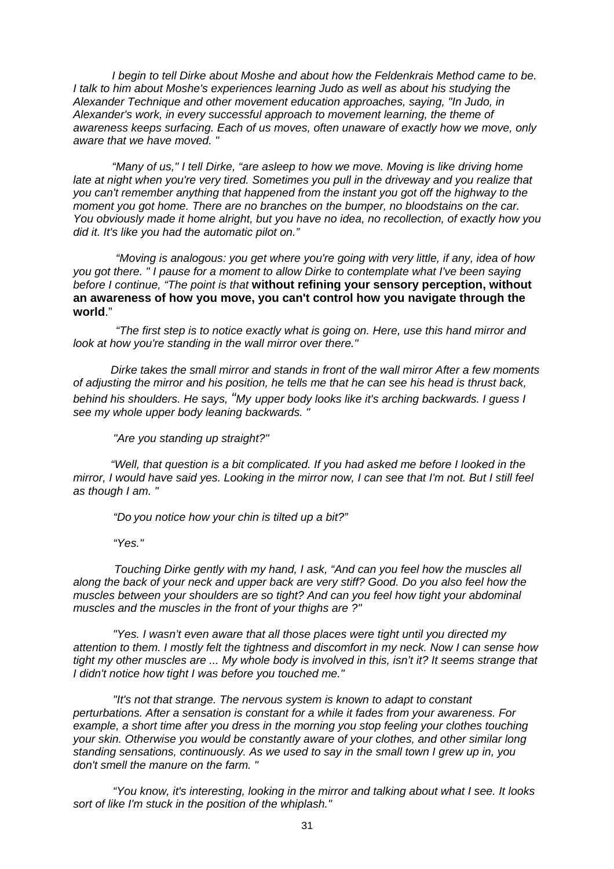*I begin to tell Dirke about Moshe and about how the Feldenkrais Method came to be. I talk to him about Moshe's experiences learning Judo as well as about his studying the Alexander Technique and other movement education approaches, saying, "In Judo, in Alexander's work, in every successful approach to movement learning, the theme of awareness keeps surfacing. Each of us moves, often unaware of exactly how we move, only aware that we have moved. "* 

*"Many of us," I tell Dirke, "are asleep to how we move. Moving is like driving home*  late at night when you're very tired. Sometimes you pull in the driveway and you realize that *you can't remember anything that happened from the instant you got off the highway to the moment you got home. There are no branches on the bumper, no bloodstains on the car. You obviously made it home alright, but you have no idea, no recollection, of exactly how you did it. It's like you had the automatic pilot on."*

*"Moving is analogous: you get where you're going with very little, if any, idea of how you got there. " I pause for a moment to allow Dirke to contemplate what I've been saying before I continue, "The point is that* **without refining your sensory perception, without an awareness of how you move, you can't control how you navigate through the world**."

*"The first step is to notice exactly what is going on. Here, use this hand mirror and look at how you're standing in the wall mirror over there."* 

*Dirke takes the small mirror and stands in front of the wall mirror After a few moments of adjusting the mirror and his position, he tells me that he can see his head is thrust back, behind his shoulders. He says, "My upper body looks like it's arching backwards. I guess I see my whole upper body leaning backwards. "* 

*"Are you standing up straight?"* 

*"Well, that question is a bit complicated. If you had asked me before I looked in the mirror, I would have said yes. Looking in the mirror now, I can see that I'm not. But I still feel as though I am. "* 

*"Do you notice how your chin is tilted up a bit?"*

*"Yes."* 

 *Touching Dirke gently with my hand, I ask, "And can you feel how the muscles all along the back of your neck and upper back are very stiff? Good. Do you also feel how the muscles between your shoulders are so tight? And can you feel how tight your abdominal muscles and the muscles in the front of your thighs are ?"* 

*"Yes. I wasn't even aware that all those places were tight until you directed my attention to them. I mostly felt the tightness and discomfort in my neck. Now I can sense how tight my other muscles are ... My whole body is involved in this, isn't it? It seems strange that I didn't notice how tight I was before you touched me."* 

*"It's not that strange. The nervous system is known to adapt to constant perturbations. After a sensation is constant for a while it fades from your awareness. For example, a short time after you dress in the morning you stop feeling your clothes touching your skin. Otherwise you would be constantly aware of your clothes, and other similar long standing sensations, continuously. As we used to say in the small town I grew up in, you don't smell the manure on the farm. "* 

*"You know, it's interesting, looking in the mirror and talking about what I see. It looks sort of like I'm stuck in the position of the whiplash."*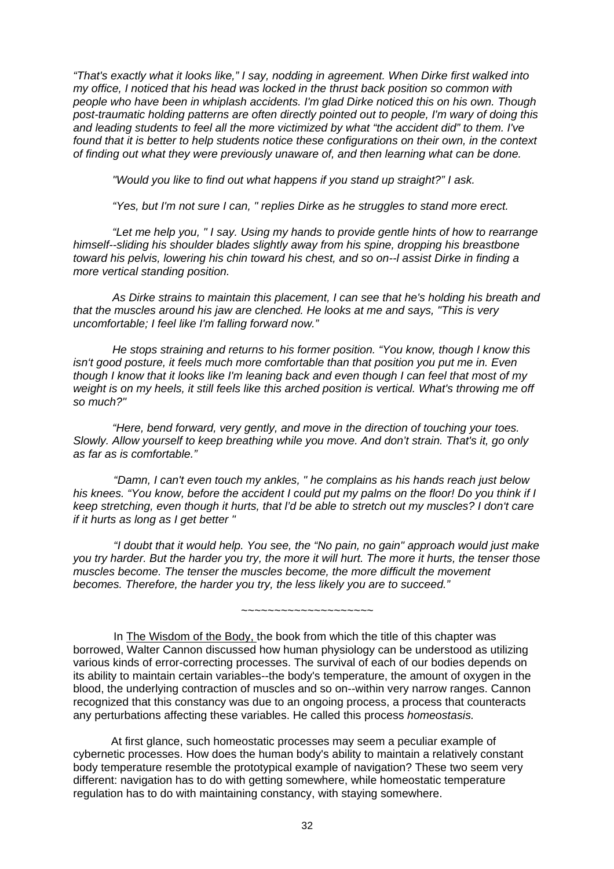*"That's exactly what it looks like," I say, nodding in agreement. When Dirke first walked into my office, I noticed that his head was locked in the thrust back position so common with people who have been in whiplash accidents. I'm glad Dirke noticed this on his own. Though post-traumatic holding patterns are often directly pointed out to people, I'm wary of doing this and leading students to feel all the more victimized by what "the accident did" to them. I've found that it is better to help students notice these configurations on their own, in the context of finding out what they were previously unaware of, and then learning what can be done.* 

*"Would you like to find out what happens if you stand up straight?" I ask.* 

*"Yes, but I'm not sure I can, " replies Dirke as he struggles to stand more erect.* 

*"Let me help you, " I say. Using my hands to provide gentle hints of how to rearrange himself--sliding his shoulder blades slightly away from his spine, dropping his breastbone toward his pelvis, lowering his chin toward his chest, and so on--l assist Dirke in finding a more vertical standing position.* 

*As Dirke strains to maintain this placement, I can see that he's holding his breath and that the muscles around his jaw are clenched. He looks at me and says, "This is very uncomfortable; I feel like I'm falling forward now."*

*He stops straining and returns to his former position. "You know, though I know this isn't good posture, it feels much more comfortable than that position you put me in. Even though I know that it looks like I'm leaning back and even though I can feel that most of my weight is on my heels, it still feels like this arched position is vertical. What's throwing me off so much?"* 

*"Here, bend forward, very gently, and move in the direction of touching your toes. Slowly. Allow yourself to keep breathing while you move. And don't strain. That's it, go only as far as is comfortable."*

*"Damn, I can't even touch my ankles, " he complains as his hands reach just below his knees. "You know, before the accident I could put my palms on the floor! Do you think if I keep stretching, even though it hurts, that l'd be able to stretch out my muscles? I don't care if it hurts as long as I get better "* 

*"I doubt that it would help. You see, the "No pain, no gain" approach would just make you try harder. But the harder you try, the more it will hurt. The more it hurts, the tenser those muscles become. The tenser the muscles become, the more difficult the movement becomes. Therefore, the harder you try, the less likely you are to succeed."*

*~~~~~~~~~~~~~~~~~~~~* 

In The Wisdom of the Body, the book from which the title of this chapter was borrowed, Walter Cannon discussed how human physiology can be understood as utilizing various kinds of error-correcting processes. The survival of each of our bodies depends on its ability to maintain certain variables--the body's temperature, the amount of oxygen in the blood, the underlying contraction of muscles and so on--within very narrow ranges. Cannon recognized that this constancy was due to an ongoing process, a process that counteracts any perturbations affecting these variables. He called this process *homeostasis.* 

 At first glance, such homeostatic processes may seem a peculiar example of cybernetic processes. How does the human body's ability to maintain a relatively constant body temperature resemble the prototypical example of navigation? These two seem very different: navigation has to do with getting somewhere, while homeostatic temperature regulation has to do with maintaining constancy, with staying somewhere.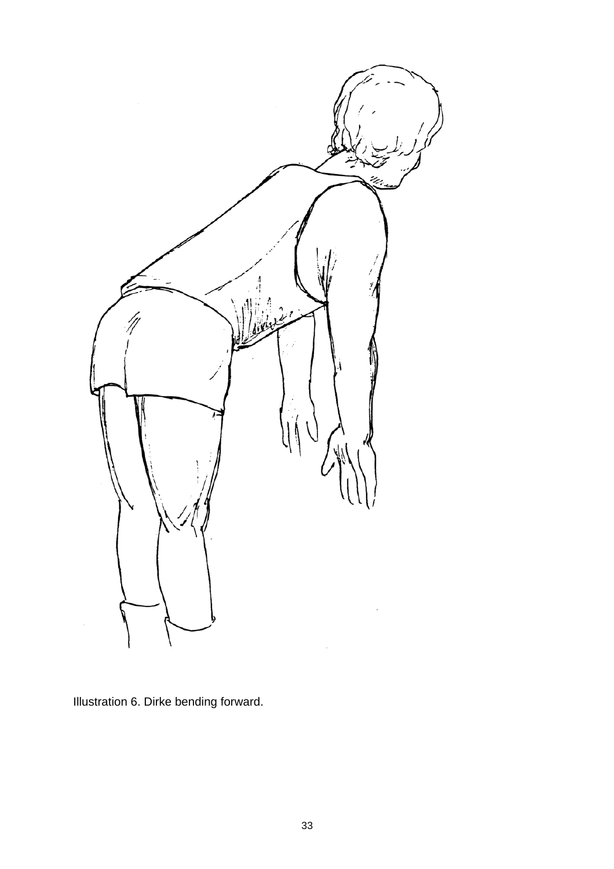

Illustration 6. Dirke bending forward.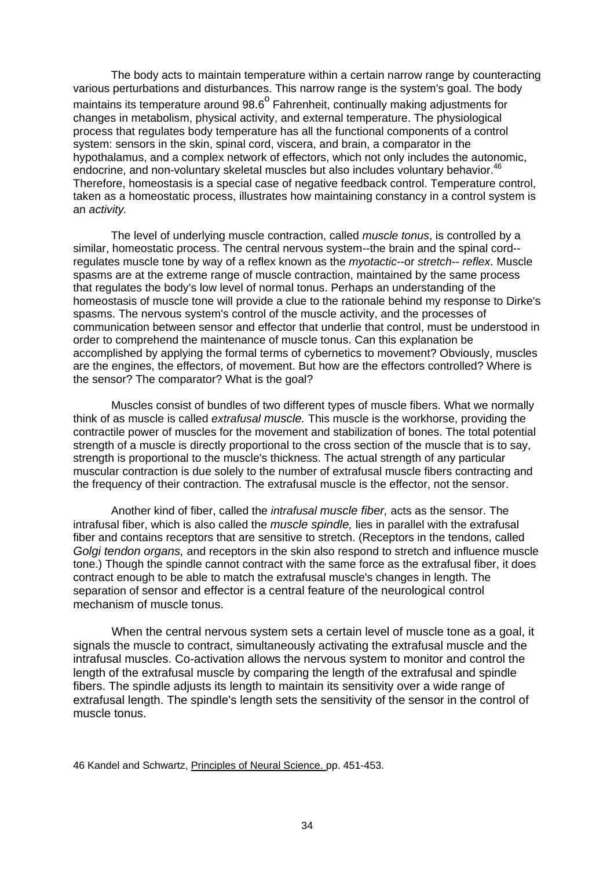The body acts to maintain temperature within a certain narrow range by counteracting various perturbations and disturbances. This narrow range is the system's goal. The body maintains its temperature around 98.6<sup>o</sup> Fahrenheit, continually making adjustments for changes in metabolism, physical activity, and external temperature. The physiological process that regulates body temperature has all the functional components of a control system: sensors in the skin, spinal cord, viscera, and brain, a comparator in the hypothalamus, and a complex network of effectors, which not only includes the autonomic, endocrine, and non-voluntary skeletal muscles but also includes voluntary behavior. $46$ Therefore, homeostasis is a special case of negative feedback control. Temperature control, taken as a homeostatic process, illustrates how maintaining constancy in a control system is an *activity.*

 The level of underlying muscle contraction, called *muscle tonus*, is controlled by a similar, homeostatic process. The central nervous system--the brain and the spinal cord- regulates muscle tone by way of a reflex known as the *myotactic*--or *stretch-- reflex*. Muscle spasms are at the extreme range of muscle contraction, maintained by the same process that regulates the body's low level of normal tonus. Perhaps an understanding of the homeostasis of muscle tone will provide a clue to the rationale behind my response to Dirke's spasms. The nervous system's control of the muscle activity, and the processes of communication between sensor and effector that underlie that control, must be understood in order to comprehend the maintenance of muscle tonus. Can this explanation be accomplished by applying the formal terms of cybernetics to movement? Obviously, muscles are the engines, the effectors, of movement. But how are the effectors controlled? Where is the sensor? The comparator? What is the goal?

Muscles consist of bundles of two different types of muscle fibers. What we normally think of as muscle is called *extrafusal muscle.* This muscle is the workhorse, providing the contractile power of muscles for the movement and stabilization of bones. The total potential strength of a muscle is directly proportional to the cross section of the muscle that is to say, strength is proportional to the muscle's thickness. The actual strength of any particular muscular contraction is due solely to the number of extrafusal muscle fibers contracting and the frequency of their contraction. The extrafusal muscle is the effector, not the sensor.

 Another kind of fiber, called the *intrafusal muscle fiber,* acts as the sensor. The intrafusal fiber, which is also called the *muscle spindle,* lies in parallel with the extrafusal fiber and contains receptors that are sensitive to stretch. (Receptors in the tendons, called *Golgi tendon organs,* and receptors in the skin also respond to stretch and influence muscle tone.) Though the spindle cannot contract with the same force as the extrafusal fiber, it does contract enough to be able to match the extrafusal muscle's changes in length. The separation of sensor and effector is a central feature of the neurological control mechanism of muscle tonus.

When the central nervous system sets a certain level of muscle tone as a goal, it signals the muscle to contract, simultaneously activating the extrafusal muscle and the intrafusal muscles. Co-activation allows the nervous system to monitor and control the length of the extrafusal muscle by comparing the length of the extrafusal and spindle fibers. The spindle adjusts its length to maintain its sensitivity over a wide range of extrafusal length. The spindle's length sets the sensitivity of the sensor in the control of muscle tonus.

46 Kandel and Schwartz, Principles of Neural Science. pp. 451-453.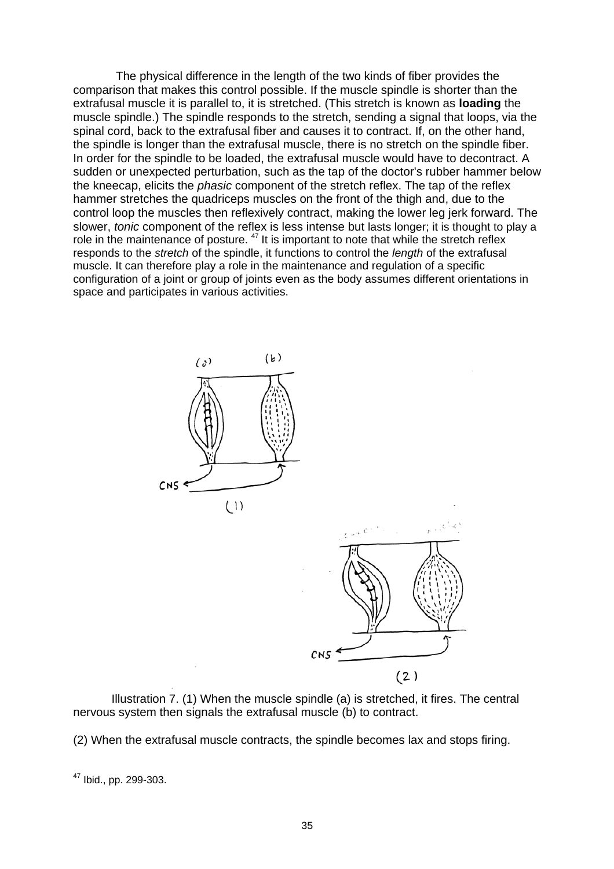The physical difference in the length of the two kinds of fiber provides the comparison that makes this control possible. If the muscle spindle is shorter than the extrafusal muscle it is parallel to, it is stretched. (This stretch is known as **loading** the muscle spindle.) The spindle responds to the stretch, sending a signal that loops, via the spinal cord, back to the extrafusal fiber and causes it to contract. If, on the other hand, the spindle is longer than the extrafusal muscle, there is no stretch on the spindle fiber. In order for the spindle to be loaded, the extrafusal muscle would have to decontract. A sudden or unexpected perturbation, such as the tap of the doctor's rubber hammer below the kneecap, elicits the *phasic* component of the stretch reflex. The tap of the reflex hammer stretches the quadriceps muscles on the front of the thigh and, due to the control loop the muscles then reflexively contract, making the lower leg jerk forward. The slower, *tonic* component of the reflex is less intense but lasts longer; it is thought to play a role in the maintenance of posture.<sup>47</sup> It is important to note that while the stretch reflex responds to the *stretch* of the spindle, it functions to control the *length* of the extrafusal muscle. It can therefore play a role in the maintenance and regulation of a specific configuration of a joint or group of joints even as the body assumes different orientations in space and participates in various activities.



Illustration 7. (1) When the muscle spindle (a) is stretched, it fires. The central nervous system then signals the extrafusal muscle (b) to contract.

(2) When the extrafusal muscle contracts, the spindle becomes lax and stops firing.

47 Ibid., pp. 299-303.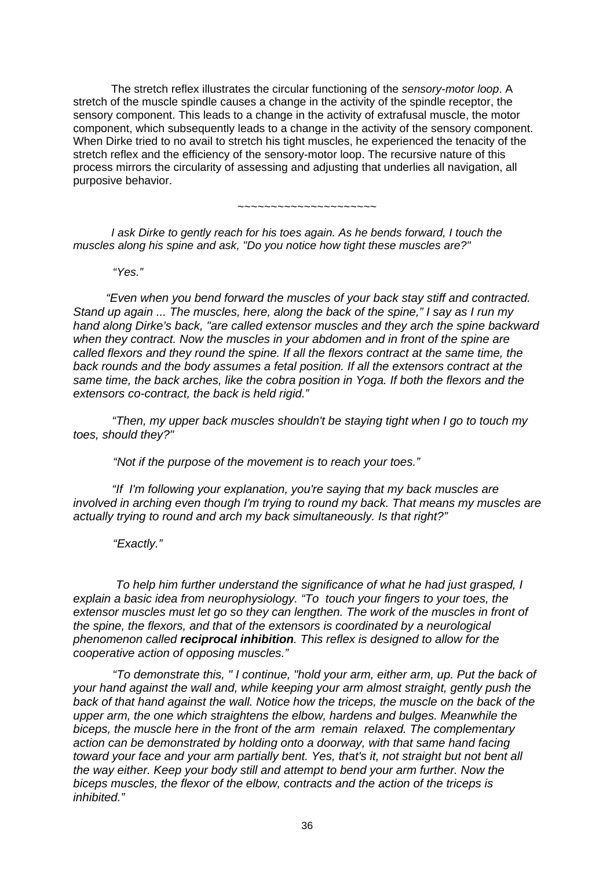The stretch reflex illustrates the circular functioning of the *sensory-motor loop*. A stretch of the muscle spindle causes a change in the activity of the spindle receptor, the sensory component. This leads to a change in the activity of extrafusal muscle, the motor component, which subsequently leads to a change in the activity of the sensory component. When Dirke tried to no avail to stretch his tight muscles, he experienced the tenacity of the stretch reflex and the efficiency of the sensory-motor loop. The recursive nature of this process mirrors the circularity of assessing and adjusting that underlies all navigation, all purposive behavior.

~~~~~~~~~~~~~~~~~~~~

*I ask Dirke to gently reach for his toes again. As he bends forward, I touch the muscles along his spine and ask, "Do you notice how tight these muscles are?"* 

*"Yes."*

 *"Even when you bend forward the muscles of your back stay stiff and contracted. Stand up again ... The muscles, here, along the back of the spine," I say as I run my hand along Dirke's back, "are called extensor muscles and they arch the spine backward when they contract. Now the muscles in your abdomen and in front of the spine are called flexors and they round the spine. If all the flexors contract at the same time, the back rounds and the body assumes a fetal position. If all the extensors contract at the same time, the back arches, like the cobra position in Yoga. If both the flexors and the extensors co-contract, the back is held rigid."*

*"Then, my upper back muscles shouldn't be staying tight when I go to touch my toes, should they?"* 

*"Not if the purpose of the movement is to reach your toes."*

*"If I'm following your explanation, you're saying that my back muscles are involved in arching even though I'm trying to round my back. That means my muscles are actually trying to round and arch my back simultaneously. Is that right?"*

*"Exactly."*

 *To help him further understand the significance of what he had just grasped, I explain a basic idea from neurophysiology. "To touch your fingers to your toes, the extensor muscles must let go so they can lengthen. The work of the muscles in front of the spine, the flexors, and that of the extensors is coordinated by a neurological phenomenon called reciprocal inhibition. This reflex is designed to allow for the cooperative action of opposing muscles."*

*"To demonstrate this, " I continue, "hold your arm, either arm, up. Put the back of your hand against the wall and, while keeping your arm almost straight, gently push the back of that hand against the wall. Notice how the triceps, the muscle on the back of the upper arm, the one which straightens the elbow, hardens and bulges. Meanwhile the biceps, the muscle here in the front of the arm remain relaxed. The complementary action can be demonstrated by holding onto a doorway, with that same hand facing toward your face and your arm partially bent. Yes, that's it, not straight but not bent all the way either. Keep your body still and attempt to bend your arm further. Now the biceps muscles, the flexor of the elbow, contracts and the action of the triceps is inhibited."*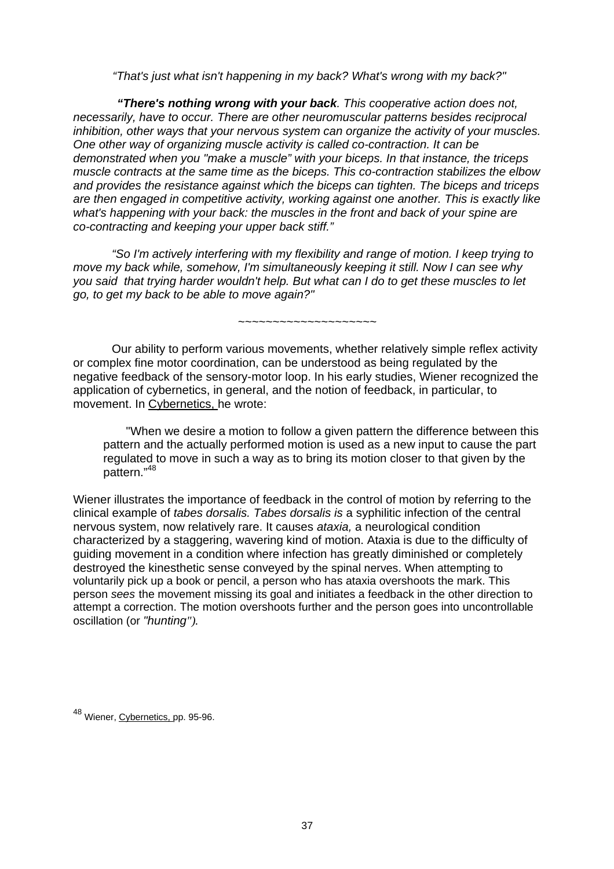*"That's just what isn't happening in my back? What's wrong with my back?"* 

*"There's nothing wrong with your back. This cooperative action does not, necessarily, have to occur. There are other neuromuscular patterns besides reciprocal inhibition, other ways that your nervous system can organize the activity of your muscles. One other way of organizing muscle activity is called co-contraction. It can be demonstrated when you "make a muscle" with your biceps. In that instance, the triceps muscle contracts at the same time as the biceps. This co-contraction stabilizes the elbow and provides the resistance against which the biceps can tighten. The biceps and triceps are then engaged in competitive activity, working against one another. This is exactly like*  what's happening with your back: the muscles in the front and back of your spine are *co-contracting and keeping your upper back stiff."*

*"So I'm actively interfering with my flexibility and range of motion. I keep trying to move my back while, somehow, I'm simultaneously keeping it still. Now I can see why you said that trying harder wouldn't help. But what can I do to get these muscles to let go, to get my back to be able to move again?"* 

*~~~~~~~~~~~~~~~~~~~~* 

Our ability to perform various movements, whether relatively simple reflex activity or complex fine motor coordination, can be understood as being regulated by the negative feedback of the sensory-motor loop. In his early studies, Wiener recognized the application of cybernetics, in general, and the notion of feedback, in particular, to movement. In Cybernetics, he wrote:

"When we desire a motion to follow a given pattern the difference between this pattern and the actually performed motion is used as a new input to cause the part regulated to move in such a way as to bring its motion closer to that given by the pattern."<sup>48</sup>

Wiener illustrates the importance of feedback in the control of motion by referring to the clinical example of *tabes dorsalis. Tabes dorsalis is* a syphilitic infection of the central nervous system, now relatively rare. It causes *ataxia,* a neurological condition characterized by a staggering, wavering kind of motion. Ataxia is due to the difficulty of guiding movement in a condition where infection has greatly diminished or completely destroyed the kinesthetic sense conveyed by the spinal nerves. When attempting to voluntarily pick up a book or pencil, a person who has ataxia overshoots the mark. This person *sees* the movement missing its goal and initiates a feedback in the other direction to attempt a correction. The motion overshoots further and the person goes into uncontrollable oscillation (or *"hunting").* 

48 Wiener, Cybernetics, pp. 95-96.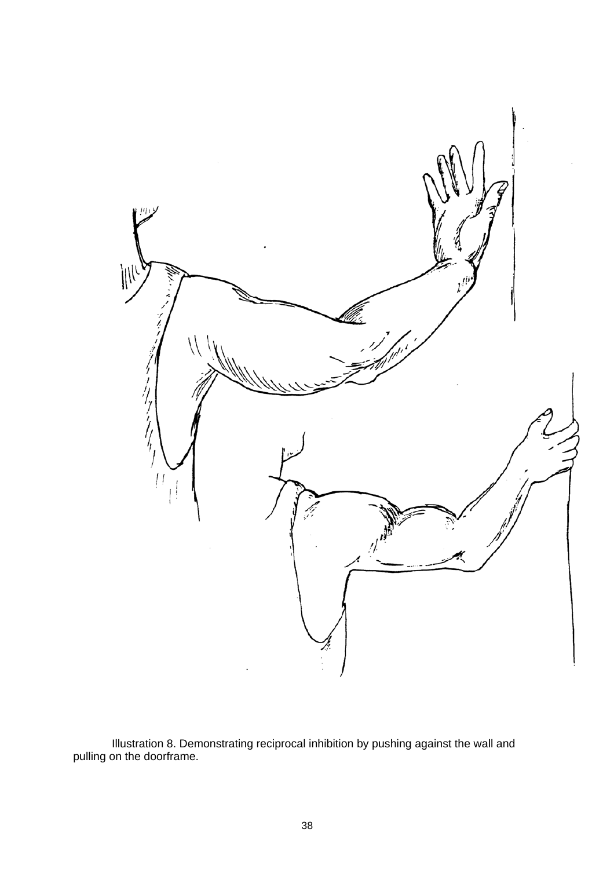

Illustration 8. Demonstrating reciprocal inhibition by pushing against the wall and pulling on the doorframe.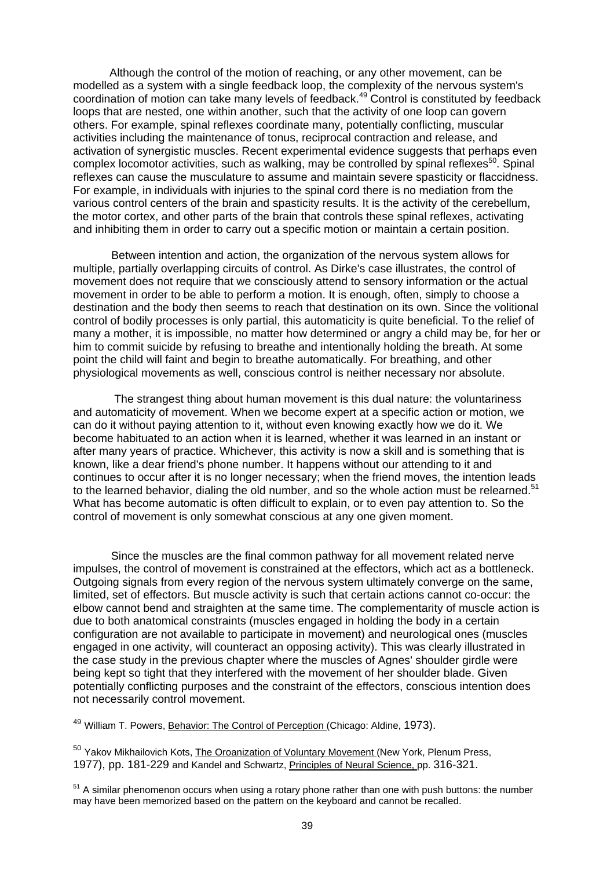Although the control of the motion of reaching, or any other movement, can be modelled as a system with a single feedback loop, the complexity of the nervous system's coordination of motion can take many levels of feedback.<sup>49</sup> Control is constituted by feedback loops that are nested, one within another, such that the activity of one loop can govern others. For example, spinal reflexes coordinate many, potentially conflicting, muscular activities including the maintenance of tonus, reciprocal contraction and release, and activation of synergistic muscles. Recent experimental evidence suggests that perhaps even complex locomotor activities, such as walking, may be controlled by spinal reflexes<sup>50</sup>. Spinal reflexes can cause the musculature to assume and maintain severe spasticity or flaccidness. For example, in individuals with injuries to the spinal cord there is no mediation from the various control centers of the brain and spasticity results. It is the activity of the cerebellum, the motor cortex, and other parts of the brain that controls these spinal reflexes, activating and inhibiting them in order to carry out a specific motion or maintain a certain position.

Between intention and action, the organization of the nervous system allows for multiple, partially overlapping circuits of control. As Dirke's case illustrates, the control of movement does not require that we consciously attend to sensory information or the actual movement in order to be able to perform a motion. It is enough, often, simply to choose a destination and the body then seems to reach that destination on its own. Since the volitional control of bodily processes is only partial, this automaticity is quite beneficial. To the relief of many a mother, it is impossible, no matter how determined or angry a child may be, for her or him to commit suicide by refusing to breathe and intentionally holding the breath. At some point the child will faint and begin to breathe automatically. For breathing, and other physiological movements as well, conscious control is neither necessary nor absolute.

 The strangest thing about human movement is this dual nature: the voluntariness and automaticity of movement. When we become expert at a specific action or motion, we can do it without paying attention to it, without even knowing exactly how we do it. We become habituated to an action when it is learned, whether it was learned in an instant or after many years of practice. Whichever, this activity is now a skill and is something that is known, like a dear friend's phone number. It happens without our attending to it and continues to occur after it is no longer necessary; when the friend moves, the intention leads to the learned behavior, dialing the old number, and so the whole action must be relearned.<sup>51</sup> What has become automatic is often difficult to explain, or to even pay attention to. So the control of movement is only somewhat conscious at any one given moment.

Since the muscles are the final common pathway for all movement related nerve impulses, the control of movement is constrained at the effectors, which act as a bottleneck. Outgoing signals from every region of the nervous system ultimately converge on the same, limited, set of effectors. But muscle activity is such that certain actions cannot co-occur: the elbow cannot bend and straighten at the same time. The complementarity of muscle action is due to both anatomical constraints (muscles engaged in holding the body in a certain configuration are not available to participate in movement) and neurological ones (muscles engaged in one activity, will counteract an opposing activity). This was clearly illustrated in the case study in the previous chapter where the muscles of Agnes' shoulder girdle were being kept so tight that they interfered with the movement of her shoulder blade. Given potentially conflicting purposes and the constraint of the effectors, conscious intention does not necessarily control movement.

<sup>49</sup> William T. Powers, Behavior: The Control of Perception (Chicago: Aldine, 1973).

<sup>50</sup> Yakov Mikhailovich Kots, The Oroanization of Voluntary Movement (New York, Plenum Press, 1977), pp. 181-229 and Kandel and Schwartz, Principles of Neural Science, pp. 316-321.

 $51$  A similar phenomenon occurs when using a rotary phone rather than one with push buttons: the number may have been memorized based on the pattern on the keyboard and cannot be recalled.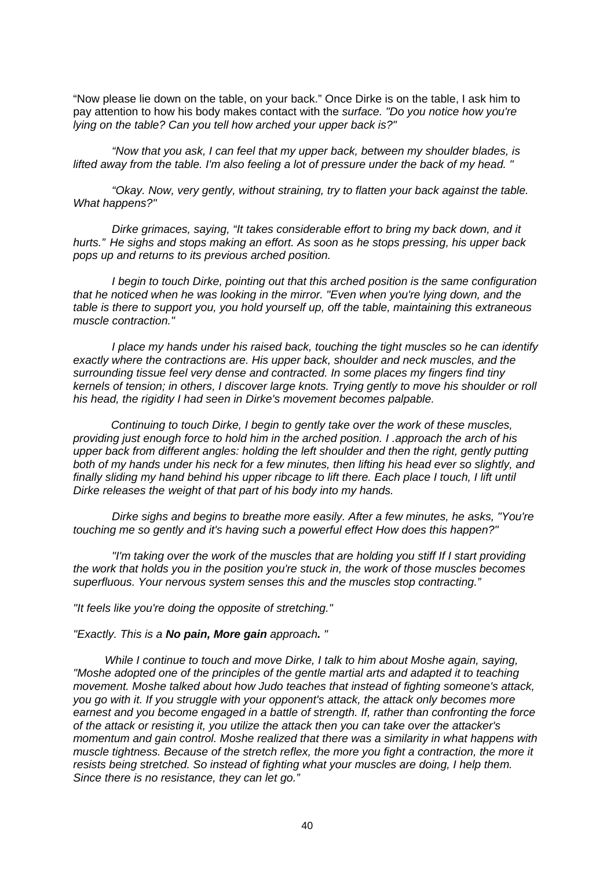"Now please lie down on the table, on your back." Once Dirke is on the table, I ask him to pay attention to how his body makes contact with the *surface. "Do you notice how you're lying on the table? Can you tell how arched your upper back is?"* 

*"Now that you ask, I can feel that my upper back, between my shoulder blades, is lifted away from the table. I'm also feeling a lot of pressure under the back of my head. "* 

*"Okay. Now, very gently, without straining, try to flatten your back against the table. What happens?"* 

*Dirke grimaces, saying, "It takes considerable effort to bring my back down, and it hurts." He sighs and stops making an effort. As soon as he stops pressing, his upper back pops up and returns to its previous arched position.* 

*I begin to touch Dirke, pointing out that this arched position is the same configuration that he noticed when he was looking in the mirror. "Even when you're lying down, and the table is there to support you, you hold yourself up, off the table, maintaining this extraneous muscle contraction."* 

*I place my hands under his raised back, touching the tight muscles so he can identify exactly where the contractions are. His upper back, shoulder and neck muscles, and the surrounding tissue feel very dense and contracted. In some places my fingers find tiny kernels of tension; in others, I discover large knots. Trying gently to move his shoulder or roll his head, the rigidity I had seen in Dirke's movement becomes palpable.* 

 *Continuing to touch Dirke, I begin to gently take over the work of these muscles, providing just enough force to hold him in the arched position. I .approach the arch of his upper back from different angles: holding the left shoulder and then the right, gently putting both of my hands under his neck for a few minutes, then lifting his head ever so slightly, and*  finally sliding my hand behind his upper ribcage to lift there. Each place I touch, I lift until *Dirke releases the weight of that part of his body into my hands.* 

*Dirke sighs and begins to breathe more easily. After a few minutes, he asks, "You're touching me so gently and it's having such a powerful effect How does this happen?"* 

*"I'm taking over the work of the muscles that are holding you stiff If I start providing the work that holds you in the position you're stuck in, the work of those muscles becomes superfluous. Your nervous system senses this and the muscles stop contracting."*

*"It feels like you're doing the opposite of stretching."* 

*"Exactly. This is a No pain, More gain approach. "* 

 *While I continue to touch and move Dirke, I talk to him about Moshe again, saying, "Moshe adopted one of the principles of the gentle martial arts and adapted it to teaching movement. Moshe talked about how Judo teaches that instead of fighting someone's attack, you go with it. If you struggle with your opponent's attack, the attack only becomes more earnest and you become engaged in a battle of strength. If, rather than confronting the force of the attack or resisting it, you utilize the attack then you can take over the attacker's momentum and gain control. Moshe realized that there was a similarity in what happens with muscle tightness. Because of the stretch reflex, the more you fight a contraction, the more it resists being stretched. So instead of fighting what your muscles are doing, I help them. Since there is no resistance, they can let go."*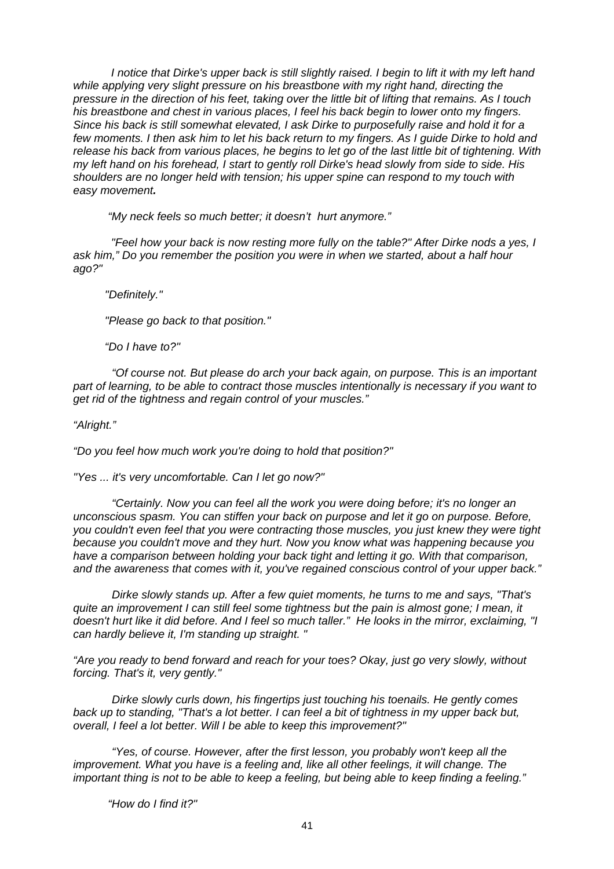*I notice that Dirke's upper back is still slightly raised. I begin to lift it with my left hand while applying very slight pressure on his breastbone with my right hand, directing the pressure in the direction of his feet, taking over the little bit of lifting that remains. As I touch his breastbone and chest in various places, I feel his back begin to lower onto my fingers. Since his back is still somewhat elevated, I ask Dirke to purposefully raise and hold it for a few moments. I then ask him to let his back return to my fingers. As I guide Dirke to hold and release his back from various places, he begins to let go of the last little bit of tightening. With my left hand on his forehead, I start to gently roll Dirke's head slowly from side to side. His shoulders are no longer held with tension; his upper spine can respond to my touch with easy movement.* 

 *"My neck feels so much better; it doesn't hurt anymore."*

*"Feel how your back is now resting more fully on the table?" After Dirke nods a yes, I ask him," Do you remember the position you were in when we started, about a half hour ago?"* 

 *"Definitely."* 

 *"Please go back to that position."* 

 *"Do I have to?"*

*"Of course not. But please do arch your back again, on purpose. This is an important part of learning, to be able to contract those muscles intentionally is necessary if you want to get rid of the tightness and regain control of your muscles."* 

*"Alright."*

*"Do you feel how much work you're doing to hold that position?"* 

*"Yes ... it's very uncomfortable. Can I let go now?"* 

*"Certainly. Now you can feel all the work you were doing before; it's no longer an unconscious spasm. You can stiffen your back on purpose and let it go on purpose. Before, you couldn't even feel that you were contracting those muscles, you just knew they were tight because you couldn't move and they hurt. Now you know what was happening because you have a comparison between holding your back tight and letting it go. With that comparison, and the awareness that comes with it, you've regained conscious control of your upper back."* 

*Dirke slowly stands up. After a few quiet moments, he turns to me and says, "That's quite an improvement I can still feel some tightness but the pain is almost gone; I mean, it doesn't hurt like it did before. And I feel so much taller." He looks in the mirror, exclaiming, "I can hardly believe it, I'm standing up straight. "* 

*"Are you ready to bend forward and reach for your toes? Okay, just go very slowly, without forcing. That's it, very gently."* 

*Dirke slowly curls down, his fingertips just touching his toenails. He gently comes back up to standing, "That's a lot better. I can feel a bit of tightness in my upper back but, overall, I feel a lot better. Will I be able to keep this improvement?"* 

*"Yes, of course. However, after the first lesson, you probably won't keep all the improvement. What you have is a feeling and, like all other feelings, it will change. The important thing is not to be able to keep a feeling, but being able to keep finding a feeling."*

 *"How do I find it?"*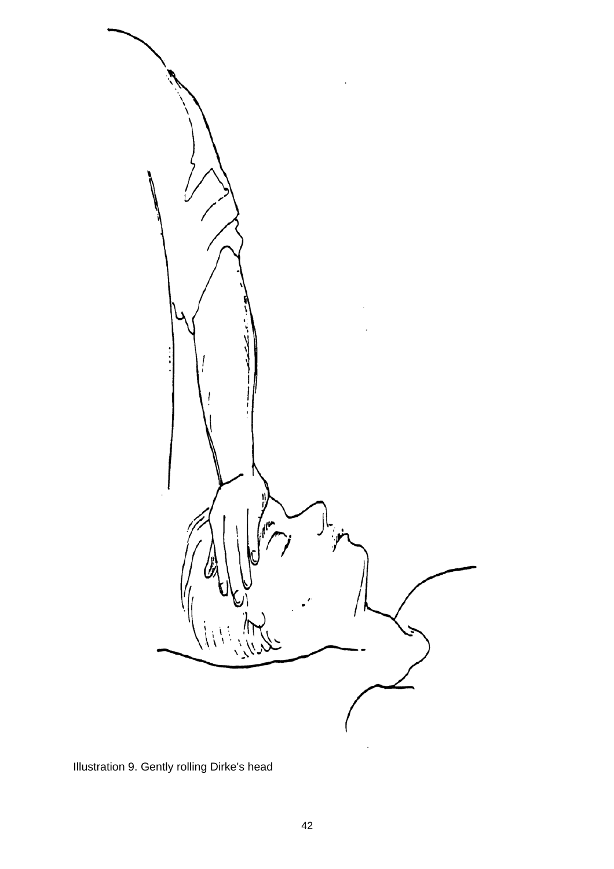

Illustration 9. Gently rolling Dirke's head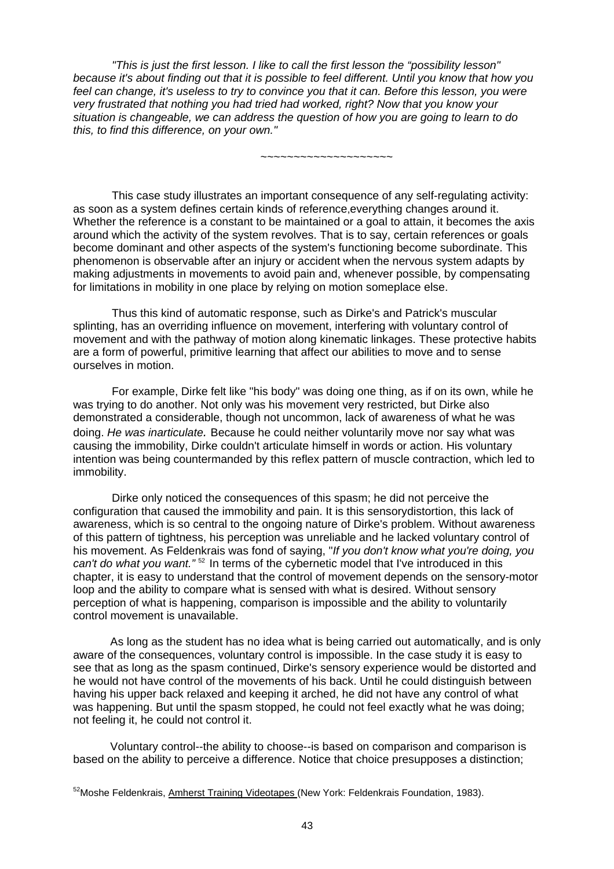*"This is just the first lesson. I like to call the first lesson the "possibility lesson" because it's about finding out that it is possible to feel different. Until you know that how you feel can change, it's useless to try to convince you that it can. Before this lesson, you were very frustrated that nothing you had tried had worked, right? Now that you know your situation is changeable, we can address the question of how you are going to learn to do this, to find this difference, on your own."* 

*~~~~~~~~~~~~~~~~~~~~* 

This case study illustrates an important consequence of any self-regulating activity: as soon as a system defines certain kinds of reference,everything changes around it. Whether the reference is a constant to be maintained or a goal to attain, it becomes the axis around which the activity of the system revolves. That is to say, certain references or goals become dominant and other aspects of the system's functioning become subordinate. This phenomenon is observable after an injury or accident when the nervous system adapts by making adjustments in movements to avoid pain and, whenever possible, by compensating for limitations in mobility in one place by relying on motion someplace else.

Thus this kind of automatic response, such as Dirke's and Patrick's muscular splinting, has an overriding influence on movement, interfering with voluntary control of movement and with the pathway of motion along kinematic linkages. These protective habits are a form of powerful, primitive learning that affect our abilities to move and to sense ourselves in motion.

For example, Dirke felt like "his body" was doing one thing, as if on its own, while he was trying to do another. Not only was his movement very restricted, but Dirke also demonstrated a considerable, though not uncommon, lack of awareness of what he was doing. *He was inarticulate.* Because he could neither voluntarily move nor say what was causing the immobility, Dirke couldn't articulate himself in words or action. His voluntary intention was being countermanded by this reflex pattern of muscle contraction, which led to immobility.

Dirke only noticed the consequences of this spasm; he did not perceive the configuration that caused the immobility and pain. It is this sensorydistortion, this lack of awareness, which is so central to the ongoing nature of Dirke's problem. Without awareness of this pattern of tightness, his perception was unreliable and he lacked voluntary control of his movement. As Feldenkrais was fond of saying, "*If you don't know what you're doing, you can't do what you want.*"<sup>52</sup> In terms of the cybernetic model that I've introduced in this chapter, it is easy to understand that the control of movement depends on the sensory-motor loop and the ability to compare what is sensed with what is desired. Without sensory perception of what is happening, comparison is impossible and the ability to voluntarily control movement is unavailable.

As long as the student has no idea what is being carried out automatically, and is only aware of the consequences, voluntary control is impossible. In the case study it is easy to see that as long as the spasm continued, Dirke's sensory experience would be distorted and he would not have control of the movements of his back. Until he could distinguish between having his upper back relaxed and keeping it arched, he did not have any control of what was happening. But until the spasm stopped, he could not feel exactly what he was doing; not feeling it, he could not control it.

Voluntary control--the ability to choose--is based on comparison and comparison is based on the ability to perceive a difference. Notice that choice presupposes a distinction;

<sup>&</sup>lt;sup>52</sup>Moshe Feldenkrais, Amherst Training Videotapes (New York: Feldenkrais Foundation, 1983).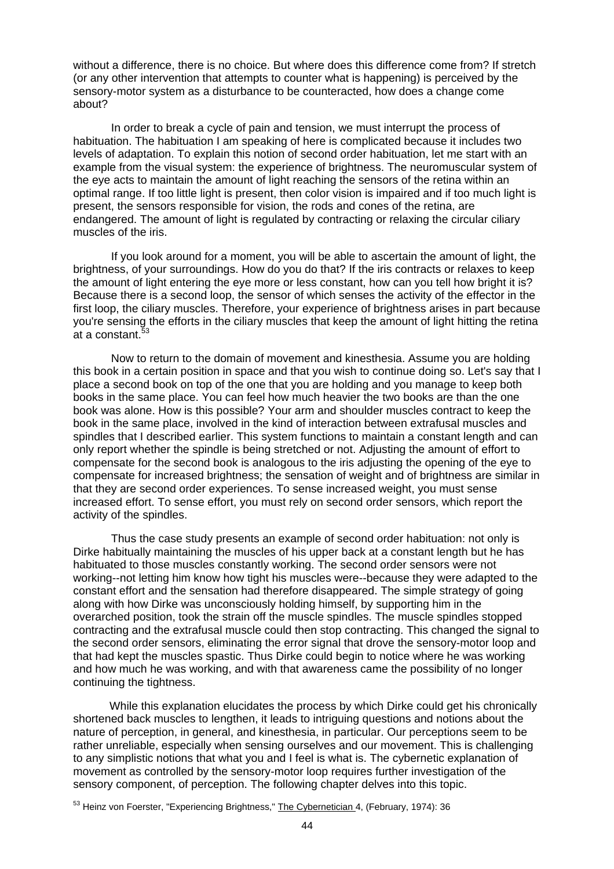without a difference, there is no choice. But where does this difference come from? If stretch (or any other intervention that attempts to counter what is happening) is perceived by the sensory-motor system as a disturbance to be counteracted, how does a change come about?

In order to break a cycle of pain and tension, we must interrupt the process of habituation. The habituation I am speaking of here is complicated because it includes two levels of adaptation. To explain this notion of second order habituation, let me start with an example from the visual system: the experience of brightness. The neuromuscular system of the eye acts to maintain the amount of light reaching the sensors of the retina within an optimal range. If too little light is present, then color vision is impaired and if too much light is present, the sensors responsible for vision, the rods and cones of the retina, are endangered. The amount of light is regulated by contracting or relaxing the circular ciliary muscles of the iris.

If you look around for a moment, you will be able to ascertain the amount of light, the brightness, of your surroundings. How do you do that? If the iris contracts or relaxes to keep the amount of light entering the eye more or less constant, how can you tell how bright it is? Because there is a second loop, the sensor of which senses the activity of the effector in the first loop, the ciliary muscles. Therefore, your experience of brightness arises in part because you're sensing the efforts in the ciliary muscles that keep the amount of light hitting the retina at a constant. $5$ 

Now to return to the domain of movement and kinesthesia. Assume you are holding this book in a certain position in space and that you wish to continue doing so. Let's say that I place a second book on top of the one that you are holding and you manage to keep both books in the same place. You can feel how much heavier the two books are than the one book was alone. How is this possible? Your arm and shoulder muscles contract to keep the book in the same place, involved in the kind of interaction between extrafusal muscles and spindles that I described earlier. This system functions to maintain a constant length and can only report whether the spindle is being stretched or not. Adjusting the amount of effort to compensate for the second book is analogous to the iris adjusting the opening of the eye to compensate for increased brightness; the sensation of weight and of brightness are similar in that they are second order experiences. To sense increased weight, you must sense increased effort. To sense effort, you must rely on second order sensors, which report the activity of the spindles.

Thus the case study presents an example of second order habituation: not only is Dirke habitually maintaining the muscles of his upper back at a constant length but he has habituated to those muscles constantly working. The second order sensors were not working--not letting him know how tight his muscles were--because they were adapted to the constant effort and the sensation had therefore disappeared. The simple strategy of going along with how Dirke was unconsciously holding himself, by supporting him in the overarched position, took the strain off the muscle spindles. The muscle spindles stopped contracting and the extrafusal muscle could then stop contracting. This changed the signal to the second order sensors, eliminating the error signal that drove the sensory-motor loop and that had kept the muscles spastic. Thus Dirke could begin to notice where he was working and how much he was working, and with that awareness came the possibility of no longer continuing the tightness.

While this explanation elucidates the process by which Dirke could get his chronically shortened back muscles to lengthen, it leads to intriguing questions and notions about the nature of perception, in general, and kinesthesia, in particular. Our perceptions seem to be rather unreliable, especially when sensing ourselves and our movement. This is challenging to any simplistic notions that what you and I feel is what is. The cybernetic explanation of movement as controlled by the sensory-motor loop requires further investigation of the sensory component, of perception. The following chapter delves into this topic.

<sup>&</sup>lt;sup>53</sup> Heinz von Foerster, "Experiencing Brightness," The Cybernetician 4, (February, 1974): 36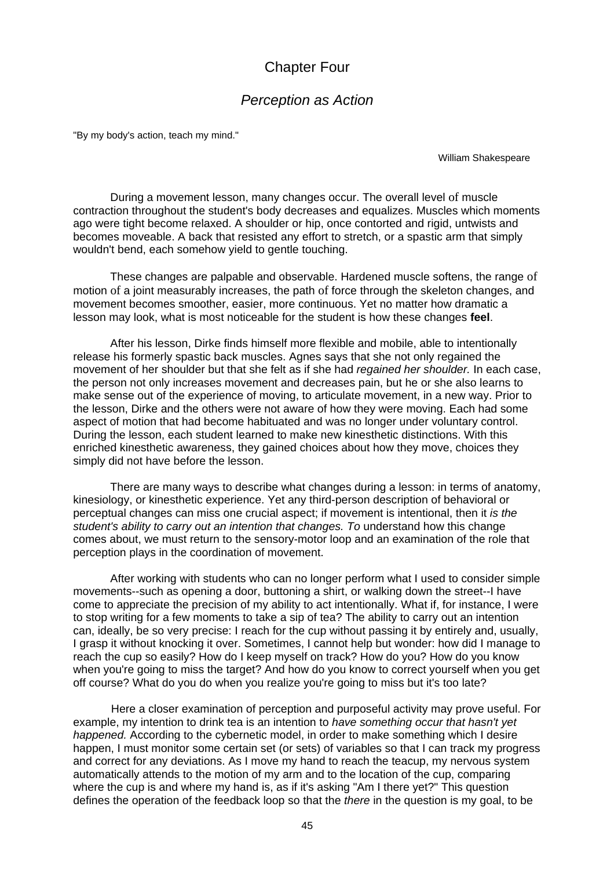## Chapter Four

## *Perception as Action*

"By my body's action, teach my mind."

William Shakespeare

During a movement lesson, many changes occur. The overall level of muscle contraction throughout the student's body decreases and equalizes. Muscles which moments ago were tight become relaxed. A shoulder or hip, once contorted and rigid, untwists and becomes moveable. A back that resisted any effort to stretch, or a spastic arm that simply wouldn't bend, each somehow yield to gentle touching.

These changes are palpable and observable. Hardened muscle softens, the range of motion of a joint measurably increases, the path of force through the skeleton changes, and movement becomes smoother, easier, more continuous. Yet no matter how dramatic a lesson may look, what is most noticeable for the student is how these changes **feel**.

After his lesson, Dirke finds himself more flexible and mobile, able to intentionally release his formerly spastic back muscles. Agnes says that she not only regained the movement of her shoulder but that she felt as if she had *regained her shoulder.* In each case, the person not only increases movement and decreases pain, but he or she also learns to make sense out of the experience of moving, to articulate movement, in a new way. Prior to the lesson, Dirke and the others were not aware of how they were moving. Each had some aspect of motion that had become habituated and was no longer under voluntary control. During the lesson, each student learned to make new kinesthetic distinctions. With this enriched kinesthetic awareness, they gained choices about how they move, choices they simply did not have before the lesson.

There are many ways to describe what changes during a lesson: in terms of anatomy, kinesiology, or kinesthetic experience. Yet any third-person description of behavioral or perceptual changes can miss one crucial aspect; if movement is intentional, then it *is the student's ability to carry out an intention that changes. To* understand how this change comes about, we must return to the sensory-motor loop and an examination of the role that perception plays in the coordination of movement.

After working with students who can no longer perform what I used to consider simple movements--such as opening a door, buttoning a shirt, or walking down the street--I have come to appreciate the precision of my ability to act intentionally. What if, for instance, I were to stop writing for a few moments to take a sip of tea? The ability to carry out an intention can, ideally, be so very precise: I reach for the cup without passing it by entirely and, usually, I grasp it without knocking it over. Sometimes, I cannot help but wonder: how did I manage to reach the cup so easily? How do I keep myself on track? How do you? How do you know when you're going to miss the target? And how do you know to correct yourself when you get off course? What do you do when you realize you're going to miss but it's too late?

Here a closer examination of perception and purposeful activity may prove useful. For example, my intention to drink tea is an intention to *have something occur that hasn't yet happened.* According to the cybernetic model, in order to make something which I desire happen, I must monitor some certain set (or sets) of variables so that I can track my progress and correct for any deviations. As I move my hand to reach the teacup, my nervous system automatically attends to the motion of my arm and to the location of the cup, comparing where the cup is and where my hand is, as if it's asking "Am I there yet?" This question defines the operation of the feedback loop so that the *there* in the question is my goal, to be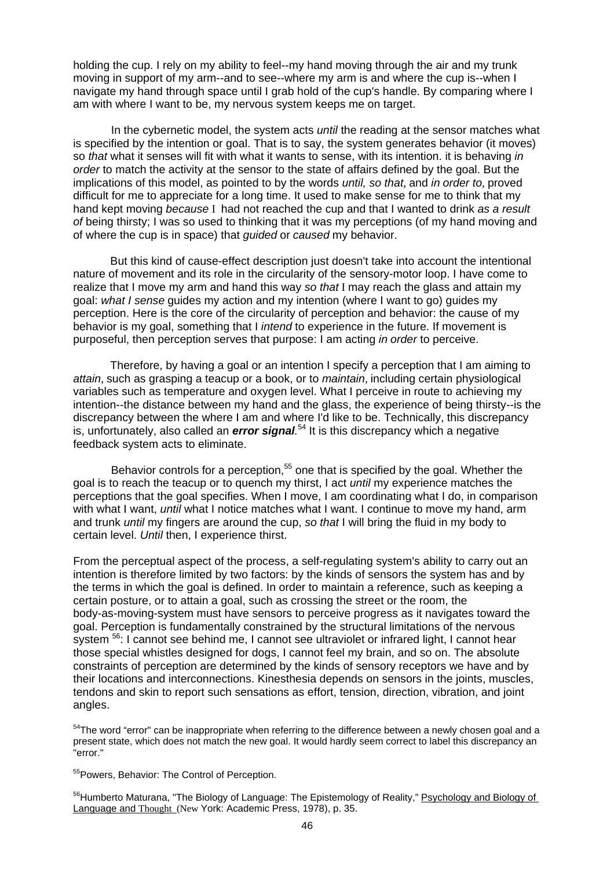holding the cup. I rely on my ability to feel--my hand moving through the air and my trunk moving in support of my arm--and to see--where my arm is and where the cup is--when I navigate my hand through space until I grab hold of the cup's handle. By comparing where I am with where I want to be, my nervous system keeps me on target.

In the cybernetic model, the system acts *until* the reading at the sensor matches what is specified by the intention or goal. That is to say, the system generates behavior (it moves) so *that* what it senses will fit with what it wants to sense, with its intention. it is behaving *in order* to match the activity at the sensor to the state of affairs defined by the goal. But the implications of this model, as pointed to by the words *until, so that,* and *in order to,* proved difficult for me to appreciate for a long time. It used to make sense for me to think that my hand kept moving *because* Ihad not reached the cup and that I wanted to drink *as a result of* being thirsty; I was so used to thinking that it was my perceptions (of my hand moving and of where the cup is in space) that *guided* or *caused* my behavior.

But this kind of cause-effect description just doesn't take into account the intentional nature of movement and its role in the circularity of the sensory-motor loop. I have come to realize that I move my arm and hand this way *so that* I may reach the glass and attain my goal: *what I sense* guides my action and my intention (where I want to go) guides my perception. Here is the core of the circularity of perception and behavior: the cause of my behavior is my goal, something that I *intend* to experience in the future. If movement is purposeful, then perception serves that purpose: I am acting *in order* to perceive.

Therefore, by having a goal or an intention I specify a perception that I am aiming to *attain,* such as grasping a teacup or a book, or to *maintain,* including certain physiological variables such as temperature and oxygen level. What I perceive in route to achieving my intention--the distance between my hand and the glass, the experience of being thirsty--is the discrepancy between the where I am and where I'd like to be. Technically, this discrepancy is, unfortunately, also called an *error signal.* 54 It is this discrepancy which a negative feedback system acts to eliminate.

Behavior controls for a perception, $55$  one that is specified by the goal. Whether the goal is to reach the teacup or to quench my thirst, I act *until* my experience matches the perceptions that the goal specifies. When I move, I am coordinating what I do, in comparison with what I want, *until* what I notice matches what I want. I continue to move my hand, arm and trunk *until* my fingers are around the cup, *so that* I will bring the fluid in my body to certain level. *Until* then, I experience thirst.

From the perceptual aspect of the process, a self-regulating system's ability to carry out an intention is therefore limited by two factors: by the kinds of sensors the system has and by the terms in which the goal is defined. In order to maintain a reference, such as keeping a certain posture, or to attain a goal, such as crossing the street or the room, the body-as-moving-system must have sensors to perceive progress as it navigates toward the goal. Perception is fundamentally constrained by the structural limitations of the nervous system <sup>56</sup>: I cannot see behind me, I cannot see ultraviolet or infrared light, I cannot hear those special whistles designed for dogs, I cannot feel my brain, and so on. The absolute constraints of perception are determined by the kinds of sensory receptors we have and by their locations and interconnections. Kinesthesia depends on sensors in the joints, muscles, tendons and skin to report such sensations as effort, tension, direction, vibration, and joint angles.

<sup>54</sup>The word "error" can be inappropriate when referring to the difference between a newly chosen goal and a present state, which does not match the new goal. It would hardly seem correct to label this discrepancy an "error."

55Powers, Behavior: The Control of Perception.

<sup>56</sup>Humberto Maturana, "The Biology of Language: The Epistemology of Reality," Psychology and Biology of Language and Thought (New York: Academic Press, 1978), p. 35.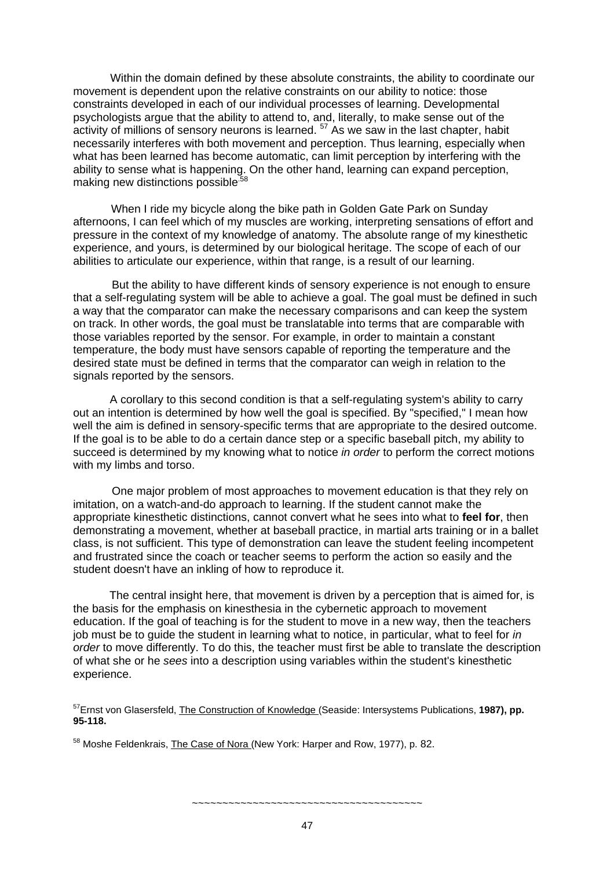Within the domain defined by these absolute constraints, the ability to coordinate our movement is dependent upon the relative constraints on our ability to notice: those constraints developed in each of our individual processes of learning. Developmental psychologists argue that the ability to attend to, and, literally, to make sense out of the  $\frac{1}{2}$  activity of millions of sensory neurons is learned.  $57$  As we saw in the last chapter, habit necessarily interferes with both movement and perception. Thus learning, especially when what has been learned has become automatic, can limit perception by interfering with the ability to sense what is happening. On the other hand, learning can expand perception, making new distinctions possible.<sup>5</sup>

 When I ride my bicycle along the bike path in Golden Gate Park on Sunday afternoons, I can feel which of my muscles are working, interpreting sensations of effort and pressure in the context of my knowledge of anatomy. The absolute range of my kinesthetic experience, and yours, is determined by our biological heritage. The scope of each of our abilities to articulate our experience, within that range, is a result of our learning.

But the ability to have different kinds of sensory experience is not enough to ensure that a self-regulating system will be able to achieve a goal. The goal must be defined in such a way that the comparator can make the necessary comparisons and can keep the system on track. In other words, the goal must be translatable into terms that are comparable with those variables reported by the sensor. For example, in order to maintain a constant temperature, the body must have sensors capable of reporting the temperature and the desired state must be defined in terms that the comparator can weigh in relation to the signals reported by the sensors.

A corollary to this second condition is that a self-regulating system's ability to carry out an intention is determined by how well the goal is specified. By "specified," I mean how well the aim is defined in sensory-specific terms that are appropriate to the desired outcome. If the goal is to be able to do a certain dance step or a specific baseball pitch, my ability to succeed is determined by my knowing what to notice *in order* to perform the correct motions with my limbs and torso.

One major problem of most approaches to movement education is that they rely on imitation, on a watch-and-do approach to learning. If the student cannot make the appropriate kinesthetic distinctions, cannot convert what he sees into what to **feel for**, then demonstrating a movement, whether at baseball practice, in martial arts training or in a ballet class, is not sufficient. This type of demonstration can leave the student feeling incompetent and frustrated since the coach or teacher seems to perform the action so easily and the student doesn't have an inkling of how to reproduce it.

The central insight here, that movement is driven by a perception that is aimed for, is the basis for the emphasis on kinesthesia in the cybernetic approach to movement education. If the goal of teaching is for the student to move in a new way, then the teachers job must be to guide the student in learning what to notice, in particular, what to feel for *in order* to move differently. To do this, the teacher must first be able to translate the description of what she or he *sees* into a description using variables within the student's kinesthetic experience.

57Ernst von Glasersfeld, The Construction of Knowledge (Seaside: Intersystems Publications, **1987), pp. 95-118.** 

58 Moshe Feldenkrais, The Case of Nora (New York: Harper and Row, 1977), p. 82.

~~~~~~~~~~~~~~~~~~~~~~~~~~~~~~~~~~~~~~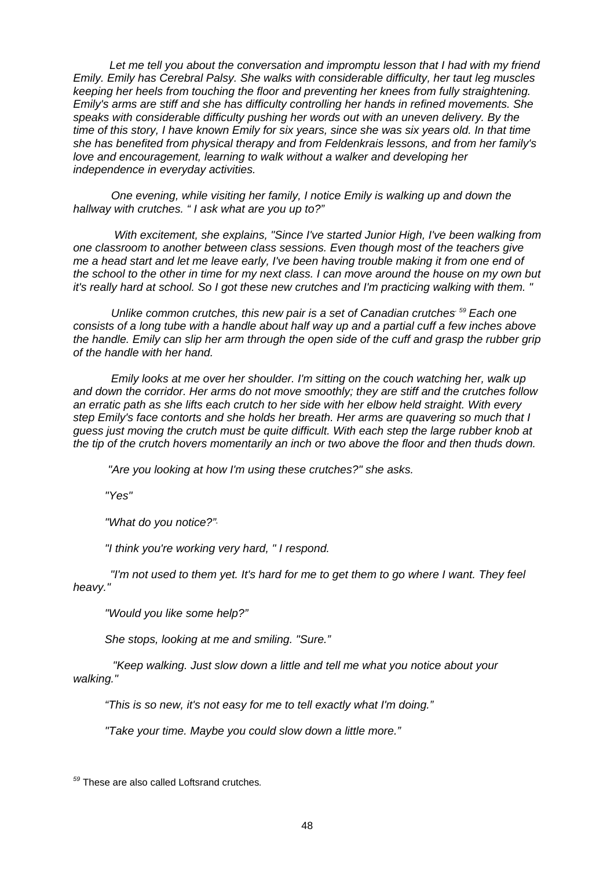Let me tell you about the conversation and impromptu lesson that I had with my friend *Emily. Emily has Cerebral Palsy. She walks with considerable difficulty, her taut leg muscles keeping her heels from touching the floor and preventing her knees from fully straightening. Emily's arms are stiff and she has difficulty controlling her hands in refined movements. She speaks with considerable difficulty pushing her words out with an uneven delivery. By the time of this story, I have known Emily for six years, since she was six years old. In that time she has benefited from physical therapy and from Feldenkrais lessons, and from her family's love and encouragement, learning to walk without a walker and developing her independence in everyday activities.* 

*One evening, while visiting her family, I notice Emily is walking up and down the hallway with crutches. " I ask what are you up to?"* 

 *With excitement, she explains, "Since I've started Junior High, I've been walking from one classroom to another between class sessions. Even though most of the teachers give me a head start and let me leave early, I've been having trouble making it from one end of the school to the other in time for my next class. I can move around the house on my own but it's really hard at school. So I got these new crutches and I'm practicing walking with them.* 

*Unlike common crutches, this new pair is a set of Canadian crutches. 59 Each one consists of a long tube with a handle about half way up and a partial cuff a few inches above the handle. Emily can slip her arm through the open side of the cuff and grasp the rubber grip of the handle with her hand.* 

*Emily looks at me over her shoulder. I'm sitting on the couch watching her, walk up and down the corridor. Her arms do not move smoothly; they are stiff and the crutches follow an erratic path as she lifts each crutch to her side with her elbow held straight. With every step Emily's face contorts and she holds her breath. Her arms are quavering so much that I guess just moving the crutch must be quite difficult. With each step the large rubber knob at the tip of the crutch hovers momentarily an inch or two above the floor and then thuds down.* 

 *"Are you looking at how I'm using these crutches?" she asks.* 

 *"Yes"* 

 *"What do you notice?"*"

 *"I think you're working very hard, " I respond.* 

*"I'm not used to them yet. It's hard for me to get them to go where I want. They feel heavy."* 

 *"Would you like some help?"*

 *She stops, looking at me and smiling. "Sure."*

*"Keep walking. Just slow down a little and tell me what you notice about your walking."* 

 *"This is so new, it's not easy for me to tell exactly what I'm doing."*

 *"Take your time. Maybe you could slow down a little more."*

*<sup>59</sup>* These are also called Loftsrand crutches*.*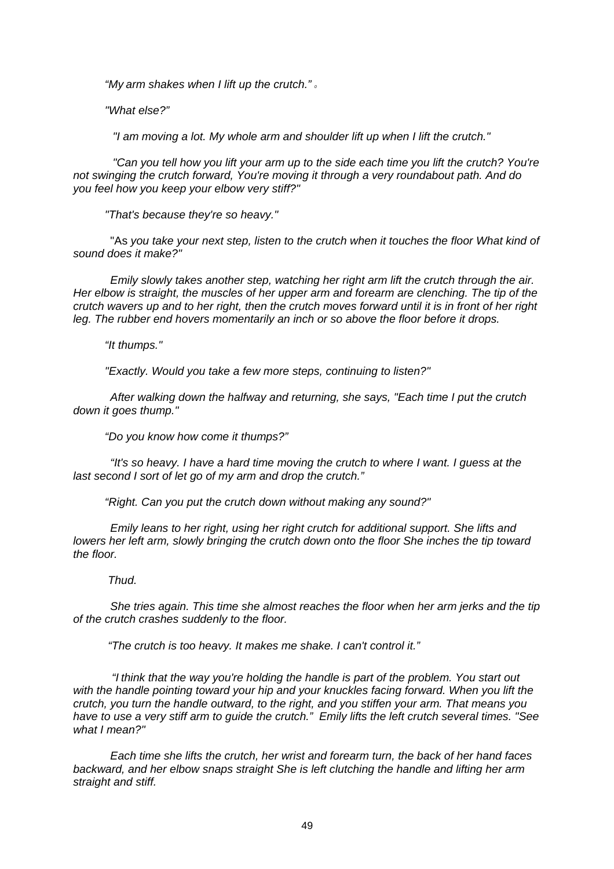*"My arm shakes when I lift up the crutch." <sup>0</sup>*

 *"What else?"*

*"I am moving a lot. My whole arm and shoulder lift up when I lift the crutch."* 

*"Can you tell how you lift your arm up to the side each time you lift the crutch? You're not swinging the crutch forward, You're moving it through a very roundabout path. And do you feel how you keep your elbow very stiff?"* 

 *"That's because they're so heavy."* 

"As *you take your next step, listen to the crutch when it touches the floor What kind of sound does it make?"* 

*Emily slowly takes another step, watching her right arm lift the crutch through the air. Her elbow is straight, the muscles of her upper arm and forearm are clenching. The tip of the crutch wavers up and to her right, then the crutch moves forward until it is in front of her right*  leg. The rubber end hovers momentarily an inch or so above the floor before it drops.

 *"It thumps."* 

 *"Exactly. Would you take a few more steps, continuing to listen?"* 

*After walking down the halfway and returning, she says, "Each time I put the crutch down it goes thump."* 

 *"Do you know how come it thumps?"*

*"It's so heavy. I have a hard time moving the crutch to where I want. I guess at the last second I sort of let go of my arm and drop the crutch."*

 *"Right. Can you put the crutch down without making any sound?"* 

*Emily leans to her right, using her right crutch for additional support. She lifts and lowers her left arm, slowly bringing the crutch down onto the floor She inches the tip toward the floor.* 

 *Thud.* 

*She tries again. This time she almost reaches the floor when her arm jerks and the tip of the crutch crashes suddenly to the floor.* 

 *"The crutch is too heavy. It makes me shake. I can't control it."*

*"I think that the way you're holding the handle is part of the problem. You start out with the handle pointing toward your hip and your knuckles facing forward. When you lift the crutch, you turn the handle outward, to the right, and you stiffen your arm. That means you have to use a very stiff arm to guide the crutch." Emily lifts the left crutch several times. "See what I mean?"* 

*Each time she lifts the crutch, her wrist and forearm turn, the back of her hand faces backward, and her elbow snaps straight She is left clutching the handle and lifting her arm straight and stiff.*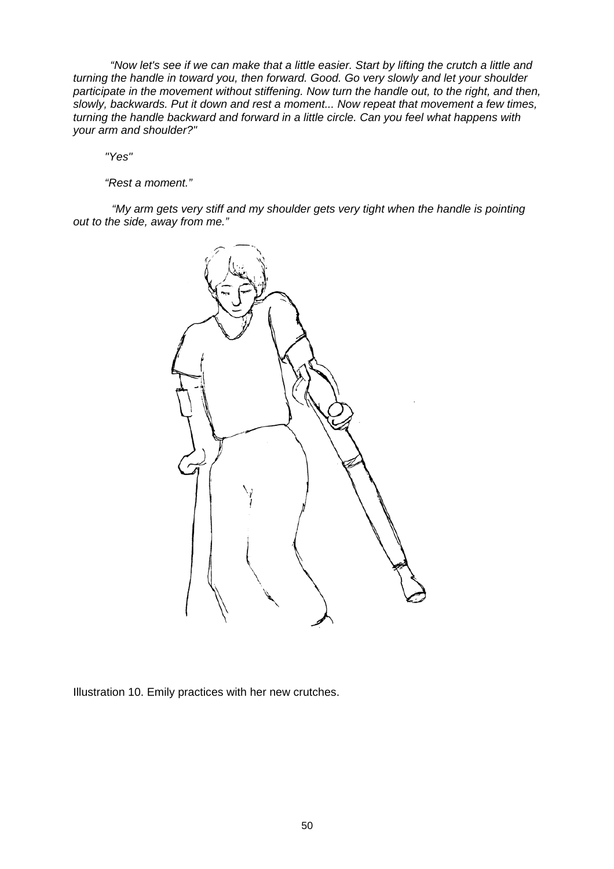*"Now let's see if we can make that a little easier. Start by lifting the crutch a little and turning the handle in toward you, then forward. Good. Go very slowly and let your shoulder*  participate in the movement without stiffening. Now turn the handle out, to the right, and then, *slowly, backwards. Put it down and rest a moment... Now repeat that movement a few times, turning the handle backward and forward in a little circle. Can you feel what happens with your arm and shoulder?"* 

 *"Yes"* 

 *"Rest a moment."*

*"My arm gets very stiff and my shoulder gets very tight when the handle is pointing out to the side, away from me."*



Illustration 10. Emily practices with her new crutches.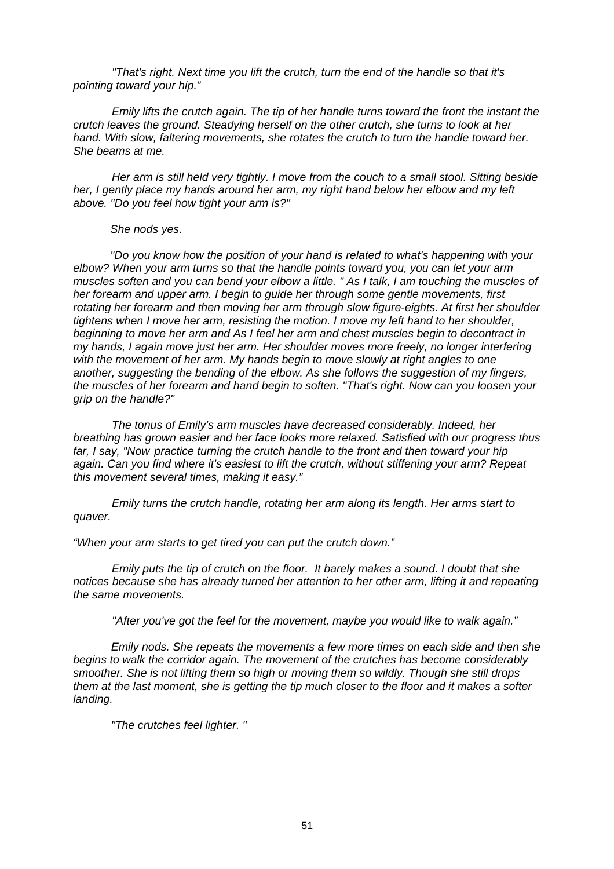*"That's right. Next time you lift the crutch, turn the end of the handle so that it's pointing toward your hip."*

*Emily lifts the crutch again. The tip of her handle turns toward the front the instant the crutch leaves the ground. Steadying herself on the other crutch, she turns to look at her hand. With slow, faltering movements, she rotates the crutch to turn the handle toward her. She beams at me.* 

*Her arm is still held very tightly. I move from the couch to a small stool. Sitting beside her, I gently place my hands around her arm, my right hand below her elbow and my left above. "Do you feel how tight your arm is?"* 

*She nods yes.* 

*"Do you know how the position of your hand is related to what's happening with your elbow? When your arm turns so that the handle points toward you, you can let your arm muscles soften and you can bend your elbow a little. " As I talk, I am touching the muscles of her forearm and upper arm. I begin to guide her through some gentle movements, first rotating her forearm and then moving her arm through slow figure-eights. At first her shoulder tightens when I move her arm, resisting the motion. I move my left hand to her shoulder, beginning to move her arm and As I feel her arm and chest muscles begin to decontract in my hands, I again move just her arm. Her shoulder moves more freely, no longer interfering with the movement of her arm. My hands begin to move slowly at right angles to one another, suggesting the bending of the elbow. As she follows the suggestion of my fingers, the muscles of her forearm and hand begin to soften. "That's right. Now can you loosen your grip on the handle?"* 

*The tonus of Emily's arm muscles have decreased considerably. Indeed, her breathing has grown easier and her face looks more relaxed. Satisfied with our progress thus*  far, I say, "Now practice turning the crutch handle to the front and then toward your hip *again. Can you find where it's easiest to lift the crutch, without stiffening your arm? Repeat this movement several times, making it easy."*

*Emily turns the crutch handle, rotating her arm along its length. Her arms start to quaver.* 

*"When your arm starts to get tired you can put the crutch down."*

*Emily puts the tip of crutch on the floor. It barely makes a sound. I doubt that she*  notices because she has already turned her attention to her other arm, lifting it and repeating *the same movements.* 

*"After you've got the feel for the movement, maybe you would like to walk again."*

 *Emily nods. She repeats the movements a few more times on each side and then she begins to walk the corridor again. The movement of the crutches has become considerably smoother. She is not lifting them so high or moving them so wildly. Though she still drops them at the last moment, she is getting the tip much closer to the floor and it makes a softer landing.* 

 *"The crutches feel lighter. "*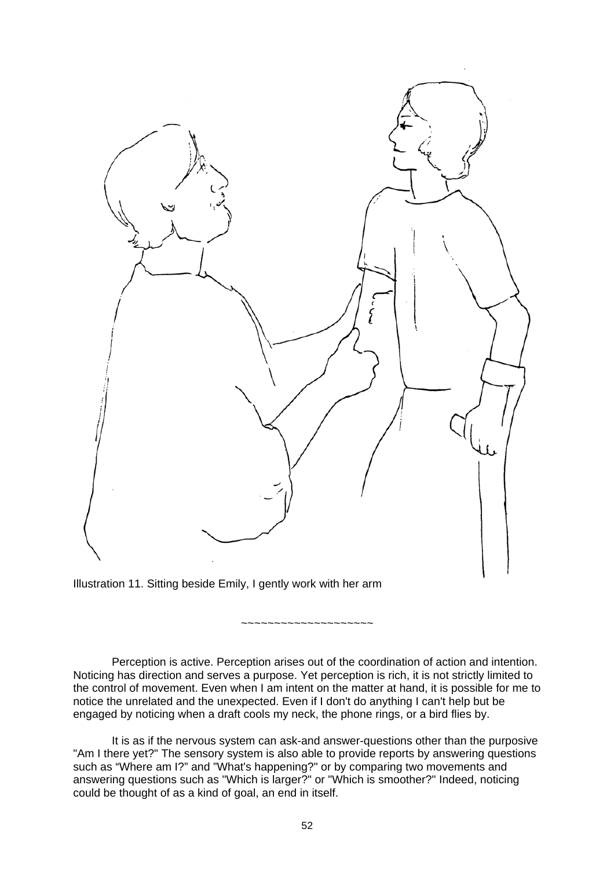

Illustration 11. Sitting beside Emily, I gently work with her arm

Perception is active. Perception arises out of the coordination of action and intention. Noticing has direction and serves a purpose. Yet perception is rich, it is not strictly limited to the control of movement. Even when I am intent on the matter at hand, it is possible for me to notice the unrelated and the unexpected. Even if I don't do anything I can't help but be engaged by noticing when a draft cools my neck, the phone rings, or a bird flies by.

~~~~~~~~~~~~~~~~~

It is as if the nervous system can ask-and answer-questions other than the purposive "Am I there yet?" The sensory system is also able to provide reports by answering questions such as "Where am I?" and "What's happening?" or by comparing two movements and answering questions such as "Which is larger?" or "Which is smoother?" Indeed, noticing could be thought of as a kind of goal, an end in itself.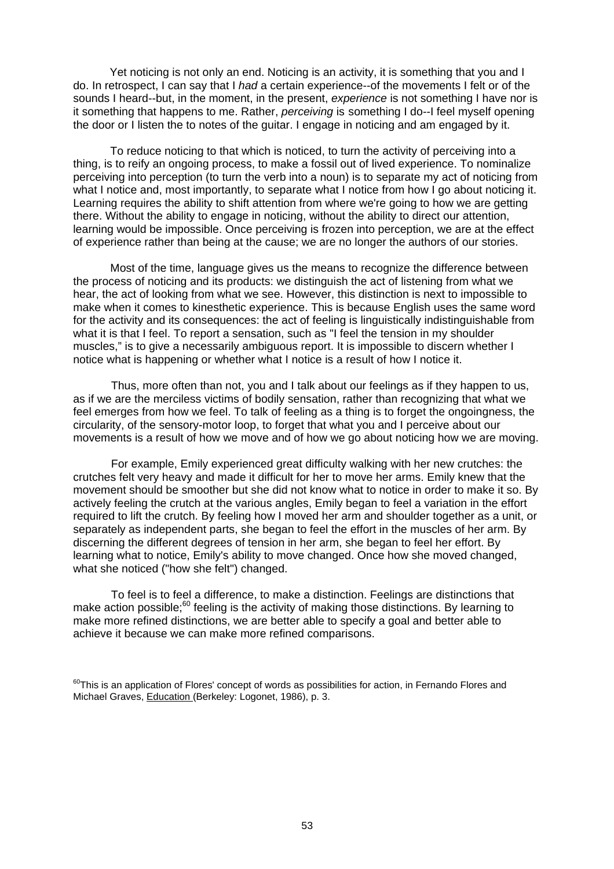Yet noticing is not only an end. Noticing is an activity, it is something that you and I do. In retrospect, I can say that I *had* a certain experience--of the movements I felt or of the sounds I heard--but, in the moment, in the present, *experience* is not something I have nor is it something that happens to me. Rather, *perceiving* is something I do--I feel myself opening the door or I listen the to notes of the guitar. I engage in noticing and am engaged by it.

To reduce noticing to that which is noticed, to turn the activity of perceiving into a thing, is to reify an ongoing process, to make a fossil out of lived experience. To nominalize perceiving into perception (to turn the verb into a noun) is to separate my act of noticing from what I notice and, most importantly, to separate what I notice from how I go about noticing it. Learning requires the ability to shift attention from where we're going to how we are getting there. Without the ability to engage in noticing, without the ability to direct our attention, learning would be impossible. Once perceiving is frozen into perception, we are at the effect of experience rather than being at the cause; we are no longer the authors of our stories.

Most of the time, language gives us the means to recognize the difference between the process of noticing and its products: we distinguish the act of listening from what we hear, the act of looking from what we see. However, this distinction is next to impossible to make when it comes to kinesthetic experience. This is because English uses the same word for the activity and its consequences: the act of feeling is linguistically indistinguishable from what it is that I feel. To report a sensation, such as "I feel the tension in my shoulder muscles," is to give a necessarily ambiguous report. It is impossible to discern whether I notice what is happening or whether what I notice is a result of how I notice it.

Thus, more often than not, you and I talk about our feelings as if they happen to us, as if we are the merciless victims of bodily sensation, rather than recognizing that what we feel emerges from how we feel. To talk of feeling as a thing is to forget the ongoingness, the circularity, of the sensory-motor loop, to forget that what you and I perceive about our movements is a result of how we move and of how we go about noticing how we are moving.

For example, Emily experienced great difficulty walking with her new crutches: the crutches felt very heavy and made it difficult for her to move her arms. Emily knew that the movement should be smoother but she did not know what to notice in order to make it so. By actively feeling the crutch at the various angles, Emily began to feel a variation in the effort required to lift the crutch. By feeling how I moved her arm and shoulder together as a unit, or separately as independent parts, she began to feel the effort in the muscles of her arm. By discerning the different degrees of tension in her arm, she began to feel her effort. By learning what to notice, Emily's ability to move changed. Once how she moved changed, what she noticed ("how she felt") changed.

To feel is to feel a difference, to make a distinction. Feelings are distinctions that make action possible; $60$  feeling is the activity of making those distinctions. By learning to make more refined distinctions, we are better able to specify a goal and better able to achieve it because we can make more refined comparisons.

 $60$ This is an application of Flores' concept of words as possibilities for action, in Fernando Flores and Michael Graves, Education (Berkeley: Logonet, 1986), p. 3.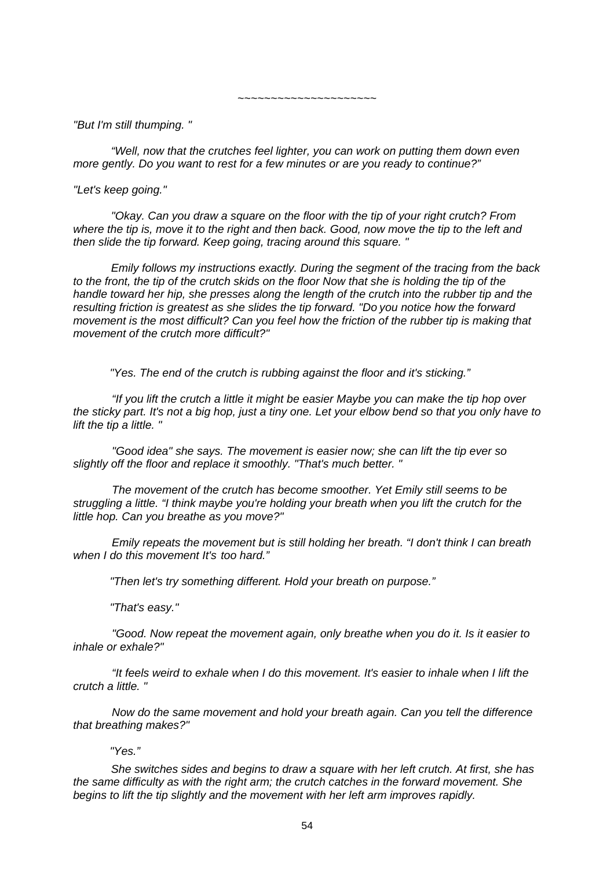*"But I'm still thumping. "* 

*"Well, now that the crutches feel lighter, you can work on putting them down even more gently. Do you want to rest for a few minutes or are you ready to continue?"*

~~~~~~~~~~~~~~~~~~~~~

*"Let's keep going."* 

*"Okay. Can you draw a square on the floor with the tip of your right crutch? From where the tip is, move it to the right and then back. Good, now move the tip to the left and then slide the tip forward. Keep going, tracing around this square. "* 

*Emily follows my instructions exactly. During the segment of the tracing from the back to the front, the tip of the crutch skids on the floor Now that she is holding the tip of the handle toward her hip, she presses along the length of the crutch into the rubber tip and the resulting friction is greatest as she slides the tip forward. "Do you notice how the forward movement is the most difficult? Can you feel how the friction of the rubber tip is making that movement of the crutch more difficult?"*

*"Yes. The end of the crutch is rubbing against the floor and it's sticking."*

*"If you lift the crutch a little it might be easier Maybe you can make the tip hop over the sticky part. It's not a big hop, just a tiny one. Let your elbow bend so that you only have to lift the tip a little. "* 

*"Good idea" she says. The movement is easier now; she can lift the tip ever so slightly off the floor and replace it smoothly. "That's much better. "* 

*The movement of the crutch has become smoother. Yet Emily still seems to be struggling a little. "I think maybe you're holding your breath when you lift the crutch for the little hop. Can you breathe as you move?"* 

*Emily repeats the movement but is still holding her breath. "I don't think I can breath when I do this movement It's too hard."*

*"Then let's try something different. Hold your breath on purpose."*

 *"That's easy."* 

*"Good. Now repeat the movement again, only breathe when you do it. Is it easier to inhale or exhale?"* 

*"It feels weird to exhale when I do this movement. It's easier to inhale when I lift the crutch a little. "* 

*Now do the same movement and hold your breath again. Can you tell the difference that breathing makes?"* 

 *"Yes."*

*She switches sides and begins to draw a square with her left crutch. At first, she has the same difficulty as with the right arm; the crutch catches in the forward movement. She begins to lift the tip slightly and the movement with her left arm improves rapidly.*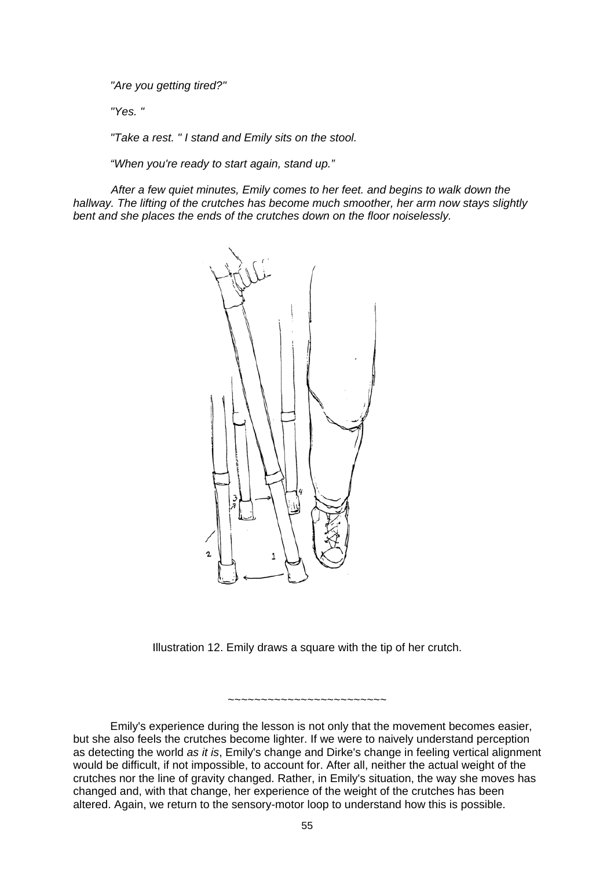*"Are you getting tired?"* 

*"Yes. "* 

*"Take a rest. " I stand and Emily sits on the stool.* 

*"When you're ready to start again, stand up."*

*After a few quiet minutes, Emily comes to her feet. and begins to walk down the hallway. The lifting of the crutches has become much smoother, her arm now stays slightly bent and she places the ends of the crutches down on the floor noiselessly.* 



Illustration 12. Emily draws a square with the tip of her crutch.

~~~~~~~~~~~~~~~~~~~~~~~~

Emily's experience during the lesson is not only that the movement becomes easier, but she also feels the crutches become lighter. If we were to naively understand perception as detecting the world *as it is*, Emily's change and Dirke's change in feeling vertical alignment would be difficult, if not impossible, to account for. After all, neither the actual weight of the crutches nor the line of gravity changed. Rather, in Emily's situation, the way she moves has changed and, with that change, her experience of the weight of the crutches has been altered. Again, we return to the sensory-motor loop to understand how this is possible.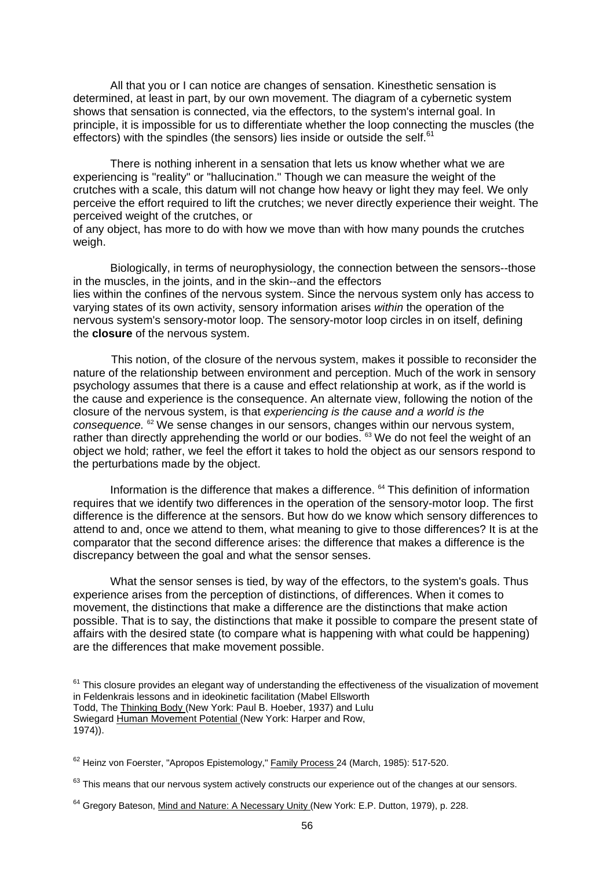All that you or I can notice are changes of sensation. Kinesthetic sensation is determined, at least in part, by our own movement. The diagram of a cybernetic system shows that sensation is connected, via the effectors, to the system's internal goal. In principle, it is impossible for us to differentiate whether the loop connecting the muscles (the effectors) with the spindles (the sensors) lies inside or outside the self.<sup>61</sup>

There is nothing inherent in a sensation that lets us know whether what we are experiencing is "reality" or "hallucination." Though we can measure the weight of the crutches with a scale, this datum will not change how heavy or light they may feel. We only perceive the effort required to lift the crutches; we never directly experience their weight. The perceived weight of the crutches, or

of any object, has more to do with how we move than with how many pounds the crutches weigh.

Biologically, in terms of neurophysiology, the connection between the sensors--those in the muscles, in the joints, and in the skin--and the effectors lies within the confines of the nervous system. Since the nervous system only has access to varying states of its own activity, sensory information arises *within* the operation of the nervous system's sensory-motor loop. The sensory-motor loop circles in on itself, defining the **closure** of the nervous system.

This notion, of the closure of the nervous system, makes it possible to reconsider the nature of the relationship between environment and perception. Much of the work in sensory psychology assumes that there is a cause and effect relationship at work, as if the world is the cause and experience is the consequence. An alternate view, following the notion of the closure of the nervous system, is that *experiencing is the cause and a world is the consequence.* <sup>62</sup> We sense changes in our sensors, changes within our nervous system, rather than directly apprehending the world or our bodies. <sup>63</sup> We do not feel the weight of an object we hold; rather, we feel the effort it takes to hold the object as our sensors respond to the perturbations made by the object.

Information is the difference that makes a difference. <sup>64</sup> This definition of information requires that we identify two differences in the operation of the sensory-motor loop. The first difference is the difference at the sensors. But how do we know which sensory differences to attend to and, once we attend to them, what meaning to give to those differences? It is at the comparator that the second difference arises: the difference that makes a difference is the discrepancy between the goal and what the sensor senses.

What the sensor senses is tied, by way of the effectors, to the system's goals. Thus experience arises from the perception of distinctions, of differences. When it comes to movement, the distinctions that make a difference are the distinctions that make action possible. That is to say, the distinctions that make it possible to compare the present state of affairs with the desired state (to compare what is happening with what could be happening) are the differences that make movement possible.

 $61$  This closure provides an elegant way of understanding the effectiveness of the visualization of movement in Feldenkrais lessons and in ideokinetic facilitation (Mabel Ellsworth Todd, The Thinking Body (New York: Paul B. Hoeber, 1937) and Lulu Swiegard Human Movement Potential (New York: Harper and Row, 1974)).

<sup>62</sup> Heinz von Foerster, "Apropos Epistemology," Family Process 24 (March, 1985): 517-520.

 $63$  This means that our nervous system actively constructs our experience out of the changes at our sensors.

<sup>&</sup>lt;sup>64</sup> Gregory Bateson, *Mind and Nature: A Necessary Unity (New York: E.P. Dutton, 1979), p. 228.*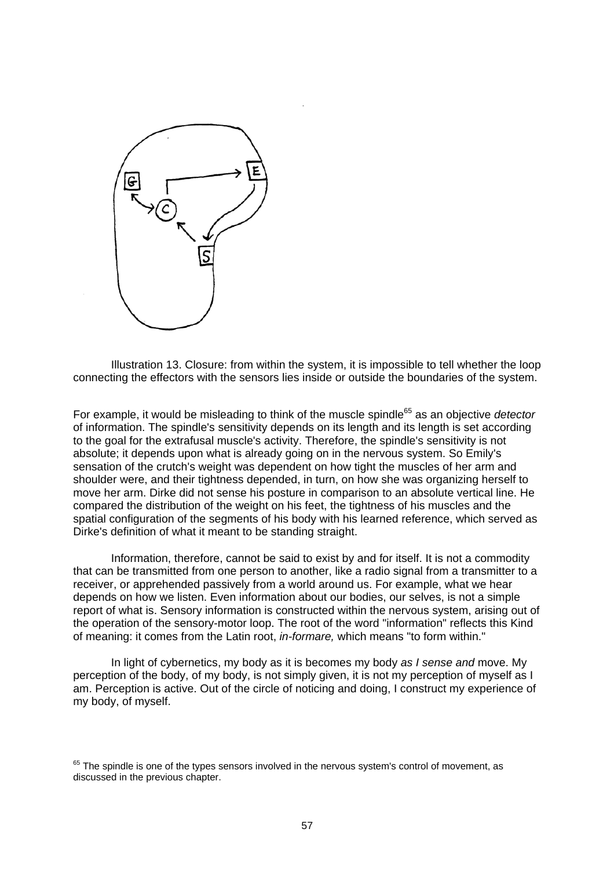

Illustration 13. Closure: from within the system, it is impossible to tell whether the loop connecting the effectors with the sensors lies inside or outside the boundaries of the system.

For example, it would be misleading to think of the muscle spindle<sup>65</sup> as an objective *detector* of information. The spindle's sensitivity depends on its length and its length is set according to the goal for the extrafusal muscle's activity. Therefore, the spindle's sensitivity is not absolute; it depends upon what is already going on in the nervous system. So Emily's sensation of the crutch's weight was dependent on how tight the muscles of her arm and shoulder were, and their tightness depended, in turn, on how she was organizing herself to move her arm. Dirke did not sense his posture in comparison to an absolute vertical line. He compared the distribution of the weight on his feet, the tightness of his muscles and the spatial configuration of the segments of his body with his learned reference, which served as Dirke's definition of what it meant to be standing straight.

Information, therefore, cannot be said to exist by and for itself. It is not a commodity that can be transmitted from one person to another, like a radio signal from a transmitter to a receiver, or apprehended passively from a world around us. For example, what we hear depends on how we listen. Even information about our bodies, our selves, is not a simple report of what is. Sensory information is constructed within the nervous system, arising out of the operation of the sensory-motor loop. The root of the word "information" reflects this Kind of meaning: it comes from the Latin root, *in-formare,* which means "to form within."

In light of cybernetics, my body as it is becomes my body *as I sense and* move. My perception of the body, of my body, is not simply given, it is not my perception of myself as I am. Perception is active. Out of the circle of noticing and doing, I construct my experience of my body, of myself.

 $65$  The spindle is one of the types sensors involved in the nervous system's control of movement, as discussed in the previous chapter.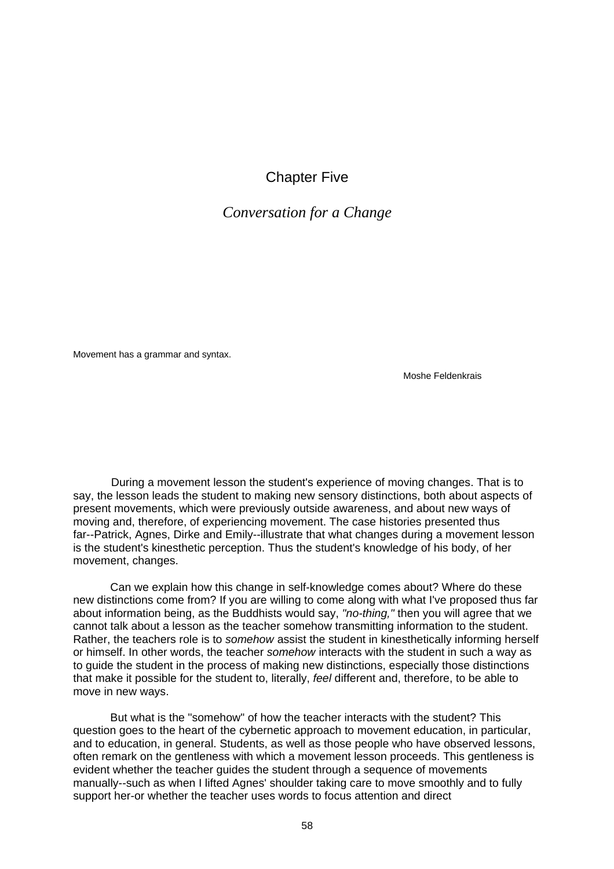## Chapter Five

*Conversation for a Change* 

Movement has a grammar and syntax.

Moshe Feldenkrais

During a movement lesson the student's experience of moving changes. That is to say, the lesson leads the student to making new sensory distinctions, both about aspects of present movements, which were previously outside awareness, and about new ways of moving and, therefore, of experiencing movement. The case histories presented thus far--Patrick, Agnes, Dirke and Emily--illustrate that what changes during a movement lesson is the student's kinesthetic perception. Thus the student's knowledge of his body, of her movement, changes.

Can we explain how this change in self-knowledge comes about? Where do these new distinctions come from? If you are willing to come along with what I've proposed thus far about information being, as the Buddhists would say, *"no-thing,"* then you will agree that we cannot talk about a lesson as the teacher somehow transmitting information to the student. Rather, the teachers role is to *somehow* assist the student in kinesthetically informing herself or himself. In other words, the teacher *somehow* interacts with the student in such a way as to guide the student in the process of making new distinctions, especially those distinctions that make it possible for the student to, literally, *feel* different and, therefore, to be able to move in new ways.

But what is the "somehow" of how the teacher interacts with the student? This question goes to the heart of the cybernetic approach to movement education, in particular, and to education, in general. Students, as well as those people who have observed lessons, often remark on the gentleness with which a movement lesson proceeds. This gentleness is evident whether the teacher guides the student through a sequence of movements manually--such as when I lifted Agnes' shoulder taking care to move smoothly and to fully support her-or whether the teacher uses words to focus attention and direct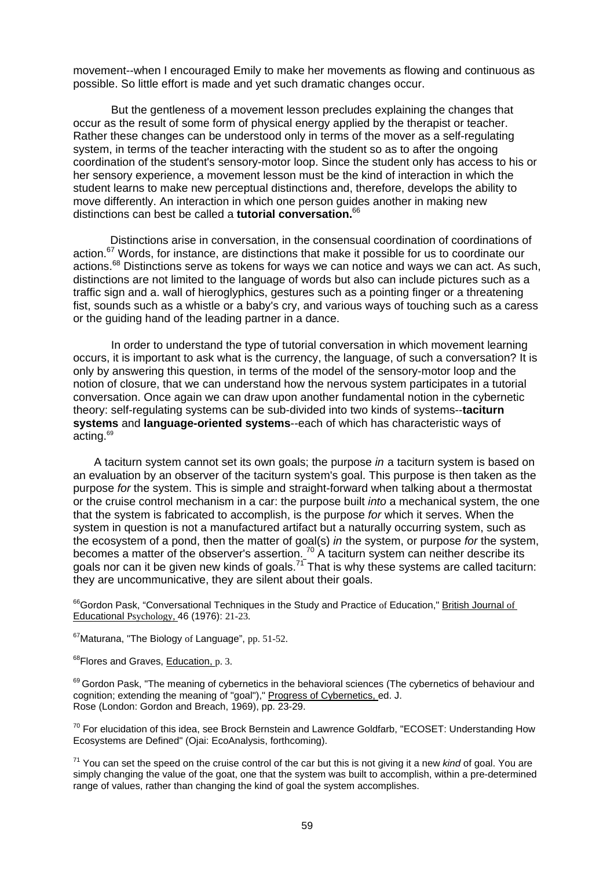movement--when I encouraged Emily to make her movements as flowing and continuous as possible. So little effort is made and yet such dramatic changes occur.

But the gentleness of a movement lesson precludes explaining the changes that occur as the result of some form of physical energy applied by the therapist or teacher. Rather these changes can be understood only in terms of the mover as a self-regulating system, in terms of the teacher interacting with the student so as to after the ongoing coordination of the student's sensory-motor loop. Since the student only has access to his or her sensory experience, a movement lesson must be the kind of interaction in which the student learns to make new perceptual distinctions and, therefore, develops the ability to move differently. An interaction in which one person guides another in making new distinctions can best be called a **tutorial conversation.**<sup>66</sup>

Distinctions arise in conversation, in the consensual coordination of coordinations of action.<sup>67</sup> Words, for instance, are distinctions that make it possible for us to coordinate our actions.68 Distinctions serve as tokens for ways we can notice and ways we can act. As such, distinctions are not limited to the language of words but also can include pictures such as a traffic sign and a. wall of hieroglyphics, gestures such as a pointing finger or a threatening fist, sounds such as a whistle or a baby's cry, and various ways of touching such as a caress or the guiding hand of the leading partner in a dance.

In order to understand the type of tutorial conversation in which movement learning occurs, it is important to ask what is the currency, the language, of such a conversation? It is only by answering this question, in terms of the model of the sensory-motor loop and the notion of closure, that we can understand how the nervous system participates in a tutorial conversation. Once again we can draw upon another fundamental notion in the cybernetic theory: self-regulating systems can be sub-divided into two kinds of systems--**taciturn systems** and **language-oriented systems**--each of which has characteristic ways of acting.69

A taciturn system cannot set its own goals; the purpose *in* a taciturn system is based on an evaluation by an observer of the taciturn system's goal. This purpose is then taken as the purpose *for* the system. This is simple and straight-forward when talking about a thermostat or the cruise control mechanism in a car: the purpose built *into* a mechanical system, the one that the system is fabricated to accomplish, is the purpose *for* which it serves. When the system in question is not a manufactured artifact but a naturally occurring system, such as the ecosystem of a pond, then the matter of goal(s) *in* the system, or purpose *for* the system, becomes a matter of the observer's assertion. <sup>70</sup> A taciturn system can neither describe its goals nor can it be given new kinds of goals.<sup>71</sup> That is why these systems are called taciturn: they are uncommunicative, they are silent about their goals.

<sup>66</sup>Gordon Pask, "Conversational Techniques in the Study and Practice of Education," British Journal of Educational Psychology, 46 (1976): 21-23.

 $67$ Maturana, "The Biology of Language", pp. 51-52.

<sup>68</sup> Flores and Graves, Education, p. 3.

69 Gordon Pask, "The meaning of cybernetics in the behavioral sciences (The cybernetics of behaviour and cognition; extending the meaning of "goal")," Progress of Cybernetics, ed. J. Rose (London: Gordon and Breach, 1969), pp. 23-29.

<sup>70</sup> For elucidation of this idea, see Brock Bernstein and Lawrence Goldfarb, "ECOSET: Understanding How Ecosystems are Defined" (Ojai: EcoAnalysis, forthcoming).

71 You can set the speed on the cruise control of the car but this is not giving it a new *kind* of goal. You are simply changing the value of the goat, one that the system was built to accomplish, within a pre-determined range of values, rather than changing the kind of goal the system accomplishes.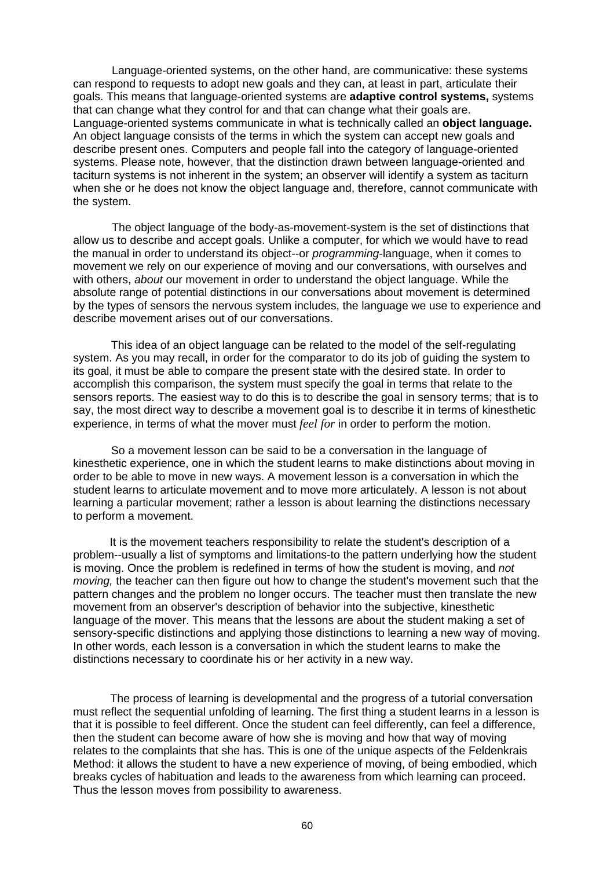Language-oriented systems, on the other hand, are communicative: these systems can respond to requests to adopt new goals and they can, at least in part, articulate their goals. This means that language-oriented systems are **adaptive control systems,** systems that can change what they control for and that can change what their goals are. Language-oriented systems communicate in what is technically called an **object language.**  An object language consists of the terms in which the system can accept new goals and describe present ones. Computers and people fall into the category of language-oriented systems. Please note, however, that the distinction drawn between language-oriented and taciturn systems is not inherent in the system; an observer will identify a system as taciturn when she or he does not know the object language and, therefore, cannot communicate with the system.

The object language of the body-as-movement-system is the set of distinctions that allow us to describe and accept goals. Unlike a computer, for which we would have to read the manual in order to understand its object--or *programming*-language, when it comes to movement we rely on our experience of moving and our conversations, with ourselves and with others, *about* our movement in order to understand the object language. While the absolute range of potential distinctions in our conversations about movement is determined by the types of sensors the nervous system includes, the language we use to experience and describe movement arises out of our conversations.

This idea of an object language can be related to the model of the self-regulating system. As you may recall, in order for the comparator to do its job of guiding the system to its goal, it must be able to compare the present state with the desired state. In order to accomplish this comparison, the system must specify the goal in terms that relate to the sensors reports. The easiest way to do this is to describe the goal in sensory terms; that is to say, the most direct way to describe a movement goal is to describe it in terms of kinesthetic experience, in terms of what the mover must *feel for* in order to perform the motion.

So a movement lesson can be said to be a conversation in the language of kinesthetic experience, one in which the student learns to make distinctions about moving in order to be able to move in new ways. A movement lesson is a conversation in which the student learns to articulate movement and to move more articulately. A lesson is not about learning a particular movement; rather a lesson is about learning the distinctions necessary to perform a movement.

It is the movement teachers responsibility to relate the student's description of a problem--usually a list of symptoms and limitations-to the pattern underlying how the student is moving. Once the problem is redefined in terms of how the student is moving, and *not moving,* the teacher can then figure out how to change the student's movement such that the pattern changes and the problem no longer occurs. The teacher must then translate the new movement from an observer's description of behavior into the subjective, kinesthetic language of the mover. This means that the lessons are about the student making a set of sensory-specific distinctions and applying those distinctions to learning a new way of moving. In other words, each lesson is a conversation in which the student learns to make the distinctions necessary to coordinate his or her activity in a new way.

The process of learning is developmental and the progress of a tutorial conversation must reflect the sequential unfolding of learning. The first thing a student learns in a lesson is that it is possible to feel different. Once the student can feel differently, can feel a difference, then the student can become aware of how she is moving and how that way of moving relates to the complaints that she has. This is one of the unique aspects of the Feldenkrais Method: it allows the student to have a new experience of moving, of being embodied, which breaks cycles of habituation and leads to the awareness from which learning can proceed. Thus the lesson moves from possibility to awareness.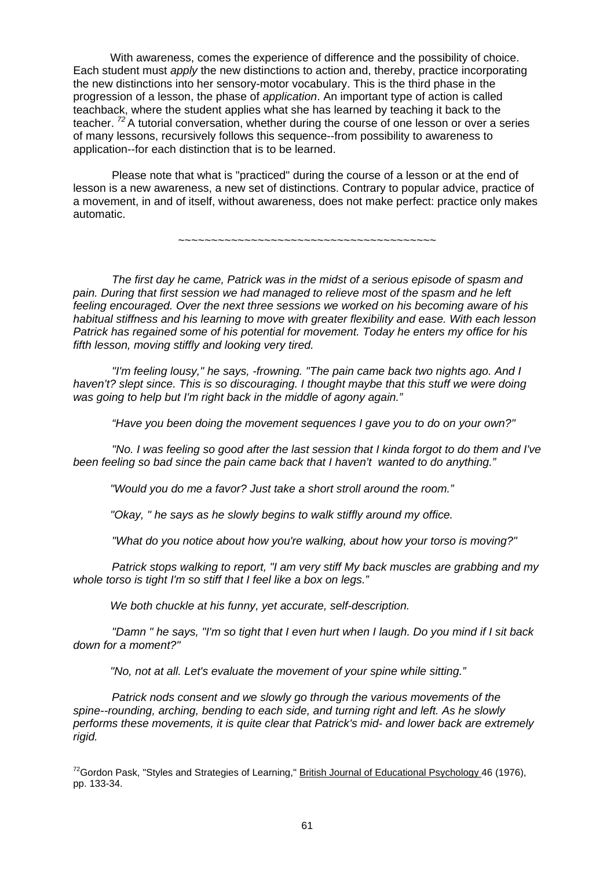With awareness, comes the experience of difference and the possibility of choice. Each student must *apply* the new distinctions to action and, thereby, practice incorporating the new distinctions into her sensory-motor vocabulary. This is the third phase in the progression of a lesson, the phase of *application*. An important type of action is called teachback, where the student applies what she has learned by teaching it back to the teacher. *<sup>72</sup>*A tutorial conversation, whether during the course of one lesson or over a series of many lessons, recursively follows this sequence--from possibility to awareness to application--for each distinction that is to be learned.

Please note that what is "practiced" during the course of a lesson or at the end of lesson is a new awareness, a new set of distinctions. Contrary to popular advice, practice of a movement, in and of itself, without awareness, does not make perfect: practice only makes automatic.

~~~~~~~~~~~~~~~~~~~~~~~~~~~~~~~~~~~~~~~

*The first day he came, Patrick was in the midst of a serious episode of spasm and pain. During that first session we had managed to relieve most of the spasm and he left feeling encouraged. Over the next three sessions we worked on his becoming aware of his habitual stiffness and his learning to move with greater flexibility and ease. With each lesson Patrick has regained some of his potential for movement. Today he enters my office for his fifth lesson, moving stiffly and looking very tired.* 

*"I'm feeling lousy," he says, -frowning. "The pain came back two nights ago. And I haven't? slept since. This is so discouraging. I thought maybe that this stuff we were doing was going to help but I'm right back in the middle of agony again."*

*"Have you been doing the movement sequences I gave you to do on your own?"* 

*"No. I was feeling so good after the last session that I kinda forgot to do them and I've been feeling so bad since the pain came back that I haven't wanted to do anything."*

*"Would you do me a favor? Just take a short stroll around the room."*

*"Okay, " he says as he slowly begins to walk stiffly around my office.* 

*"What do you notice about how you're walking, about how your torso is moving?"* 

*Patrick stops walking to report, "I am very stiff My back muscles are grabbing and my whole torso is tight I'm so stiff that I feel like a box on legs."*

*We both chuckle at his funny, yet accurate, self-description.* 

*"Damn " he says, "I'm so tight that I even hurt when I laugh. Do you mind if I sit back down for a moment?"* 

*"No, not at all. Let's evaluate the movement of your spine while sitting."*

*Patrick nods consent and we slowly go through the various movements of the spine--rounding, arching, bending to each side, and turning right and left. As he slowly performs these movements, it is quite clear that Patrick's mid- and lower back are extremely rigid.* 

<sup>72</sup>Gordon Pask, "Styles and Strategies of Learning," British Journal of Educational Psychology 46 (1976), pp. 133-34.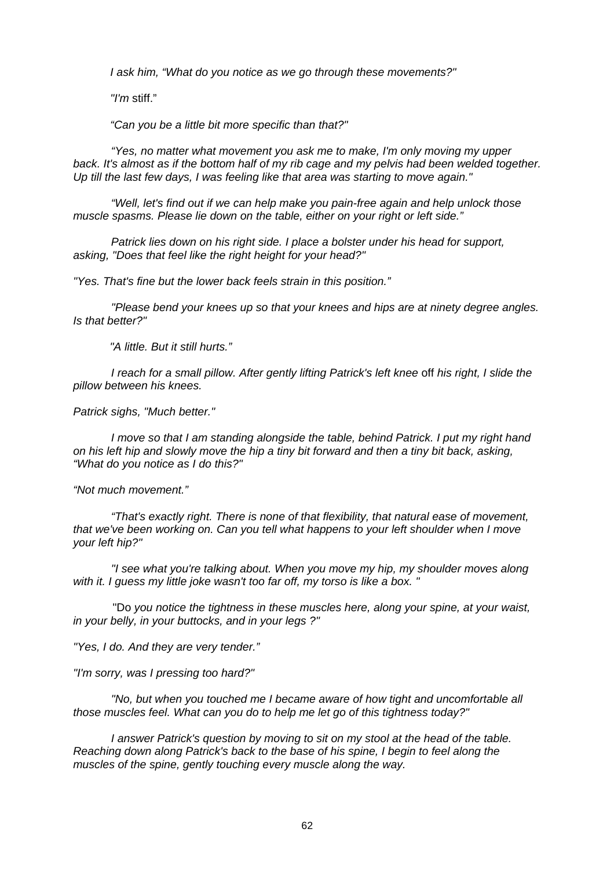*I ask him, "What do you notice as we go through these movements?"* 

*"I'm* stiff."

*"Can you be a little bit more specific than that?"* 

*"Yes, no matter what movement you ask me to make, I'm only moving my upper back. It's almost as if the bottom half of my rib cage and my pelvis had been welded together. Up till the last few days, I was feeling like that area was starting to move again."* 

*"Well, let's find out if we can help make you pain-free again and help unlock those muscle spasms. Please lie down on the table, either on your right or left side."*

*Patrick lies down on his right side. I place a bolster under his head for support, asking, "Does that feel like the right height for your head?"* 

*"Yes. That's fine but the lower back feels strain in this position."*

*"Please bend your knees up so that your knees and hips are at ninety degree angles. Is that better?"* 

*"A little. But it still hurts."*

*I reach for a small pillow. After gently lifting Patrick's left knee* off *his right, I slide the pillow between his knees.* 

*Patrick sighs, "Much better."* 

*I move so that I am standing alongside the table, behind Patrick. I put my right hand on his left hip and slowly move the hip a tiny bit forward and then a tiny bit back, asking, "What do you notice as I do this?"* 

*"Not much movement."*

*"That's exactly right. There is none of that flexibility, that natural ease of movement, that we've been working on. Can you tell what happens to your left shoulder when I move your left hip?"* 

*"I see what you're talking about. When you move my hip, my shoulder moves along with it. I guess my little joke wasn't too far off, my torso is like a box. "* 

"Do *you notice the tightness in these muscles here, along your spine, at your waist, in your belly, in your buttocks, and in your legs ?"* 

*"Yes, I do. And they are very tender."*

*"I'm sorry, was I pressing too hard?"* 

*"No, but when you touched me I became aware of how tight and uncomfortable all those muscles feel. What can you do to help me let go of this tightness today?"* 

*I answer Patrick's question by moving to sit on my stool at the head of the table. Reaching down along Patrick's back to the base of his spine, I begin to feel along the muscles of the spine, gently touching every muscle along the way.*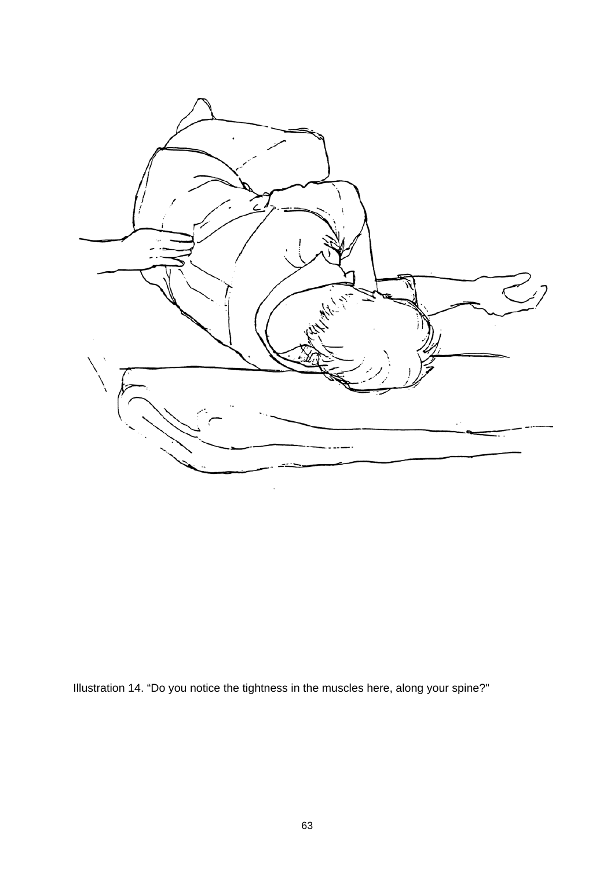

Illustration 14. "Do you notice the tightness in the muscles here, along your spine?"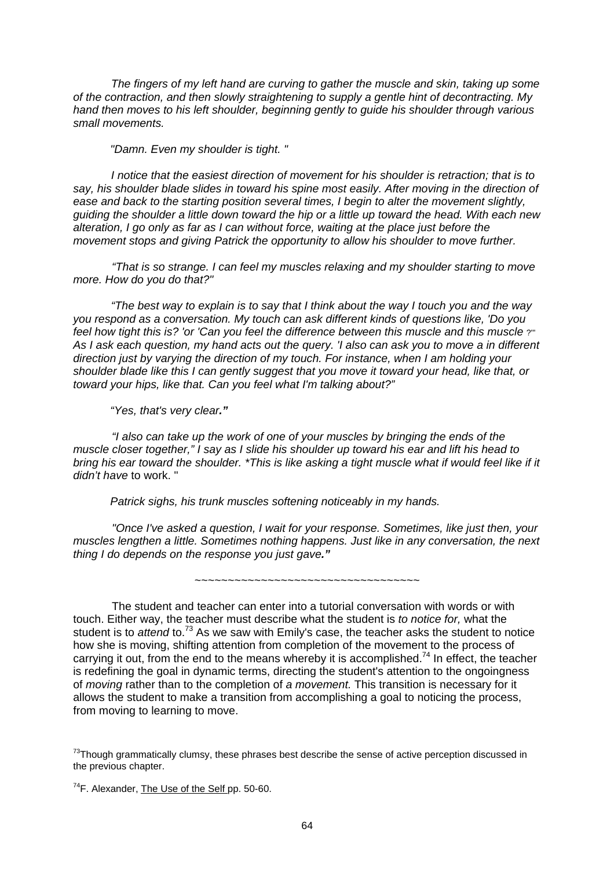*The fingers of my left hand are curving to gather the muscle and skin, taking up some of the contraction, and then slowly straightening to supply a gentle hint of decontracting. My hand then moves to his left shoulder, beginning gently to guide his shoulder through various small movements.* 

*"Damn. Even my shoulder is tight. "* 

*I notice that the easiest direction of movement for his shoulder is retraction; that is to say, his shoulder blade slides in toward his spine most easily. After moving in the direction of ease and back to the starting position several times, I begin to alter the movement slightly, guiding the shoulder a little down toward the hip or a little up toward the head. With each new alteration, I go only as far as I can without force, waiting at the place just before the movement stops and giving Patrick the opportunity to allow his shoulder to move further.* 

*"That is so strange. I can feel my muscles relaxing and my shoulder starting to move more. How do you do that?"* 

*"The best way to explain is to say that I think about the way I touch you and the way you respond as a conversation. My touch can ask different kinds of questions like, 'Do you feel how tight this is? 'or 'Can you feel the difference between this muscle and this muscle* ?'" *As I ask each question, my hand acts out the query. 'I also can ask you to move a in different direction just by varying the direction of my touch. For instance, when I am holding your shoulder blade like this I can gently suggest that you move it toward your head, like that, or toward your hips, like that. Can you feel what I'm talking about?"*

*"Yes, that's very clear."* 

*"I also can take up the work of one of your muscles by bringing the ends of the muscle closer together," I say as I slide his shoulder up toward his ear and lift his head to bring his ear toward the shoulder. \*This is like asking a tight muscle what if would feel like if it didn't have* to work. "

*Patrick sighs, his trunk muscles softening noticeably in my hands.* 

*"Once I've asked a question, I wait for your response. Sometimes, like just then, your muscles lengthen a little. Sometimes nothing happens. Just like in any conversation, the next thing I do depends on the response you just gave."*

~~~~~~~~~~~~~~~~~~~~~~~~~~~~~~~~~~

The student and teacher can enter into a tutorial conversation with words or with touch. Either way, the teacher must describe what the student is *to notice for,* what the student is to *attend* to.73 As we saw with Emily's case, the teacher asks the student to notice how she is moving, shifting attention from completion of the movement to the process of carrying it out, from the end to the means whereby it is accomplished.<sup>74</sup> In effect, the teacher is redefining the goal in dynamic terms, directing the student's attention to the ongoingness of *moving* rather than to the completion of *a movement.* This transition is necessary for it allows the student to make a transition from accomplishing a goal to noticing the process, from moving to learning to move.

 $73$ Though grammatically clumsy, these phrases best describe the sense of active perception discussed in the previous chapter.

<sup>&</sup>lt;sup>74</sup>F. Alexander, The Use of the Self pp. 50-60.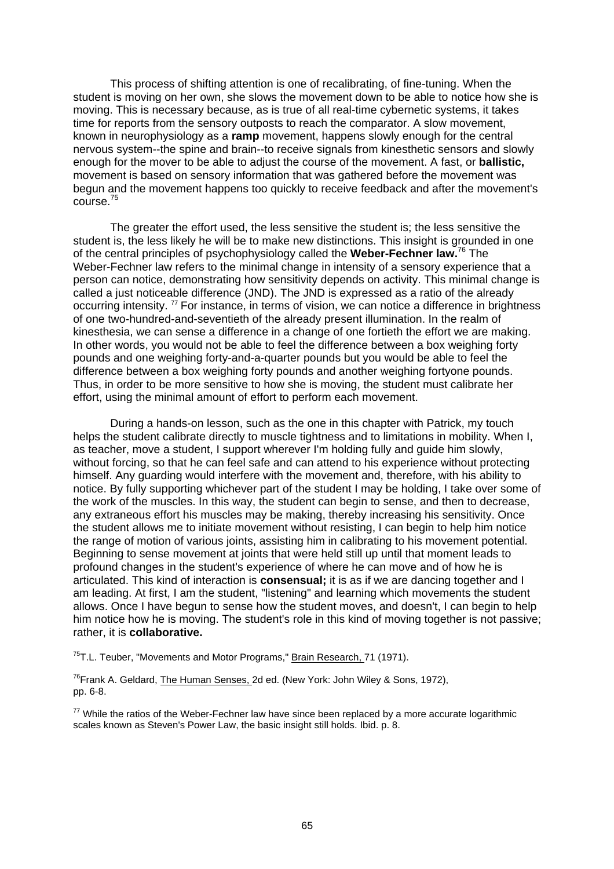This process of shifting attention is one of recalibrating, of fine-tuning. When the student is moving on her own, she slows the movement down to be able to notice how she is moving. This is necessary because, as is true of all real-time cybernetic systems, it takes time for reports from the sensory outposts to reach the comparator. A slow movement, known in neurophysiology as a **ramp** movement, happens slowly enough for the central nervous system--the spine and brain--to receive signals from kinesthetic sensors and slowly enough for the mover to be able to adjust the course of the movement. A fast, or **ballistic,**  movement is based on sensory information that was gathered before the movement was begun and the movement happens too quickly to receive feedback and after the movement's  $c$ ourse. $75$ 

The greater the effort used, the less sensitive the student is; the less sensitive the student is, the less likely he will be to make new distinctions. This insight is grounded in one of the central principles of psychophysiology called the **Weber-Fechner law.** <sup>76</sup> The Weber-Fechner law refers to the minimal change in intensity of a sensory experience that a person can notice, demonstrating how sensitivity depends on activity. This minimal change is called a just noticeable difference (JND). The JND is expressed as a ratio of the already occurring intensity.  $77$  For instance, in terms of vision, we can notice a difference in brightness of one two-hundred-and-seventieth of the already present illumination. In the realm of kinesthesia, we can sense a difference in a change of one fortieth the effort we are making. In other words, you would not be able to feel the difference between a box weighing forty pounds and one weighing forty-and-a-quarter pounds but you would be able to feel the difference between a box weighing forty pounds and another weighing fortyone pounds. Thus, in order to be more sensitive to how she is moving, the student must calibrate her effort, using the minimal amount of effort to perform each movement.

During a hands-on lesson, such as the one in this chapter with Patrick, my touch helps the student calibrate directly to muscle tightness and to limitations in mobility. When I, as teacher, move a student, I support wherever I'm holding fully and guide him slowly, without forcing, so that he can feel safe and can attend to his experience without protecting himself. Any guarding would interfere with the movement and, therefore, with his ability to notice. By fully supporting whichever part of the student I may be holding, I take over some of the work of the muscles. In this way, the student can begin to sense, and then to decrease, any extraneous effort his muscles may be making, thereby increasing his sensitivity. Once the student allows me to initiate movement without resisting, I can begin to help him notice the range of motion of various joints, assisting him in calibrating to his movement potential. Beginning to sense movement at joints that were held still up until that moment leads to profound changes in the student's experience of where he can move and of how he is articulated. This kind of interaction is **consensual;** it is as if we are dancing together and I am leading. At first, I am the student, "listening" and learning which movements the student allows. Once I have begun to sense how the student moves, and doesn't, I can begin to help him notice how he is moving. The student's role in this kind of moving together is not passive; rather, it is **collaborative.**

 $75$ T.L. Teuber, "Movements and Motor Programs," Brain Research, 71 (1971).

 $76$ Frank A. Geldard, The Human Senses, 2d ed. (New York: John Wiley & Sons, 1972), pp. 6-8.

 $77$  While the ratios of the Weber-Fechner law have since been replaced by a more accurate logarithmic scales known as Steven's Power Law, the basic insight still holds. Ibid. p. 8.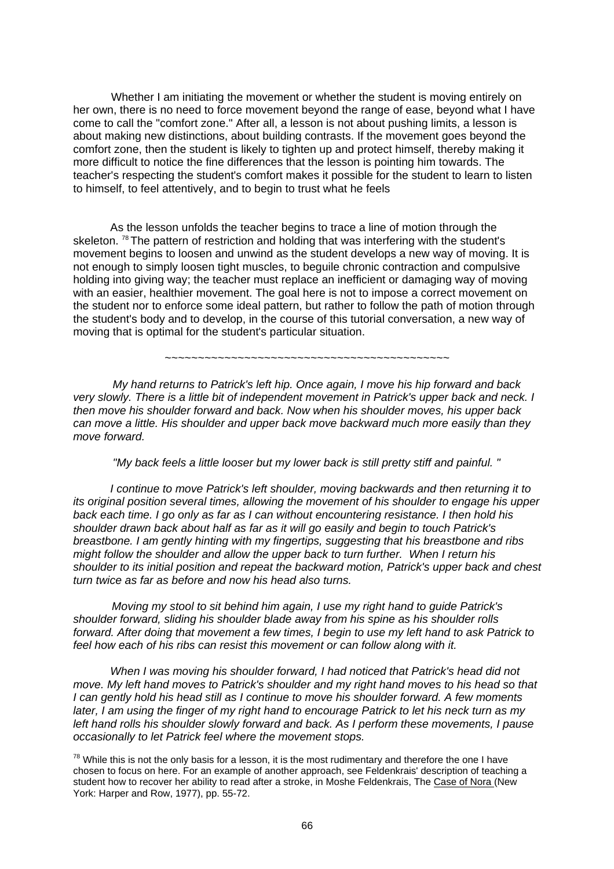Whether I am initiating the movement or whether the student is moving entirely on her own, there is no need to force movement beyond the range of ease, beyond what I have come to call the "comfort zone." After all, a lesson is not about pushing limits, a lesson is about making new distinctions, about building contrasts. If the movement goes beyond the comfort zone, then the student is likely to tighten up and protect himself, thereby making it more difficult to notice the fine differences that the lesson is pointing him towards. The teacher's respecting the student's comfort makes it possible for the student to learn to listen to himself, to feel attentively, and to begin to trust what he feels

As the lesson unfolds the teacher begins to trace a line of motion through the skeleton.  $78$  The pattern of restriction and holding that was interfering with the student's movement begins to loosen and unwind as the student develops a new way of moving. It is not enough to simply loosen tight muscles, to beguile chronic contraction and compulsive holding into giving way; the teacher must replace an inefficient or damaging way of moving with an easier, healthier movement. The goal here is not to impose a correct movement on the student nor to enforce some ideal pattern, but rather to follow the path of motion through the student's body and to develop, in the course of this tutorial conversation, a new way of moving that is optimal for the student's particular situation.

~~~~~~~~~~~~~~~~~~~~~~~~~~~~~~~~~~~~~~~~~~~

*My hand returns to Patrick's left hip. Once again, I move his hip forward and back very slowly. There is a little bit of independent movement in Patrick's upper back and neck. I then move his shoulder forward and back. Now when his shoulder moves, his upper back can move a little. His shoulder and upper back move backward much more easily than they move forward.* 

*"My back feels a little looser but my lower back is still pretty stiff and painful. "* 

*I continue to move Patrick's left shoulder, moving backwards and then returning it to its original position several times, allowing the movement of his shoulder to engage his upper back each time. I go only as far as I can without encountering resistance. I then hold his shoulder drawn back about half as far as it will go easily and begin to touch Patrick's breastbone. I am gently hinting with my fingertips, suggesting that his breastbone and ribs might follow the shoulder and allow the upper back to turn further. When I return his shoulder to its initial position and repeat the backward motion, Patrick's upper back and chest turn twice as far as before and now his head also turns.* 

*Moving my stool to sit behind him again, I use my right hand to guide Patrick's shoulder forward, sliding his shoulder blade away from his spine as his shoulder rolls forward. After doing that movement a few times, I begin to use my left hand to ask Patrick to feel how each of his ribs can resist this movement or can follow along with it.* 

*When I was moving his shoulder forward, I had noticed that Patrick's head did not move. My left hand moves to Patrick's shoulder and my right hand moves to his head so that I can gently hold his head still as I continue to move his shoulder forward. A few moments later, I am using the finger of my right hand to encourage Patrick to let his neck turn as my left hand rolls his shoulder slowly forward and back. As I perform these movements, I pause occasionally to let Patrick feel where the movement stops.* 

 $78$  While this is not the only basis for a lesson, it is the most rudimentary and therefore the one I have chosen to focus on here. For an example of another approach, see Feldenkrais' description of teaching a student how to recover her ability to read after a stroke, in Moshe Feldenkrais, The Case of Nora (New York: Harper and Row, 1977), pp. 55-72.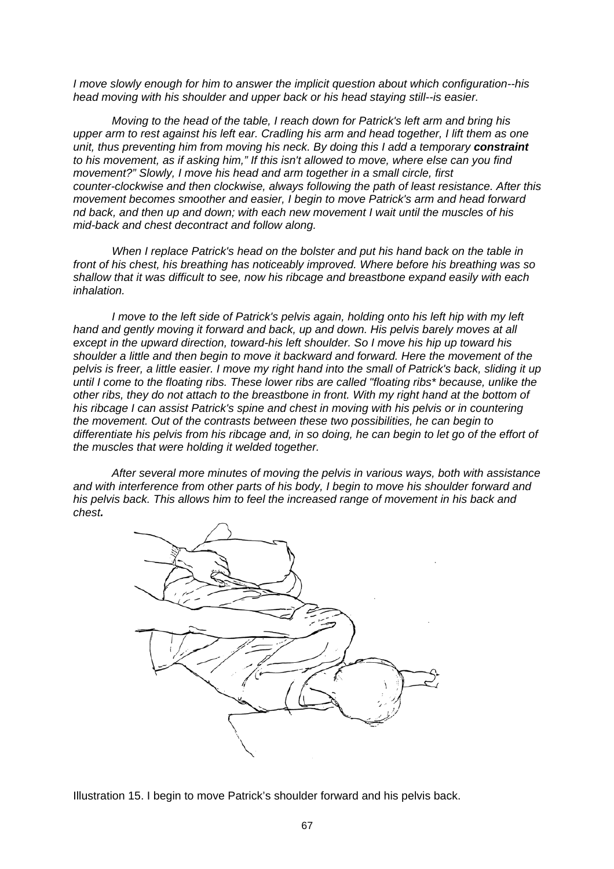*I move slowly enough for him to answer the implicit question about which configuration--his head moving with his shoulder and upper back or his head staying still--is easier.* 

*Moving to the head of the table, I reach down for Patrick's left arm and bring his upper arm to rest against his left ear. Cradling his arm and head together, I lift them as one unit, thus preventing him from moving his neck. By doing this I add a temporary <i>constraint to his movement, as if asking him," If this isn't allowed to move, where else can you find movement?" Slowly, I move his head and arm together in a small circle, first counter-clockwise and then clockwise, always following the path of least resistance. After this movement becomes smoother and easier, I begin to move Patrick's arm and head forward nd back, and then up and down; with each new movement I wait until the muscles of his mid-back and chest decontract and follow along.* 

*When I replace Patrick's head on the bolster and put his hand back on the table in front of his chest, his breathing has noticeably improved. Where before his breathing was so shallow that it was difficult to see, now his ribcage and breastbone expand easily with each inhalation.* 

*I move to the left side of Patrick's pelvis again, holding onto his left hip with my left hand and gently moving it forward and back, up and down. His pelvis barely moves at all except in the upward direction, toward-his left shoulder. So I move his hip up toward his shoulder a little and then begin to move it backward and forward. Here the movement of the pelvis is freer, a little easier. I move my right hand into the small of Patrick's back, sliding it up until I come to the floating ribs. These lower ribs are called "floating ribs\* because, unlike the other ribs, they do not attach to the breastbone in front. With my right hand at the bottom of his ribcage I can assist Patrick's spine and chest in moving with his pelvis or in countering the movement. Out of the contrasts between these two possibilities, he can begin to differentiate his pelvis from his ribcage and, in so doing, he can begin to let go of the effort of the muscles that were holding it welded together.* 

*After several more minutes of moving the pelvis in various ways, both with assistance and with interference from other parts of his body, I begin to move his shoulder forward and his pelvis back. This allows him to feel the increased range of movement in his back and chest.*



Illustration 15. I begin to move Patrick's shoulder forward and his pelvis back.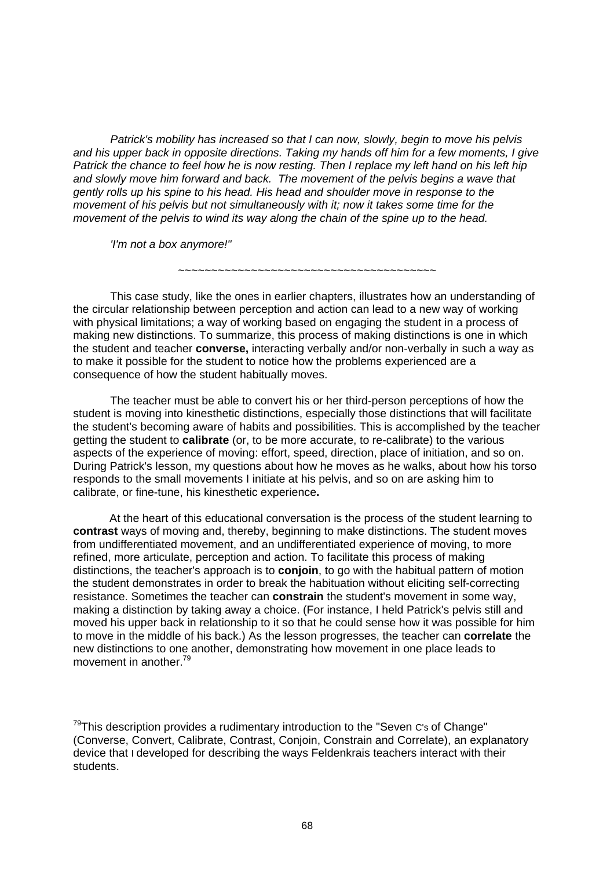*Patrick's mobility has increased so that I can now, slowly, begin to move his pelvis and his upper back in opposite directions. Taking my hands off him for a few moments, I give Patrick the chance to feel how he is now resting. Then I replace my left hand on his left hip and slowly move him forward and back. The movement of the pelvis begins a wave that gently rolls up his spine to his head. His head and shoulder move in response to the movement of his pelvis but not simultaneously with it; now it takes some time for the movement of the pelvis to wind its way along the chain of the spine up to the head.* 

*'I'm not a box anymore!"* 

This case study, like the ones in earlier chapters, illustrates how an understanding of the circular relationship between perception and action can lead to a new way of working with physical limitations; a way of working based on engaging the student in a process of making new distinctions. To summarize, this process of making distinctions is one in which the student and teacher **converse,** interacting verbally and/or non-verbally in such a way as to make it possible for the student to notice how the problems experienced are a consequence of how the student habitually moves.

~~~~~~~~~~~~~~~~~~~~~~~~~~~~~~~~~~~~~~~

The teacher must be able to convert his or her third-person perceptions of how the student is moving into kinesthetic distinctions, especially those distinctions that will facilitate the student's becoming aware of habits and possibilities. This is accomplished by the teacher getting the student to **calibrate** (or, to be more accurate, to re-calibrate) to the various aspects of the experience of moving: effort, speed, direction, place of initiation, and so on. During Patrick's lesson, my questions about how he moves as he walks, about how his torso responds to the small movements I initiate at his pelvis, and so on are asking him to calibrate, or fine-tune, his kinesthetic experience**.** 

At the heart of this educational conversation is the process of the student learning to **contrast** ways of moving and, thereby, beginning to make distinctions. The student moves from undifferentiated movement, and an undifferentiated experience of moving, to more refined, more articulate, perception and action. To facilitate this process of making distinctions, the teacher's approach is to **conjoin**, to go with the habitual pattern of motion the student demonstrates in order to break the habituation without eliciting self-correcting resistance. Sometimes the teacher can **constrain** the student's movement in some way, making a distinction by taking away a choice. (For instance, I held Patrick's pelvis still and moved his upper back in relationship to it so that he could sense how it was possible for him to move in the middle of his back.) As the lesson progresses, the teacher can **correlate** the new distinctions to one another, demonstrating how movement in one place leads to movement in another.<sup>79</sup>

 $79$ This description provides a rudimentary introduction to the "Seven C's of Change" (Converse, Convert, Calibrate, Contrast, Conjoin, Constrain and Correlate), an explanatory device that I developed for describing the ways Feldenkrais teachers interact with their students.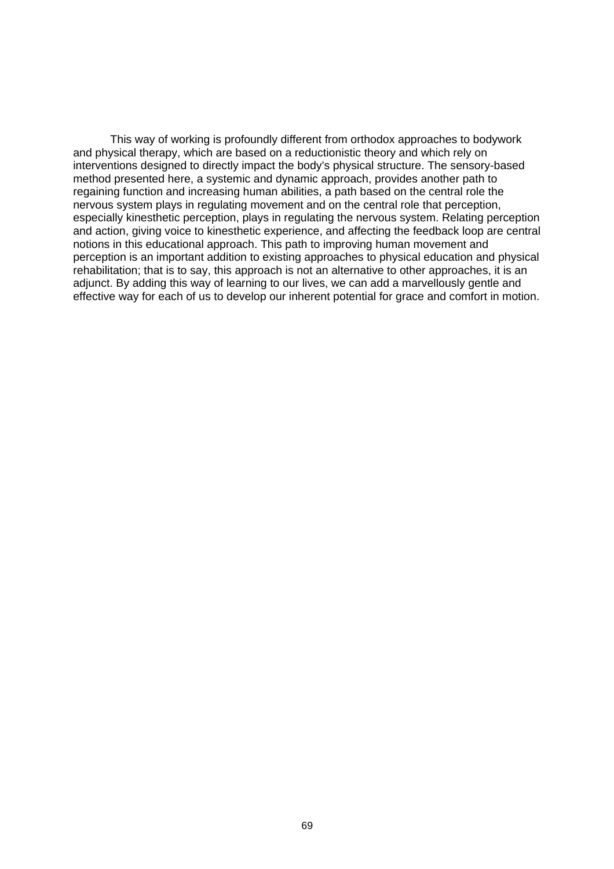This way of working is profoundly different from orthodox approaches to bodywork and physical therapy, which are based on a reductionistic theory and which rely on interventions designed to directly impact the body's physical structure. The sensory-based method presented here, a systemic and dynamic approach, provides another path to regaining function and increasing human abilities, a path based on the central role the nervous system plays in regulating movement and on the central role that perception, especially kinesthetic perception, plays in regulating the nervous system. Relating perception and action, giving voice to kinesthetic experience, and affecting the feedback loop are central notions in this educational approach. This path to improving human movement and perception is an important addition to existing approaches to physical education and physical rehabilitation; that is to say, this approach is not an alternative to other approaches, it is an adjunct. By adding this way of learning to our lives, we can add a marvellously gentle and effective way for each of us to develop our inherent potential for grace and comfort in motion.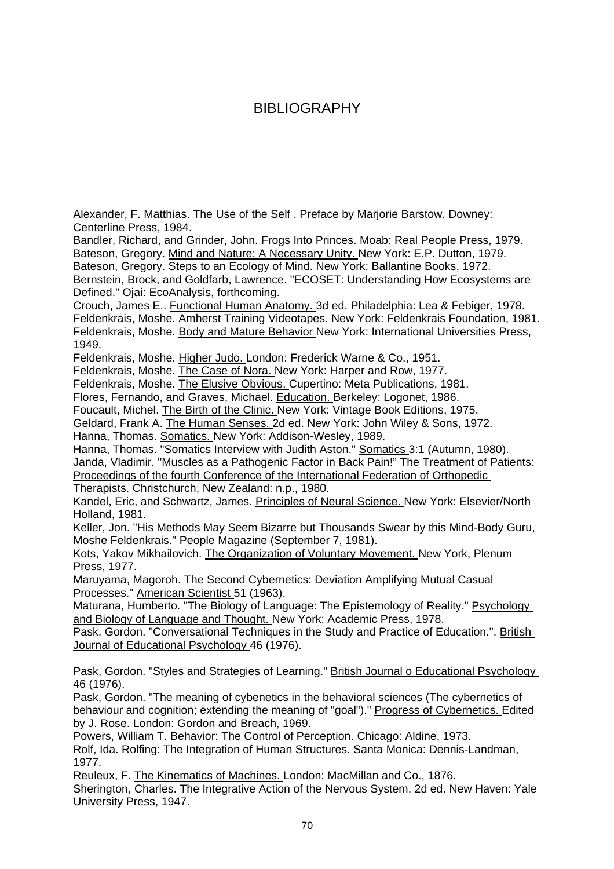## BIBLIOGRAPHY

Alexander, F. Matthias. The Use of the Self . Preface by Marjorie Barstow. Downey: Centerline Press, 1984.

Bandler, Richard, and Grinder, John. Frogs Into Princes. Moab: Real People Press, 1979. Bateson, Gregory. Mind and Nature: A Necessary Unity. New York: E.P. Dutton, 1979. Bateson, Gregory. Steps to an Ecology of Mind. New York: Ballantine Books, 1972. Bernstein, Brock, and Goldfarb, Lawrence. "ECOSET: Understanding How Ecosystems are Defined." Ojai: EcoAnalysis, forthcoming.

Crouch, James E.. Functional Human Anatomy. 3d ed. Philadelphia: Lea & Febiger, 1978. Feldenkrais, Moshe. Amherst Training Videotapes. New York: Feldenkrais Foundation, 1981. Feldenkrais, Moshe. Body and Mature Behavior New York: International Universities Press, 1949.

Feldenkrais, Moshe. Higher Judo. London: Frederick Warne & Co., 1951.

Feldenkrais, Moshe. The Case of Nora. New York: Harper and Row, 1977.

Feldenkrais, Moshe. The Elusive Obvious. Cupertino: Meta Publications, 1981.

Flores, Fernando, and Graves, Michael. Education. Berkeley: Logonet, 1986.

Foucault, Michel. The Birth of the Clinic. New York: Vintage Book Editions, 1975.

Geldard, Frank A. The Human Senses. 2d ed. New York: John Wiley & Sons, 1972.

Hanna, Thomas. Somatics. New York: Addison-Wesley, 1989.

Hanna, Thomas. "Somatics Interview with Judith Aston." Somatics 3:1 (Autumn, 1980). Janda, Vladimir. "Muscles as a Pathogenic Factor in Back Pain!" The Treatment of Patients: Proceedings of the fourth Conference of the International Federation of Orthopedic

Therapists. Christchurch, New Zealand: n.p., 1980.

Kandel, Eric, and Schwartz, James. Principles of Neural Science. New York: Elsevier/North Holland, 1981.

Keller, Jon. "His Methods May Seem Bizarre but Thousands Swear by this Mind-Body Guru, Moshe Feldenkrais." People Magazine (September 7, 1981).

Kots, Yakov Mikhailovich. The Organization of Voluntary Movement. New York, Plenum Press, 1977.

Maruyama, Magoroh. The Second Cybernetics: Deviation Amplifying Mutual Casual Processes." American Scientist 51 (1963).

Maturana, Humberto. "The Biology of Language: The Epistemology of Reality." Psychology and Biology of Language and Thought. New York: Academic Press, 1978.

Pask, Gordon. "Conversational Techniques in the Study and Practice of Education.". British Journal of Educational Psychology 46 (1976).

Pask, Gordon. "Styles and Strategies of Learning." British Journal o Educational Psychology 46 (1976).

Pask, Gordon. "The meaning of cybenetics in the behavioral sciences (The cybernetics of behaviour and cognition; extending the meaning of "goal")." Progress of Cybernetics. Edited by J. Rose. London: Gordon and Breach, 1969.

Powers, William T. Behavior: The Control of Perception. Chicago: Aldine, 1973.

Rolf, Ida. Rolfing: The Integration of Human Structures. Santa Monica: Dennis-Landman, 1977.

Reuleux, F. The Kinematics of Machines. London: MacMillan and Co., 1876. Sherington, Charles. The Integrative Action of the Nervous System. 2d ed. New Haven: Yale University Press, 1947.